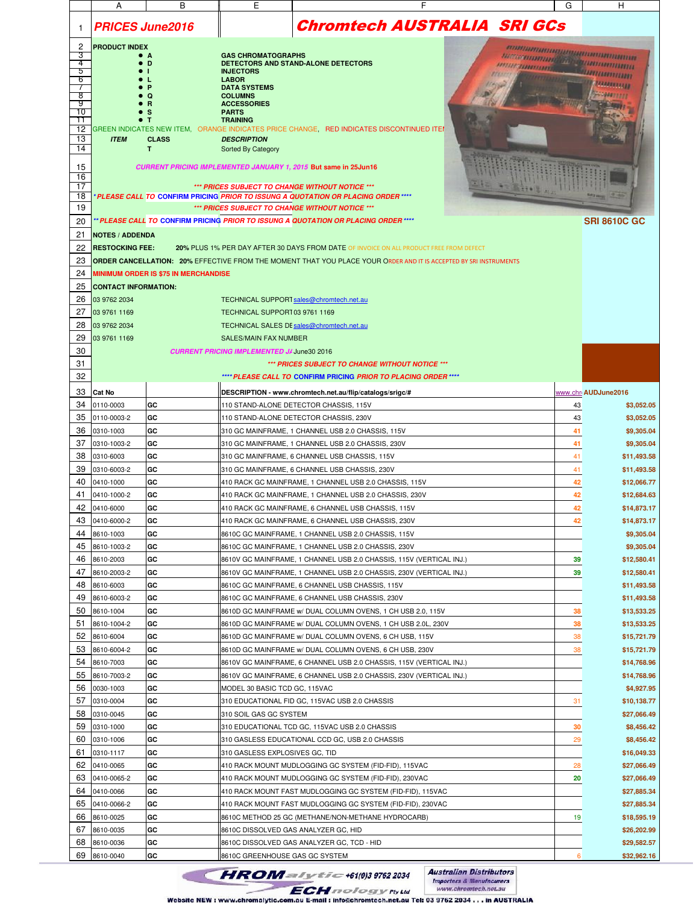|               | A                           | В                                           | Е                                                                | F                                                                                                                        | G                                                      | н                         |
|---------------|-----------------------------|---------------------------------------------|------------------------------------------------------------------|--------------------------------------------------------------------------------------------------------------------------|--------------------------------------------------------|---------------------------|
| 1             | <b>PRICES June2016</b>      |                                             |                                                                  | <b>Chromtech AUSTRALIA SRI GCs</b>                                                                                       |                                                        |                           |
| 2             | <b>PRODUCT INDEX</b>        |                                             |                                                                  |                                                                                                                          |                                                        |                           |
| З<br>4        |                             | D                                           | <b>GAS CHROMATOGRAPHS</b><br>DETECTORS AND STAND-ALONE DETECTORS |                                                                                                                          | <i>nomumamamamamumumum</i><br>araaannanaa ah guunnamuu |                           |
| 5             |                             |                                             | <b>INJECTORS</b>                                                 |                                                                                                                          |                                                        | <u> Minimanning</u>       |
| 6<br>$\prime$ |                             |                                             | <b>LABOR</b><br><b>DATA SYSTEMS</b>                              |                                                                                                                          |                                                        | <b>TARKETTER</b>          |
| 8             |                             |                                             | <b>COLUMNS</b>                                                   |                                                                                                                          |                                                        |                           |
| 9<br>10       |                             |                                             | <b>ACCESSORIES</b><br><b>PARTS</b>                               |                                                                                                                          |                                                        |                           |
| 11            |                             | $\bullet$ T                                 | <b>TRAINING</b>                                                  |                                                                                                                          |                                                        |                           |
| 12            |                             |                                             |                                                                  | GREEN INDICATES NEW ITEM, ORANGE INDICATES PRICE CHANGE, RED INDICATES DISCONTINUED ITEI                                 |                                                        |                           |
| 13<br>14      | <b>ITEM</b>                 | <b>CLASS</b><br>T.                          | <b>DESCRIPTION</b><br>Sorted By Category                         |                                                                                                                          |                                                        |                           |
|               |                             |                                             |                                                                  |                                                                                                                          |                                                        |                           |
| 15            |                             |                                             |                                                                  | CURRENT PRICING IMPLEMENTED JANUARY 1, 2015 But same in 25Jun16                                                          |                                                        |                           |
| 16<br>17      |                             |                                             |                                                                  | *** PRICES SUBJECT TO CHANGE WITHOUT NOTICE ***                                                                          |                                                        |                           |
| 18            |                             |                                             |                                                                  | * PLEASE CALL TO CONFIRM PRICING PRIOR TO ISSUNG A QUOTATION OR PLACING ORDER ****                                       |                                                        |                           |
| 19            |                             |                                             |                                                                  | *** PRICES SUBJECT TO CHANGE WITHOUT NOTICE ***                                                                          |                                                        |                           |
| 20            |                             |                                             |                                                                  | ** PLEASE CALL TO CONFIRM PRICING PRIOR TO ISSUNG A QUOTATION OR PLACING ORDER ****                                      |                                                        | <b>SRI 8610C GC</b>       |
| 21            | <b>NOTES / ADDENDA</b>      |                                             |                                                                  |                                                                                                                          |                                                        |                           |
| 22            | <b>RESTOCKING FEE:</b>      |                                             |                                                                  | 20% PLUS 1% PER DAY AFTER 30 DAYS FROM DATE OF INVOICE ON ALL PRODUCT FREE FROM DEFECT                                   |                                                        |                           |
| 23            |                             |                                             |                                                                  | <b>ORDER CANCELLATION: 20% EFFECTIVE FROM THE MOMENT THAT YOU PLACE YOUR ORDER AND IT IS ACCEPTED BY SRI INSTRUMENTS</b> |                                                        |                           |
| 24            |                             | <b>MINIMUM ORDER IS \$75 IN MERCHANDISE</b> |                                                                  |                                                                                                                          |                                                        |                           |
| 25            | <b>CONTACT INFORMATION:</b> |                                             |                                                                  |                                                                                                                          |                                                        |                           |
| 26            | 03 9762 2034                |                                             | TECHNICAL SUPPORT sales@chromtech.net.au                         |                                                                                                                          |                                                        |                           |
| 27            | 03 9761 1169                |                                             | TECHNICAL SUPPORT 03 9761 1169                                   |                                                                                                                          |                                                        |                           |
| 28            | 03 9762 2034                |                                             | TECHNICAL SALES DI sales@chromtech.net.au                        |                                                                                                                          |                                                        |                           |
| 29            | 03 9761 1169                |                                             | <b>SALES/MAIN FAX NUMBER</b>                                     |                                                                                                                          |                                                        |                           |
| 30            |                             |                                             | <b>CURRENT PRICING IMPLEMENTED JJ June30 2016</b>                |                                                                                                                          |                                                        |                           |
| 31            |                             |                                             |                                                                  | *** PRICES SUBJECT TO CHANGE WITHOUT NOTICE ***                                                                          |                                                        |                           |
| 32            |                             |                                             |                                                                  | **** PLEASE CALL TO CONFIRM PRICING PRIOR TO PLACING ORDER ****                                                          |                                                        |                           |
| 33            | <b>Cat No</b>               |                                             |                                                                  | DESCRIPTION - www.chromtech.net.au/flip/catalogs/srigc/#                                                                 |                                                        | www.chri AUDJune2016      |
| 34            | 0110-0003                   | GC                                          |                                                                  | 110 STAND-ALONE DETECTOR CHASSIS, 115V                                                                                   | 43                                                     | \$3,052.05                |
| 35            | 0110-0003-2                 | GC                                          | 110 STAND-ALONE DETECTOR CHASSIS, 230V                           |                                                                                                                          | 43                                                     | \$3,052.05                |
| 36            | 0310-1003                   | GC                                          |                                                                  | 310 GC MAINFRAME, 1 CHANNEL USB 2.0 CHASSIS, 115V                                                                        | 41                                                     | \$9,305.04                |
| 37            | 0310-1003-2                 | GC                                          |                                                                  | 310 GC MAINFRAME, 1 CHANNEL USB 2.0 CHASSIS, 230V                                                                        | 41                                                     | \$9,305.04                |
| 38            | 0310-6003                   | GC                                          |                                                                  | 310 GC MAINFRAME, 6 CHANNEL USB CHASSIS, 115V                                                                            | 41                                                     | \$11,493.58               |
| 39            | 0310-6003-2                 | GC                                          |                                                                  | 310 GC MAINFRAME, 6 CHANNEL USB CHASSIS, 230V                                                                            | 41                                                     | \$11,493.58               |
| 40            | 0410-1000                   | GC                                          |                                                                  | 410 RACK GC MAINFRAME, 1 CHANNEL USB 2.0 CHASSIS, 115V                                                                   | 42                                                     | \$12,066.77               |
| 41            | 0410-1000-2                 | GC                                          |                                                                  | 410 RACK GC MAINFRAME, 1 CHANNEL USB 2.0 CHASSIS, 230V                                                                   | 42                                                     | \$12,684.63               |
| 42            | 0410-6000                   | GC                                          |                                                                  | 410 RACK GC MAINFRAME, 6 CHANNEL USB CHASSIS, 115V                                                                       | 42                                                     | \$14,873.17               |
| 43            | 0410-6000-2                 | GC                                          |                                                                  | 410 RACK GC MAINFRAME, 6 CHANNEL USB CHASSIS, 230V                                                                       | 42                                                     | \$14,873.17               |
| 44            | 8610-1003                   | GC                                          |                                                                  | 8610C GC MAINFRAME, 1 CHANNEL USB 2.0 CHASSIS, 115V                                                                      |                                                        | \$9,305.04                |
| 45            | 8610-1003-2                 | GC                                          |                                                                  | 8610C GC MAINFRAME, 1 CHANNEL USB 2.0 CHASSIS, 230V                                                                      |                                                        | \$9,305.04                |
| 46            | 8610-2003                   | GC                                          |                                                                  | 8610V GC MAINFRAME, 1 CHANNEL USB 2.0 CHASSIS, 115V (VERTICAL INJ.)                                                      | 39                                                     | \$12,580.41               |
| 47            | 8610-2003-2                 | GC                                          |                                                                  | 8610V GC MAINFRAME, 1 CHANNEL USB 2.0 CHASSIS, 230V (VERTICAL INJ.)                                                      | 39                                                     | \$12,580.41               |
| 48            | 8610-6003                   | GC                                          |                                                                  | 8610C GC MAINFRAME, 6 CHANNEL USB CHASSIS, 115V                                                                          |                                                        | \$11,493.58               |
| 49            | 8610-6003-2                 | GC                                          |                                                                  | 8610C GC MAINFRAME, 6 CHANNEL USB CHASSIS, 230V                                                                          |                                                        | \$11,493.58               |
| 50            | 8610-1004                   | GC                                          |                                                                  | 8610D GC MAINFRAME w/ DUAL COLUMN OVENS, 1 CH USB 2.0, 115V                                                              | 38                                                     | \$13,533.25               |
| 51            | 8610-1004-2                 | GC                                          |                                                                  | 8610D GC MAINFRAME w/ DUAL COLUMN OVENS, 1 CH USB 2.0L, 230V                                                             | 38                                                     | \$13,533.25               |
| 52            | 8610-6004                   | GC                                          |                                                                  | 8610D GC MAINFRAME w/ DUAL COLUMN OVENS, 6 CH USB, 115V                                                                  | 38                                                     | \$15,721.79               |
| 53            | 8610-6004-2                 | GC                                          |                                                                  | 8610D GC MAINFRAME w/ DUAL COLUMN OVENS, 6 CH USB, 230V                                                                  | 38                                                     | \$15,721.79               |
| 54<br>55      | 8610-7003<br>8610-7003-2    | GC<br>GC                                    |                                                                  | 8610V GC MAINFRAME, 6 CHANNEL USB 2.0 CHASSIS, 115V (VERTICAL INJ.)                                                      |                                                        | \$14,768.96               |
| 56            | 0030-1003                   | GC                                          |                                                                  | 8610V GC MAINFRAME, 6 CHANNEL USB 2.0 CHASSIS, 230V (VERTICAL INJ.)                                                      |                                                        | \$14,768.96               |
| 57            | 0310-0004                   | GC                                          | MODEL 30 BASIC TCD GC, 115VAC                                    | 310 EDUCATIONAL FID GC, 115VAC USB 2.0 CHASSIS                                                                           | 31                                                     | \$4,927.95<br>\$10,138.77 |
| 58            | 0310-0045                   | GC                                          | 310 SOIL GAS GC SYSTEM                                           |                                                                                                                          |                                                        | \$27,066.49               |
| 59            | 0310-1000                   | GC                                          |                                                                  | 310 EDUCATIONAL TCD GC, 115VAC USB 2.0 CHASSIS                                                                           | 30                                                     | \$8,456.42                |
| 60            | 0310-1006                   | GC                                          |                                                                  | 310 GASLESS EDUCATIONAL CCD GC, USB 2.0 CHASSIS                                                                          | 29                                                     | \$8,456.42                |
| 61            | 0310-1117                   | GC                                          | 310 GASLESS EXPLOSIVES GC, TID                                   |                                                                                                                          |                                                        | \$16,049.33               |
| 62            | 0410-0065                   | GC                                          |                                                                  | 410 RACK MOUNT MUDLOGGING GC SYSTEM (FID-FID), 115VAC                                                                    | 28                                                     | \$27,066.49               |
| 63            | 0410-0065-2                 | GC                                          |                                                                  | 410 RACK MOUNT MUDLOGGING GC SYSTEM (FID-FID), 230VAC                                                                    | 20                                                     | \$27,066.49               |
| 64            | 0410-0066                   | GC                                          |                                                                  | 410 RACK MOUNT FAST MUDLOGGING GC SYSTEM (FID-FID), 115VAC                                                               |                                                        | \$27,885.34               |
| 65            | 0410-0066-2                 | GC                                          |                                                                  | 410 RACK MOUNT FAST MUDLOGGING GC SYSTEM (FID-FID), 230VAC                                                               |                                                        | \$27,885.34               |
| 66            | 8610-0025                   | GC                                          |                                                                  | 8610C METHOD 25 GC (METHANE/NON-METHANE HYDROCARB)                                                                       | 19                                                     | \$18,595.19               |
| 67            | 8610-0035                   | GC                                          | 8610C DISSOLVED GAS ANALYZER GC, HID                             |                                                                                                                          |                                                        | \$26,202.99               |
| 68            | 8610-0036                   | GC                                          |                                                                  | 8610C DISSOLVED GAS ANALYZER GC, TCD - HID                                                                               |                                                        | \$29,582.57               |
| 69            | 8610-0040                   | GC                                          | 8610C GREENHOUSE GAS GC SYSTEM                                   |                                                                                                                          | 6                                                      | \$32,962.16               |
|               |                             |                                             |                                                                  |                                                                                                                          |                                                        |                           |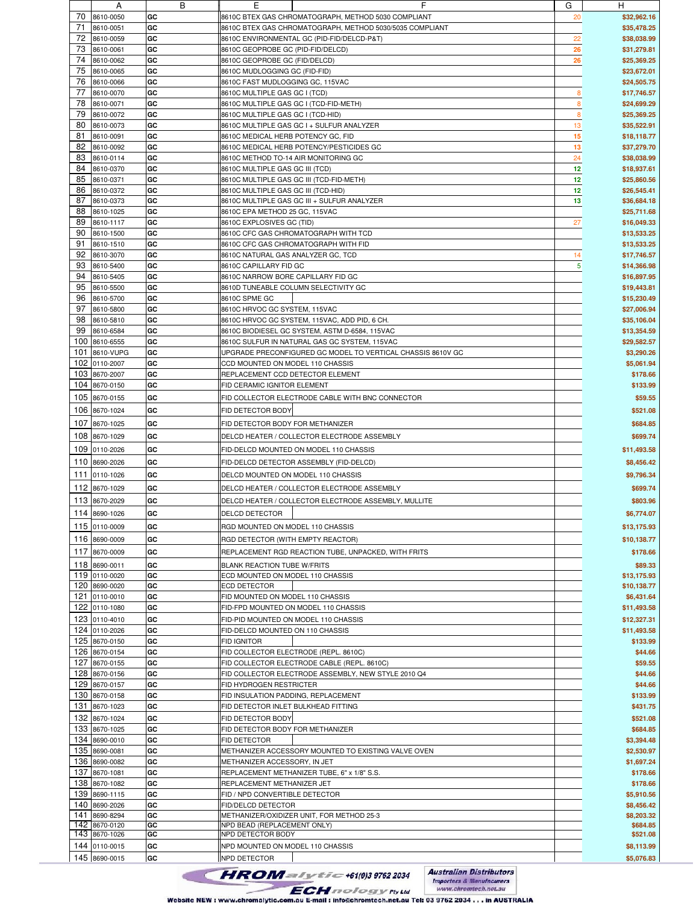|     | $\mathsf{A}$  | ь  | ᄇ                                                           | G  | H           |
|-----|---------------|----|-------------------------------------------------------------|----|-------------|
| 70  | 8610-0050     | GC | 8610C BTEX GAS CHROMATOGRAPH, METHOD 5030 COMPLIANT         | 20 | \$32,962.16 |
| 71  | 8610-0051     | GC | 8610C BTEX GAS CHROMATOGRAPH, METHOD 5030/5035 COMPLIANT    |    | \$35,478.25 |
|     |               |    |                                                             |    |             |
| 72  | 8610-0059     | GC | 8610C ENVIRONMENTAL GC (PID-FID/DELCD-P&T)                  | 22 | \$38,038.99 |
| 73  | 8610-0061     | GC | 8610C GEOPROBE GC (PID-FID/DELCD)                           | 26 | \$31,279.81 |
| 74  | 8610-0062     | GC | 8610C GEOPROBE GC (FID/DELCD)                               | 26 | \$25,369.25 |
| 75  | 8610-0065     | GC | 8610C MUDLOGGING GC (FID-FID)                               |    | \$23,672.01 |
|     |               |    |                                                             |    |             |
| 76  | 8610-0066     | GC | 8610C FAST MUDLOGGING GC, 115VAC                            |    | \$24,505.75 |
| 77  | 8610-0070     | GC | 8610C MULTIPLE GAS GC I (TCD)                               | 8  | \$17,746.57 |
| 78  | 8610-0071     | GC | 8610C MULTIPLE GAS GC I (TCD-FID-METH)                      | 8  | \$24,699.29 |
| 79  |               |    |                                                             |    |             |
|     | 8610-0072     | GC | 8610C MULTIPLE GAS GC I (TCD-HID)                           | 8  | \$25,369.25 |
| 80  | 8610-0073     | GC | 8610C MULTIPLE GAS GC I + SULFUR ANALYZER                   | 13 | \$35,522.91 |
| 81  | 8610-0091     | GC | 8610C MEDICAL HERB POTENCY GC, FID                          | 15 | \$18,118.77 |
| 82  | 8610-0092     | GC | 8610C MEDICAL HERB POTENCY/PESTICIDES GC                    | 13 | \$37,279.70 |
|     |               |    |                                                             |    |             |
| 83  | 8610-0114     | GC | 8610C METHOD TO-14 AIR MONITORING GC                        | 24 | \$38,038.99 |
| 84  | 8610-0370     | GC | 8610C MULTIPLE GAS GC III (TCD)                             | 12 | \$18,937.61 |
| 85  | 8610-0371     | GC | 8610C MULTIPLE GAS GC III (TCD-FID-METH)                    | 12 | \$25,860.56 |
| 86  | 8610-0372     | GC | 8610C MULTIPLE GAS GC III (TCD-HID)                         | 12 | \$26,545.41 |
|     |               |    |                                                             |    |             |
| 87  | 8610-0373     | GC | 8610C MULTIPLE GAS GC III + SULFUR ANALYZER                 | 13 | \$36,684.18 |
| 88  | 8610-1025     | GC | 8610C EPA METHOD 25 GC, 115VAC                              |    | \$25,711.68 |
| 89  | 8610-1117     | GC | 8610C EXPLOSIVES GC (TID)                                   | 27 | \$16,049.33 |
| 90  |               |    |                                                             |    |             |
|     | 8610-1500     | GC | 8610C CFC GAS CHROMATOGRAPH WITH TCD                        |    | \$13,533.25 |
| 91  | 8610-1510     | GC | 8610C CFC GAS CHROMATOGRAPH WITH FID                        |    | \$13,533.25 |
| 92  | 8610-3070     | GC | 8610C NATURAL GAS ANALYZER GC, TCD                          | 14 | \$17,746.57 |
| 93  | 8610-5400     | GC | 8610C CAPILLARY FID GC                                      | 5  | \$14,366.98 |
|     |               |    |                                                             |    |             |
| 94  | 8610-5405     | GC | 8610C NARROW BORE CAPILLARY FID GC                          |    | \$16,897.95 |
| 95  | 8610-5500     | GC | 8610D TUNEABLE COLUMN SELECTIVITY GC                        |    | \$19,443.81 |
| 96  | 8610-5700     | GC | 8610C SPME GC                                               |    | \$15,230.49 |
|     |               |    |                                                             |    |             |
| 97  | 8610-5800     | GC | 8610C HRVOC GC SYSTEM, 115VAC                               |    | \$27,006.94 |
| 98  | 8610-5810     | GC | 8610C HRVOC GC SYSTEM, 115VAC, ADD PID, 6 CH.               |    | \$35,106.04 |
| 99  | 8610-6584     | GC | 8610C BIODIESEL GC SYSTEM, ASTM D-6584, 115VAC              |    | \$13,354.59 |
| 100 | 8610-6555     | GC | 8610C SULFUR IN NATURAL GAS GC SYSTEM, 115VAC               |    | \$29,582.57 |
|     |               |    |                                                             |    |             |
| 101 | 8610-VUPG     | GC | UPGRADE PRECONFIGURED GC MODEL TO VERTICAL CHASSIS 8610V GC |    | \$3,290.26  |
| 102 | 0110-2007     | GC | CCD MOUNTED ON MODEL 110 CHASSIS                            |    | \$5,061.94  |
| 103 | 8670-2007     | GC | REPLACEMENT CCD DETECTOR ELEMENT                            |    | \$178.66    |
| 104 |               |    |                                                             |    |             |
|     | 8670-0150     | GC | FID CERAMIC IGNITOR ELEMENT                                 |    | \$133.99    |
| 105 | 8670-0155     | GC | FID COLLECTOR ELECTRODE CABLE WITH BNC CONNECTOR            |    | \$59.55     |
|     |               |    |                                                             |    |             |
| 106 | 8670-1024     | GC | FID DETECTOR BODY                                           |    | \$521.08    |
| 107 | 8670-1025     | GC | FID DETECTOR BODY FOR METHANIZER                            |    | \$684.85    |
|     |               |    |                                                             |    |             |
| 108 | 8670-1029     | GC | DELCD HEATER / COLLECTOR ELECTRODE ASSEMBLY                 |    | \$699.74    |
| 109 | 0110-2026     | GC | FID-DELCD MOUNTED ON MODEL 110 CHASSIS                      |    | \$11,493.58 |
|     |               |    |                                                             |    |             |
| 110 | 8690-2026     | GC | FID-DELCD DETECTOR ASSEMBLY (FID-DELCD)                     |    | \$8,456.42  |
| 111 | 0110-1026     | GC | DELCD MOUNTED ON MODEL 110 CHASSIS                          |    | \$9,796.34  |
|     |               |    |                                                             |    |             |
| 112 | 8670-1029     | GC | DELCD HEATER / COLLECTOR ELECTRODE ASSEMBLY                 |    | \$699.74    |
| 113 | 8670-2029     | GC | DELCD HEATER / COLLECTOR ELECTRODE ASSEMBLY, MULLITE        |    | \$803.96    |
|     |               |    |                                                             |    |             |
| 114 | 8690-1026     | GC | <b>DELCD DETECTOR</b>                                       |    | \$6,774.07  |
|     | 115 0110-0009 | GC | RGD MOUNTED ON MODEL 110 CHASSIS                            |    | \$13,175.93 |
|     |               |    |                                                             |    |             |
|     | 116 8690-0009 | GC | RGD DETECTOR (WITH EMPTY REACTOR)                           |    | \$10,138.77 |
|     | 117 8670-0009 | GC | REPLACEMENT RGD REACTION TUBE, UNPACKED, WITH FRITS         |    | \$178.66    |
|     |               |    |                                                             |    |             |
|     | 118 8690-0011 | GC | <b>BLANK REACTION TUBE W/FRITS</b>                          |    | \$89.33     |
|     | 119 0110-0020 | GC | ECD MOUNTED ON MODEL 110 CHASSIS                            |    | \$13,175.93 |
|     | 120 8690-0020 | GC | <b>ECD DETECTOR</b>                                         |    | \$10,138.77 |
|     | 121 0110-0010 | GC | FID MOUNTED ON MODEL 110 CHASSIS                            |    | \$6,431.64  |
|     |               |    |                                                             |    |             |
|     | 122 0110-1080 | GC | FID-FPD MOUNTED ON MODEL 110 CHASSIS                        |    | \$11,493.58 |
|     | 123 0110-4010 | GC | FID-PID MOUNTED ON MODEL 110 CHASSIS                        |    | \$12,327.31 |
|     | 124 0110-2026 | GC | FID-DELCD MOUNTED ON 110 CHASSIS                            |    | \$11,493.58 |
|     | 125 8670-0150 | GC | <b>FID IGNITOR</b>                                          |    | \$133.99    |
|     |               |    |                                                             |    |             |
|     | 126 8670-0154 | GC | FID COLLECTOR ELECTRODE (REPL. 8610C)                       |    | \$44.66     |
|     | 127 8670-0155 | GC | FID COLLECTOR ELECTRODE CABLE (REPL. 8610C)                 |    | \$59.55     |
|     | 128 8670-0156 | GC | FID COLLECTOR ELECTRODE ASSEMBLY, NEW STYLE 2010 Q4         |    | \$44.66     |
|     |               |    |                                                             |    |             |
|     | 129 8670-0157 | GC | FID HYDROGEN RESTRICTER                                     |    | \$44.66     |
|     | 130 8670-0158 | GC | FID INSULATION PADDING, REPLACEMENT                         |    | \$133.99    |
|     | 131 8670-1023 | GC | FID DETECTOR INLET BULKHEAD FITTING                         |    | \$431.75    |
|     |               |    |                                                             |    |             |
| 132 | 8670-1024     | GC | FID DETECTOR BODY                                           |    | \$521.08    |
|     | 133 8670-1025 | GC | FID DETECTOR BODY FOR METHANIZER                            |    | \$684.85    |
|     | 134 8690-0010 | GC | FID DETECTOR                                                |    | \$3,394.48  |
|     | 135 8690-0081 | GC |                                                             |    |             |
|     |               |    | METHANIZER ACCESSORY MOUNTED TO EXISTING VALVE OVEN         |    | \$2,530.97  |
|     | 136 8690-0082 | GC | METHANIZER ACCESSORY, IN JET                                |    | \$1,697.24  |
| 137 | 8670-1081     | GC | REPLACEMENT METHANIZER TUBE, 6" x 1/8" S.S.                 |    | \$178.66    |
|     | 138 8670-1082 | GC | REPLACEMENT METHANIZER JET                                  |    | \$178.66    |
|     |               |    |                                                             |    |             |
|     | 139 8690-1115 | GC | FID / NPD CONVERTIBLE DETECTOR                              |    | \$5,910.56  |
|     | 140 8690-2026 | GC | FID/DELCD DETECTOR                                          |    | \$8,456.42  |
|     | 141 8690-8294 | GC | METHANIZER/OXIDIZER UNIT, FOR METHOD 25-3                   |    | \$8,203.32  |
|     | 142 8670-0120 | GC | NPD BEAD (REPLACEMENT ONLY)                                 |    | \$684.85    |
|     | 143 8670-1026 | GC | NPD DETECTOR BODY                                           |    | \$521.08    |
|     |               |    |                                                             |    |             |
|     | 144 0110-0015 | GC | NPD MOUNTED ON MODEL 110 CHASSIS                            |    | \$8,113.99  |
|     | 145 8690-0015 | GC | <b>NPD DETECTOR</b>                                         |    | \$5,076.83  |
|     |               |    |                                                             |    |             |

**Australian Distributors**<br>Importers & Manufacurers<br>www.chromtech.net.au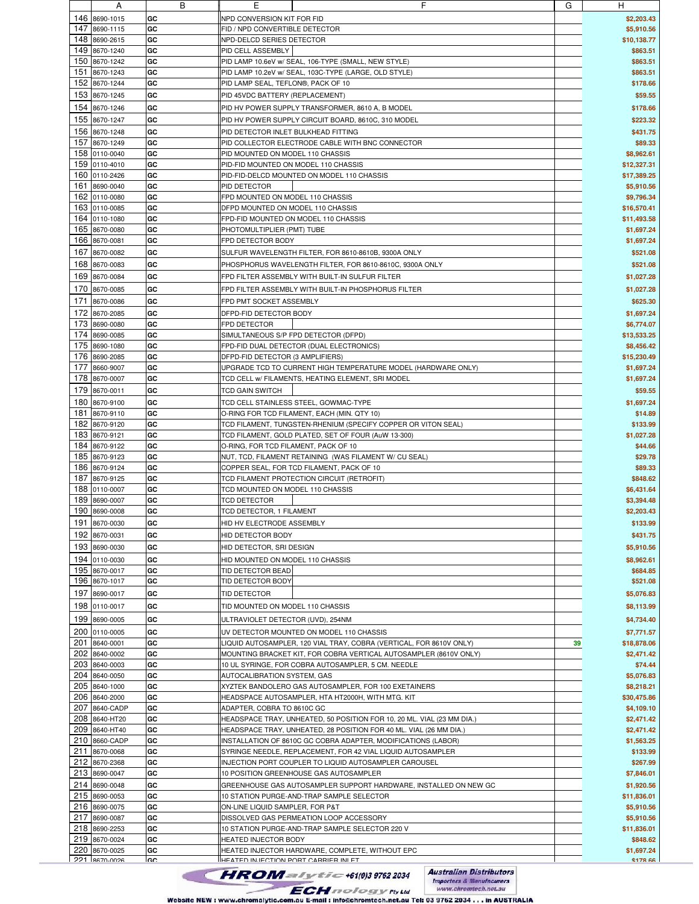|     | $\overline{a}$ | D         | c                                                                      | U  | п              |
|-----|----------------|-----------|------------------------------------------------------------------------|----|----------------|
| 146 | 8690-1015      | GC        | NPD CONVERSION KIT FOR FID                                             |    | \$2,203.43     |
|     |                |           |                                                                        |    |                |
| 147 | 8690-1115      | GC        | FID / NPD CONVERTIBLE DETECTOR                                         |    | \$5,910.56     |
|     |                |           |                                                                        |    |                |
| 148 | 8690-2615      | GC        | NPD-DELCD SERIES DETECTOR                                              |    | \$10,138.77    |
| 149 |                | GC        | PID CELL ASSEMBLY                                                      |    | \$863.51       |
|     | 8670-1240      |           |                                                                        |    |                |
| 150 | 8670-1242      | GC        | PID LAMP 10.6eV w/ SEAL, 106-TYPE (SMALL, NEW STYLE)                   |    | \$863.51       |
|     |                |           |                                                                        |    |                |
| 151 | 8670-1243      | GC        | PID LAMP 10.2eV w/ SEAL, 103C-TYPE (LARGE, OLD STYLE)                  |    | \$863.51       |
| 152 | 8670-1244      | GC        | PID LAMP SEAL, TEFLON®, PACK OF 10                                     |    | \$178.66       |
|     |                |           |                                                                        |    |                |
| 153 | 8670-1245      | GC        | PID 45VDC BATTERY (REPLACEMENT)                                        |    | \$59.55        |
|     |                |           |                                                                        |    |                |
| 154 | 8670-1246      | GC        | PID HV POWER SUPPLY TRANSFORMER, 8610 A, B MODEL                       |    | \$178.66       |
|     |                |           |                                                                        |    |                |
| 155 | 8670-1247      | GC        | PID HV POWER SUPPLY CIRCUIT BOARD, 8610C, 310 MODEL                    |    | \$223.32       |
|     |                |           |                                                                        |    |                |
| 156 | 8670-1248      | GC        | PID DETECTOR INLET BULKHEAD FITTING                                    |    | \$431.75       |
|     |                |           |                                                                        |    |                |
| 157 | 8670-1249      | GC        | PID COLLECTOR ELECTRODE CABLE WITH BNC CONNECTOR                       |    | \$89.33        |
|     |                |           |                                                                        |    |                |
|     | 158 0110-0040  | GC        | PID MOUNTED ON MODEL 110 CHASSIS                                       |    | \$8,962.61     |
|     | 159 0110-4010  | GC        | PID-FID MOUNTED ON MODEL 110 CHASSIS                                   |    | \$12,327.31    |
|     |                |           |                                                                        |    |                |
|     | 160 0110-2426  | GC        | PID-FID-DELCD MOUNTED ON MODEL 110 CHASSIS                             |    | \$17,389.25    |
|     |                |           |                                                                        |    |                |
|     | 161 8690-0040  | GC        | PID DETECTOR                                                           |    | \$5,910.56     |
|     | 162 0110-0080  |           |                                                                        |    |                |
|     |                | GC        | FPD MOUNTED ON MODEL 110 CHASSIS                                       |    | \$9,796.34     |
| 163 | 0110-0085      | GC        | DFPD MOUNTED ON MODEL 110 CHASSIS                                      |    | \$16,570.41    |
|     |                |           |                                                                        |    |                |
|     | 164 0110-1080  | GC        | FPD-FID MOUNTED ON MODEL 110 CHASSIS                                   |    | \$11,493.58    |
|     |                |           |                                                                        |    |                |
| 165 | 8670-0080      | GC        | PHOTOMULTIPLIER (PMT) TUBE                                             |    | \$1,697.24     |
| 166 |                | GC        | FPD DETECTOR BODY                                                      |    |                |
|     | 8670-0081      |           |                                                                        |    | \$1,697.24     |
| 167 | 8670-0082      | GC        | SULFUR WAVELENGTH FILTER, FOR 8610-8610B, 9300A ONLY                   |    | \$521.08       |
|     |                |           |                                                                        |    |                |
| 168 | 8670-0083      | GC        | PHOSPHORUS WAVELENGTH FILTER, FOR 8610-8610C, 9300A ONLY               |    | \$521.08       |
|     |                |           |                                                                        |    |                |
| 169 | 8670-0084      | GC        | FPD FILTER ASSEMBLY WITH BUILT-IN SULFUR FILTER                        |    | \$1,027.28     |
|     |                |           |                                                                        |    |                |
| 170 | 8670-0085      | GC        | FPD FILTER ASSEMBLY WITH BUILT-IN PHOSPHORUS FILTER                    |    | \$1,027.28     |
|     |                |           |                                                                        |    |                |
| 171 | 8670-0086      | GC        | FPD PMT SOCKET ASSEMBLY                                                |    | \$625.30       |
|     |                |           |                                                                        |    |                |
| 172 | 8670-2085      | GC        | DFPD-FID DETECTOR BODY                                                 |    | \$1,697.24     |
|     |                |           |                                                                        |    |                |
| 173 | 8690-0080      | GC        | FPD DETECTOR                                                           |    | \$6,774.07     |
|     |                |           |                                                                        |    |                |
| 174 | 8690-0085      | GC        | SIMULTANEOUS S/P FPD DETECTOR (DFPD)                                   |    | \$13,533.25    |
| 175 | 8690-1080      | GC        | FPD-FID DUAL DETECTOR (DUAL ELECTRONICS)                               |    | \$8,456.42     |
|     |                |           |                                                                        |    |                |
| 176 | 8690-2085      | GC        | DFPD-FID DETECTOR (3 AMPLIFIERS)                                       |    | \$15,230.49    |
|     |                |           |                                                                        |    |                |
| 177 | 8660-9007      | GC        | UPGRADE TCD TO CURRENT HIGH TEMPERATURE MODEL (HARDWARE ONLY)          |    | \$1,697.24     |
| 178 |                |           |                                                                        |    |                |
|     | 8670-0007      | GC        | TCD CELL w/ FILAMENTS, HEATING ELEMENT, SRI MODEL                      |    | \$1,697.24     |
|     |                |           |                                                                        |    |                |
| 179 | 8670-0011      | GC        | TCD GAIN SWITCH                                                        |    | \$59.55        |
| 180 |                | GC        | TCD CELL STAINLESS STEEL, GOWMAC-TYPE                                  |    | \$1,697.24     |
|     | 8670-9100      |           |                                                                        |    |                |
| 181 | 8670-9110      | GC        | O-RING FOR TCD FILAMENT, EACH (MIN. QTY 10)                            |    | \$14.89        |
|     |                |           |                                                                        |    |                |
| 182 | 8670-9120      | GC        | TCD FILAMENT, TUNGSTEN-RHENIUM (SPECIFY COPPER OR VITON SEAL)          |    | \$133.99       |
|     |                |           |                                                                        |    |                |
| 183 | 8670-9121      | GC        | TCD FILAMENT, GOLD PLATED, SET OF FOUR (AuW 13-300)                    |    | \$1,027.28     |
|     | 184 8670-9122  | GC        | O-RING, FOR TCD FILAMENT, PACK OF 10                                   |    | \$44.66        |
|     |                |           |                                                                        |    |                |
| 185 | 8670-9123      | GC        | NUT, TCD, FILAMENT RETAINING (WAS FILAMENT W/ CU SEAL)                 |    | \$29.78        |
|     |                |           |                                                                        |    |                |
| 186 | 8670-9124      | GC        | COPPER SEAL, FOR TCD FILAMENT, PACK OF 10                              |    | \$89.33        |
|     |                |           |                                                                        |    |                |
| 187 | 8670-9125      | GC        | TCD FILAMENT PROTECTION CIRCUIT (RETROFIT)                             |    | \$848.62       |
| 188 | 0110-0007      | GC        | TCD MOUNTED ON MODEL 110 CHASSIS                                       |    | \$6,431.64     |
|     |                |           |                                                                        |    |                |
| 189 | 8690-0007      | GC        | <b>TCD DETECTOR</b>                                                    |    | \$3,394.48     |
|     |                |           |                                                                        |    |                |
| 190 | 8690-0008      | GC        | TCD DETECTOR, 1 FILAMENT                                               |    | \$2,203.43     |
|     |                |           |                                                                        |    |                |
|     | 191 8670-0030  | GC        | HID HV ELECTRODE ASSEMBLY                                              |    | \$133.99       |
|     |                |           |                                                                        |    |                |
|     | 192 8670-0031  | GC        | HID DETECTOR BODY                                                      |    | \$431.75       |
|     |                |           |                                                                        |    |                |
|     | 193 8690-0030  | GC        | HID DETECTOR, SRI DESIGN                                               |    | \$5,910.56     |
|     |                |           |                                                                        |    |                |
|     | 194 0110-0030  | GC        | HID MOUNTED ON MODEL 110 CHASSIS                                       |    | \$8,962.61     |
|     | 195 8670-0017  | GC        | TID DETECTOR BEAD                                                      |    | \$684.85       |
|     |                |           |                                                                        |    |                |
|     | 196 8670-1017  | GC        | TID DETECTOR BODY                                                      |    | \$521.08       |
|     |                |           |                                                                        |    |                |
| 197 | 8690-0017      | GC        | TID DETECTOR                                                           |    | \$5,076.83     |
|     |                |           |                                                                        |    |                |
|     | 198 0110-0017  | GC        | TID MOUNTED ON MODEL 110 CHASSIS                                       |    | \$8,113.99     |
|     |                |           |                                                                        |    |                |
| 199 | 8690-0005      | GC        | ULTRAVIOLET DETECTOR (UVD), 254NM                                      |    | \$4,734.40     |
|     |                |           |                                                                        |    |                |
|     | 200 0110-0005  | GC        | UV DETECTOR MOUNTED ON MODEL 110 CHASSIS                               |    | \$7,771.57     |
|     | 201 8640-0001  |           |                                                                        |    |                |
|     |                | GC        | LIQUID AUTOSAMPLER, 120 VIAL TRAY, COBRA (VERTICAL, FOR 8610V ONLY)    | 39 | \$18,878.06    |
|     | 202 8640-0002  | GC        | MOUNTING BRACKET KIT, FOR COBRA VERTICAL AUTOSAMPLER (8610V ONLY)      |    | \$2,471.42     |
|     |                |           |                                                                        |    |                |
|     | 203 8640-0003  | GC        | 10 UL SYRINGE, FOR COBRA AUTOSAMPLER, 5 CM. NEEDLE                     |    | \$74.44        |
|     |                |           |                                                                        |    |                |
|     | 204 8640-0050  | GC        | AUTOCALIBRATION SYSTEM, GAS                                            |    | \$5,076.83     |
|     | 205 8640-1000  | GC        | XYZTEK BANDOLERO GAS AUTOSAMPLER, FOR 100 EXETAINERS                   |    | \$8,218.21     |
|     |                |           |                                                                        |    |                |
|     | 206 8640-2000  | GC        | HEADSPACE AUTOSAMPLER, HTA HT2000H, WITH MTG. KIT                      |    | \$30,475.86    |
|     |                |           |                                                                        |    |                |
|     | 207 8640-CADP  | GC        | ADAPTER, COBRA TO 8610C GC                                             |    | \$4,109.10     |
|     | 208 8640-HT20  | GC        |                                                                        |    |                |
|     |                |           | HEADSPACE TRAY, UNHEATED, 50 POSITION FOR 10, 20 ML. VIAL (23 MM DIA.) |    | \$2,471.42     |
|     | 209 8640-HT40  | GC        | HEADSPACE TRAY, UNHEATED, 28 POSITION FOR 40 ML. VIAL (26 MM DIA.)     |    | \$2,471.42     |
|     |                |           |                                                                        |    |                |
|     | 210 8660-CADP  | GC        | INSTALLATION OF 8610C GC COBRA ADAPTER, MODIFICATIONS (LABOR)          |    | \$1,563.25     |
|     |                |           |                                                                        |    |                |
|     | 211 8670-0068  | GC        | SYRINGE NEEDLE, REPLACEMENT, FOR 42 VIAL LIQUID AUTOSAMPLER            |    | \$133.99       |
|     | 212 8670-2368  | GC        |                                                                        |    |                |
|     |                |           | INJECTION PORT COUPLER TO LIQUID AUTOSAMPLER CAROUSEL                  |    | \$267.99       |
|     | 213 8690-0047  | GC        | 10 POSITION GREENHOUSE GAS AUTOSAMPLER                                 |    | \$7,846.01     |
|     |                |           |                                                                        |    |                |
|     | 214 8690-0048  | GC        | GREENHOUSE GAS AUTOSAMPLER SUPPORT HARDWARE, INSTALLED ON NEW GC       |    | \$1,920.56     |
|     |                |           |                                                                        |    |                |
|     | 215 8690-0053  | GC        | 10 STATION PURGE-AND-TRAP SAMPLE SELECTOR                              |    | \$11,836.01    |
|     |                |           |                                                                        |    |                |
|     | 216 8690-0075  | GC        | ON-LINE LIQUID SAMPLER, FOR P&T                                        |    | \$5,910.56     |
|     | 217 8690-0087  | GC        | DISSOLVED GAS PERMEATION LOOP ACCESSORY                                |    | \$5,910.56     |
|     |                |           |                                                                        |    |                |
|     | 218 8690-2253  | GC        | 10 STATION PURGE-AND-TRAP SAMPLE SELECTOR 220 V                        |    | \$11,836.01    |
|     |                |           |                                                                        |    |                |
|     | 219 8670-0024  | GC        | HEATED INJECTOR BODY                                                   |    | \$848.62       |
|     |                |           |                                                                        |    |                |
|     | 220 8670-0025  | GC        | HEATED INJECTOR HARDWARE, COMPLETE, WITHOUT EPC                        |    | \$1,697.24     |
|     | 221 8670-0026  | <b>CC</b> | HEATED IN IFCTION PORT CARRIER INI ET                                  |    | <b>88 8712</b> |
|     |                |           |                                                                        |    |                |

**Australian Distributors**<br>Importers & Manufacurers<br>www.chromtech.net.au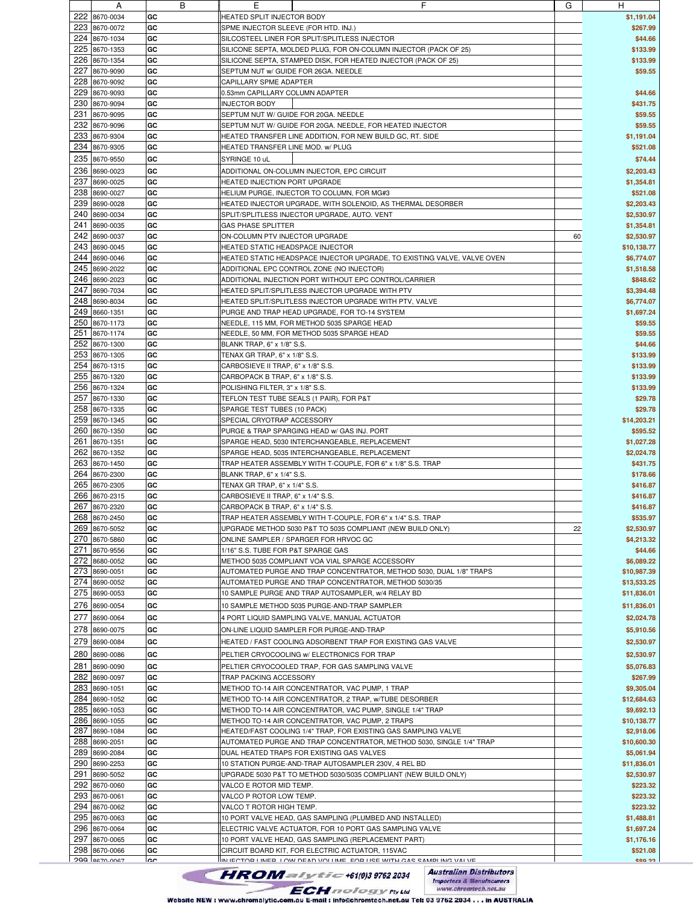|     | A             | В         | Е                                       | F                                                                                                     | G  | H             |
|-----|---------------|-----------|-----------------------------------------|-------------------------------------------------------------------------------------------------------|----|---------------|
| 222 | 8670-0034     | GC        | HEATED SPLIT INJECTOR BODY              |                                                                                                       |    | \$1,191.04    |
|     | 223 8670-0072 | GC        | SPME INJECTOR SLEEVE (FOR HTD. INJ.)    |                                                                                                       |    | \$267.99      |
|     | 224 8670-1034 | GC        |                                         | SILCOSTEEL LINER FOR SPLIT/SPLITLESS INJECTOR                                                         |    | \$44.66       |
|     | 225 8670-1353 | GC        |                                         |                                                                                                       |    | \$133.99      |
| 226 |               |           |                                         | SILICONE SEPTA, MOLDED PLUG, FOR ON-COLUMN INJECTOR (PACK OF 25)                                      |    |               |
|     | 8670-1354     | GC        |                                         | SILICONE SEPTA, STAMPED DISK, FOR HEATED INJECTOR (PACK OF 25)                                        |    | \$133.99      |
| 227 | 8670-9090     | GC        | SEPTUM NUT w/ GUIDE FOR 26GA. NEEDLE    |                                                                                                       |    | \$59.55       |
| 228 | 8670-9092     | GC        | CAPILLARY SPME ADAPTER                  |                                                                                                       |    |               |
|     | 229 8670-9093 | GC        | 0.53mm CAPILLARY COLUMN ADAPTER         |                                                                                                       |    | \$44.66       |
|     | 230 8670-9094 | GC        | <b>INJECTOR BODY</b>                    |                                                                                                       |    | \$431.75      |
| 231 | 8670-9095     | GC        |                                         | SEPTUM NUT W/ GUIDE FOR 20GA. NEEDLE                                                                  |    | \$59.55       |
|     | 232 8670-9096 | GC        |                                         | SEPTUM NUT W/ GUIDE FOR 20GA. NEEDLE, FOR HEATED INJECTOR                                             |    | \$59.55       |
|     | 233 8670-9304 | GC        |                                         | HEATED TRANSFER LINE ADDITION, FOR NEW BUILD GC, RT. SIDE                                             |    | \$1,191.04    |
|     | 234 8670-9305 | GC        | HEATED TRANSFER LINE MOD, w/ PLUG       |                                                                                                       |    | \$521.08      |
|     | 235 8670-9550 | GC        | SYRINGE 10 uL                           |                                                                                                       |    | \$74.44       |
| 236 |               | GC        |                                         |                                                                                                       |    |               |
|     | 8690-0023     |           |                                         | ADDITIONAL ON-COLUMN INJECTOR, EPC CIRCUIT                                                            |    | \$2,203.43    |
| 237 | 8690-0025     | GC        | HEATED INJECTION PORT UPGRADE           |                                                                                                       |    | \$1,354.81    |
|     | 238 8690-0027 | GC        |                                         | HELIUM PURGE, INJECTOR TO COLUMN, FOR MG#3                                                            |    | \$521.08      |
| 239 | 8690-0028     | GC        |                                         | HEATED INJECTOR UPGRADE, WITH SOLENOID, AS THERMAL DESORBER                                           |    | \$2,203.43    |
|     | 240 8690-0034 | GC        |                                         | SPLIT/SPLITLESS INJECTOR UPGRADE, AUTO. VENT                                                          |    | \$2,530.97    |
|     | 241 8690-0035 | GC        | <b>GAS PHASE SPLITTER</b>               |                                                                                                       |    | \$1,354.81    |
| 242 | 8690-0037     | GC        | ON-COLUMN PTV INJECTOR UPGRADE          |                                                                                                       | 60 | \$2,530.97    |
|     | 243 8690-0045 | GC        | <b>HEATED STATIC HEADSPACE INJECTOR</b> |                                                                                                       |    | \$10,138.77   |
|     | 244 8690-0046 | GC        |                                         | HEATED STATIC HEADSPACE INJECTOR UPGRADE, TO EXISTING VALVE, VALVE OVEN                               |    | \$6,774.07    |
|     | 245 8690-2022 | GC        |                                         | ADDITIONAL EPC CONTROL ZONE (NO INJECTOR)                                                             |    | \$1,518.58    |
|     | 246 8690-2023 | GC        |                                         | ADDITIONAL INJECTION PORT WITHOUT EPC CONTROL/CARRIER                                                 |    | \$848.62      |
|     | 247 8690-7034 | GC        |                                         | HEATED SPLIT/SPLITLESS INJECTOR UPGRADE WITH PTV                                                      |    | \$3,394.48    |
| 248 | 8690-8034     | GC        |                                         | HEATED SPLIT/SPLITLESS INJECTOR UPGRADE WITH PTV, VALVE                                               |    | \$6,774.07    |
|     | 249 8660-1351 | GC        |                                         |                                                                                                       |    | \$1,697.24    |
|     |               |           |                                         | PURGE AND TRAP HEAD UPGRADE, FOR TO-14 SYSTEM                                                         |    |               |
|     | 250 8670-1173 | GC        |                                         | NEEDLE, 115 MM, FOR METHOD 5035 SPARGE HEAD                                                           |    | \$59.55       |
| 251 | 8670-1174     | GC        |                                         | NEEDLE, 50 MM, FOR METHOD 5035 SPARGE HEAD                                                            |    | \$59.55       |
|     | 252 8670-1300 | GC        | BLANK TRAP, 6" x 1/8" S.S.              |                                                                                                       |    | \$44.66       |
|     | 253 8670-1305 | GC        | TENAX GR TRAP, 6" x 1/8" S.S.           |                                                                                                       |    | \$133.99      |
|     | 254 8670-1315 | GC        | CARBOSIEVE II TRAP, 6" x 1/8" S.S.      |                                                                                                       |    | \$133.99      |
|     | 255 8670-1320 | GC        | CARBOPACK B TRAP, 6" x 1/8" S.S.        |                                                                                                       |    | \$133.99      |
|     | 256 8670-1324 | GC        | POLISHING FILTER, 3" x 1/8" S.S.        |                                                                                                       |    | \$133.99      |
|     | 257 8670-1330 | GC        |                                         | TEFLON TEST TUBE SEALS (1 PAIR), FOR P&T                                                              |    | \$29.78       |
|     | 258 8670-1335 | GC        | SPARGE TEST TUBES (10 PACK)             |                                                                                                       |    | \$29.78       |
|     | 259 8670-1345 | GC        | SPECIAL CRYOTRAP ACCESSORY              |                                                                                                       |    | \$14,203.21   |
|     | 260 8670-1350 | GC        |                                         | PURGE & TRAP SPARGING HEAD w/ GAS INJ. PORT                                                           |    | \$595.52      |
|     | 261 8670-1351 | GC        |                                         | SPARGE HEAD, 5030 INTERCHANGEABLE, REPLACEMENT                                                        |    |               |
|     |               |           |                                         |                                                                                                       |    | \$1,027.28    |
|     | 262 8670-1352 | GC        |                                         | SPARGE HEAD, 5035 INTERCHANGEABLE, REPLACEMENT                                                        |    | \$2,024.78    |
|     | 263 8670-1450 | GC        |                                         | TRAP HEATER ASSEMBLY WITH T-COUPLE, FOR 6" x 1/8" S.S. TRAP                                           |    | \$431.75      |
|     | 264 8670-2300 | GC        | BLANK TRAP, 6" x 1/4" S.S.              |                                                                                                       |    | \$178.66      |
|     | 265 8670-2305 | GC        | TENAX GR TRAP, 6" x 1/4" S.S.           |                                                                                                       |    | \$416.87      |
|     | 266 8670-2315 | GC        | CARBOSIEVE II TRAP. 6" x 1/4" S.S.      |                                                                                                       |    | \$416.87      |
| 267 | 8670-2320     | GC        | CARBOPACK B TRAP, 6" x 1/4" S.S.        |                                                                                                       |    | \$416.87      |
|     | 268 8670-2450 | GC        |                                         | TRAP HEATER ASSEMBLY WITH T-COUPLE, FOR 6" x 1/4" S.S. TRAP                                           |    | \$535.97      |
|     | 269 8670-5052 | GC        |                                         | UPGRADE METHOD 5030 P&T TO 5035 COMPLIANT (NEW BUILD ONLY)                                            | 22 | \$2,530.97    |
|     | 270 8670-5860 | GC        |                                         | ONLINE SAMPLER / SPARGER FOR HRVOC GC                                                                 |    | \$4,213.32    |
|     | 271 8670-9556 | GC        | 1/16" S.S. TUBE FOR P&T SPARGE GAS      |                                                                                                       |    | \$44.66       |
|     | 272 8680-0052 | GC        |                                         | METHOD 5035 COMPLIANT VOA VIAL SPARGE ACCESSORY                                                       |    | \$6,089.22    |
|     | 273 8690-0051 | GC        |                                         | AUTOMATED PURGE AND TRAP CONCENTRATOR, METHOD 5030, DUAL 1/8" TRAPS                                   |    | \$10,987.39   |
|     | 274 8690-0052 | GC        |                                         | AUTOMATED PURGE AND TRAP CONCENTRATOR, METHOD 5030/35                                                 |    | \$13,533.25   |
|     | 275 8690-0053 | GC        |                                         | 10 SAMPLE PURGE AND TRAP AUTOSAMPLER, w/4 RELAY BD                                                    |    | \$11,836.01   |
|     |               |           |                                         |                                                                                                       |    |               |
|     | 276 8690-0054 | GC        |                                         | 10 SAMPLE METHOD 5035 PURGE-AND-TRAP SAMPLER                                                          |    | \$11,836.01   |
| 277 | 8690-0064     | GC        |                                         | 4 PORT LIQUID SAMPLING VALVE, MANUAL ACTUATOR                                                         |    | \$2,024.78    |
| 278 | 8690-0075     | GC        |                                         | ON-LINE LIQUID SAMPLER FOR PURGE-AND-TRAP                                                             |    | \$5,910.56    |
| 279 | 8690-0084     | GC        |                                         | HEATED / FAST COOLING ADSORBENT TRAP FOR EXISTING GAS VALVE                                           |    | \$2,530.97    |
|     | 280 8690-0086 | GC        |                                         | PELTIER CRYOCOOLING w/ ELECTRONICS FOR TRAP                                                           |    | \$2,530.97    |
|     |               |           |                                         |                                                                                                       |    |               |
| 281 | 8690-0090     | GC        |                                         | PELTIER CRYOCOOLED TRAP, FOR GAS SAMPLING VALVE                                                       |    | \$5,076.83    |
|     | 282 8690-0097 | GC        | TRAP PACKING ACCESSORY                  |                                                                                                       |    | \$267.99      |
|     | 283 8690-1051 | GC        |                                         | METHOD TO-14 AIR CONCENTRATOR, VAC PUMP, 1 TRAP                                                       |    | \$9,305.04    |
|     | 284 8690-1052 | GC        |                                         | METHOD TO-14 AIR CONCENTRATOR, 2 TRAP, w/TUBE DESORBER                                                |    | \$12,684.63   |
|     | 285 8690-1053 | GC        |                                         | METHOD TO-14 AIR CONCENTRATOR, VAC PUMP, SINGLE 1/4" TRAP                                             |    | \$9,692.13    |
|     | 286 8690-1055 | GC        |                                         | METHOD TO-14 AIR CONCENTRATOR, VAC PUMP, 2 TRAPS                                                      |    | \$10,138.77   |
| 287 | 8690-1084     | GC        |                                         | HEATED/FAST COOLING 1/4" TRAP, FOR EXISTING GAS SAMPLING VALVE                                        |    | \$2,918.06    |
|     | 288 8690-2051 | GC        |                                         | AUTOMATED PURGE AND TRAP CONCENTRATOR, METHOD 5030, SINGLE 1/4" TRAP                                  |    | \$10,600.30   |
|     | 289 8690-2084 | GC        |                                         | DUAL HEATED TRAPS FOR EXISTING GAS VALVES                                                             |    | \$5,061.94    |
|     | 290 8690-2253 | GC        |                                         | 10 STATION PURGE-AND-TRAP AUTOSAMPLER 230V, 4 REL BD                                                  |    | \$11,836.01   |
|     | 291 8690-5052 | GC        |                                         | UPGRADE 5030 P&T TO METHOD 5030/5035 COMPLIANT (NEW BUILD ONLY)                                       |    | \$2,530.97    |
|     | 292 8670-0060 | GC        | VALCO E ROTOR MID TEMP.                 |                                                                                                       |    | \$223.32      |
|     |               |           |                                         |                                                                                                       |    | \$223.32      |
|     | 293 8670-0061 | GC        | VALCO P ROTOR LOW TEMP.                 |                                                                                                       |    |               |
|     | 294 8670-0062 | GC        | VALCO T ROTOR HIGH TEMP.                |                                                                                                       |    | \$223.32      |
|     | 295 8670-0063 | GC        |                                         | 10 PORT VALVE HEAD, GAS SAMPLING (PLUMBED AND INSTALLED)                                              |    | \$1,488.81    |
|     | 296 8670-0064 | GC        |                                         | ELECTRIC VALVE ACTUATOR, FOR 10 PORT GAS SAMPLING VALVE                                               |    | \$1,697.24    |
|     | 297 8670-0065 | GC        |                                         | 10 PORT VALVE HEAD, GAS SAMPLING (REPLACEMENT PART)                                                   |    | \$1,176.16    |
|     | 298 8670-0066 | GC        |                                         | CIRCUIT BOARD KIT, FOR ELECTRIC ACTUATOR, 115VAC                                                      |    | \$521.08      |
|     | 299 8670-0067 | <b>CC</b> |                                         | IN IFOTOR LINER LOW DEAD VOLLIME FOR LISE WITH CAS SAMPLING VALVE                                     |    | <b>CRO 33</b> |
|     |               |           |                                         | <b>Australian Distributors</b><br><b>HROM</b> all $y$ tic +61(0)3 9762 2034<br>maartare 2 Manufacusar |    |               |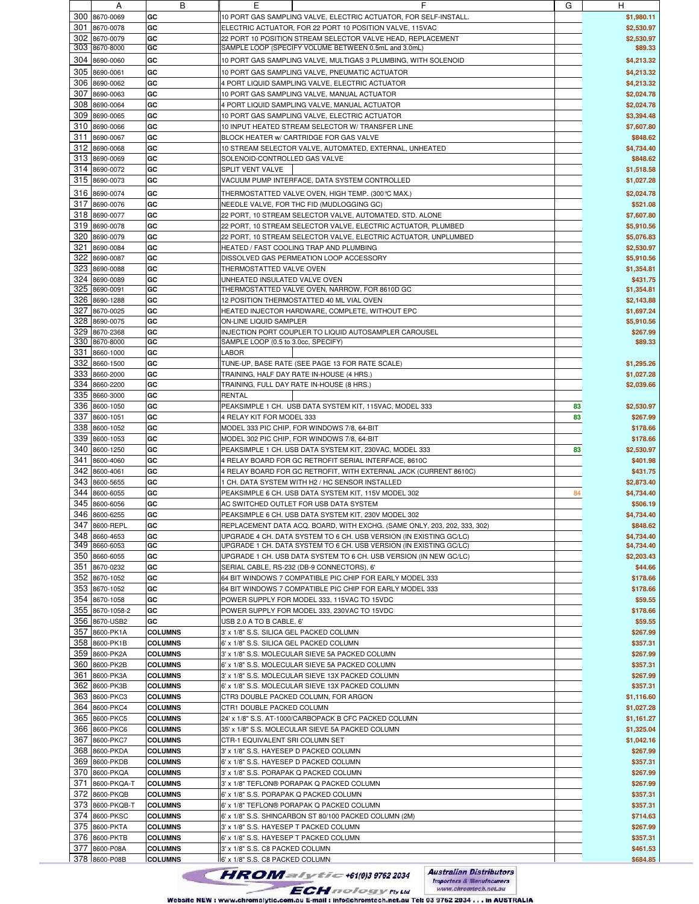|     | A               | в              | ᄇ                                                                        | G  | H          |
|-----|-----------------|----------------|--------------------------------------------------------------------------|----|------------|
|     | 300 8670-0069   | GC             | 10 PORT GAS SAMPLING VALVE, ELECTRIC ACTUATOR, FOR SELF-INSTALL          |    | \$1,980.11 |
|     | 301 8670-0078   |                |                                                                          |    |            |
|     |                 | GC             | ELECTRIC ACTUATOR, FOR 22 PORT 10 POSITION VALVE, 115VAC                 |    | \$2,530.97 |
|     | 302 8670-0079   | GC             | 22 PORT 10 POSITION STREAM SELECTOR VALVE HEAD, REPLACEMENT              |    | \$2,530.97 |
|     | 303 8670-8000   | GC             | SAMPLE LOOP (SPECIFY VOLUME BETWEEN 0.5mL and 3.0mL)                     |    | \$89.33    |
|     |                 |                |                                                                          |    |            |
|     | 304 8690-0060   | GC             | 10 PORT GAS SAMPLING VALVE, MULTIGAS 3 PLUMBING, WITH SOLENOID           |    | \$4,213.32 |
|     | 305 8690-0061   | GC             | 10 PORT GAS SAMPLING VALVE, PNEUMATIC ACTUATOR                           |    | \$4,213.32 |
|     |                 |                |                                                                          |    |            |
|     | 306 8690-0062   | GC             | 4 PORT LIQUID SAMPLING VALVE, ELECTRIC ACTUATOR                          |    | \$4,213.32 |
|     | 307 8690-0063   | GC             | 10 PORT GAS SAMPLING VALVE, MANUAL ACTUATOR                              |    | \$2,024.78 |
|     |                 |                |                                                                          |    |            |
|     | 308 8690-0064   | GC             | 4 PORT LIQUID SAMPLING VALVE, MANUAL ACTUATOR                            |    | \$2,024.78 |
|     | 309 8690-0065   | GC             | 10 PORT GAS SAMPLING VALVE, ELECTRIC ACTUATOR                            |    | \$3,394.48 |
|     | 310 8690-0066   | GC             | 10 INPUT HEATED STREAM SELECTOR W/ TRANSFER LINE                         |    | \$7,607.80 |
|     |                 |                |                                                                          |    |            |
|     | 311 8690-0067   | GC             | BLOCK HEATER W/ CARTRIDGE FOR GAS VALVE                                  |    | \$848.62   |
|     | 312 8690-0068   | GC             | 10 STREAM SELECTOR VALVE, AUTOMATED, EXTERNAL, UNHEATED                  |    | \$4,734.40 |
|     |                 |                |                                                                          |    |            |
|     | 313 8690-0069   | GC             | SOLENOID-CONTROLLED GAS VALVE                                            |    | \$848.62   |
|     | 314 8690-0072   | GC             | SPLIT VENT VALVE                                                         |    | \$1,518.58 |
|     |                 |                |                                                                          |    |            |
|     | 315 8690-0073   | GC             | VACUUM PUMP INTERFACE, DATA SYSTEM CONTROLLED                            |    | \$1,027.28 |
|     | 316 8690-0074   | GC             | THERMOSTATTED VALVE OVEN, HIGH TEMP. (300℃ MAX.)                         |    | \$2,024.78 |
|     |                 |                |                                                                          |    |            |
|     | 317 8690-0076   | GC             | NEEDLE VALVE, FOR THC FID (MUDLOGGING GC)                                |    | \$521.08   |
|     | 318 8690-0077   | GC             | 22 PORT, 10 STREAM SELECTOR VALVE, AUTOMATED, STD. ALONE                 |    | \$7,607.80 |
|     |                 |                |                                                                          |    |            |
|     | 319 8690-0078   | GC             | 22 PORT, 10 STREAM SELECTOR VALVE, ELECTRIC ACTUATOR, PLUMBED            |    | \$5,910.56 |
|     | 320 8690-0079   | GC             | 22 PORT, 10 STREAM SELECTOR VALVE, ELECTRIC ACTUATOR, UNPLUMBED          |    | \$5,076.83 |
| 321 | 8690-0084       | GC             | HEATED / FAST COOLING TRAP AND PLUMBING                                  |    | \$2,530.97 |
|     |                 |                |                                                                          |    |            |
|     | 322 8690-0087   | GC             | DISSOLVED GAS PERMEATION LOOP ACCESSORY                                  |    | \$5,910.56 |
| 323 | 8690-0088       | GC             | THERMOSTATTED VALVE OVEN                                                 |    | \$1,354.81 |
|     |                 |                |                                                                          |    |            |
|     | 324 8690-0089   | GC             | UNHEATED INSULATED VALVE OVEN                                            |    | \$431.75   |
|     | 325 8690-0091   | GC             | THERMOSTATTED VALVE OVEN, NARROW, FOR 8610D GC                           |    | \$1,354.81 |
|     | 326 8690-1288   | GC             | 12 POSITION THERMOSTATTED 40 ML VIAL OVEN                                |    | \$2,143.88 |
|     |                 |                |                                                                          |    |            |
| 327 | 8670-0025       | GC             | HEATED INJECTOR HARDWARE, COMPLETE, WITHOUT EPC                          |    | \$1,697.24 |
|     | 328 8690-0075   | GC             | ON-LINE LIQUID SAMPLER                                                   |    | \$5,910.56 |
|     |                 |                |                                                                          |    |            |
| 329 | 8670-2368       | GC             | INJECTION PORT COUPLER TO LIQUID AUTOSAMPLER CAROUSEL                    |    | \$267.99   |
|     | 330 8670-8000   | GC             | SAMPLE LOOP (0.5 to 3.0cc, SPECIFY)                                      |    | \$89.33    |
|     | 331 8660-1000   | GC             | LABOR                                                                    |    |            |
|     |                 |                |                                                                          |    |            |
| 332 | 8660-1500       | GC             | TUNE-UP, BASE RATE (SEE PAGE 13 FOR RATE SCALE)                          |    | \$1,295.26 |
|     | 333 8660-2000   | GC             | TRAINING, HALF DAY RATE IN-HOUSE (4 HRS.)                                |    | \$1,027.28 |
|     |                 |                |                                                                          |    |            |
|     | 334 8660-2200   | GC             | TRAINING, FULL DAY RATE IN-HOUSE (8 HRS.)                                |    | \$2,039.66 |
|     | 335 8660-3000   | GC             | <b>RENTAL</b>                                                            |    |            |
|     | 336 8600-1050   | GC             | PEAKSIMPLE 1 CH. USB DATA SYSTEM KIT, 115VAC, MODEL 333                  | 83 | \$2,530.97 |
|     |                 |                |                                                                          |    |            |
|     | 337 8600-1051   | GC             | 4 RELAY KIT FOR MODEL 333                                                | 83 | \$267.99   |
|     | 338 8600-1052   | GC             | MODEL 333 PIC CHIP, FOR WINDOWS 7/8, 64-BIT                              |    | \$178.66   |
|     |                 |                |                                                                          |    |            |
|     | 339 8600-1053   | GC             | MODEL 302 PIC CHIP, FOR WINDOWS 7/8, 64-BIT                              |    | \$178.66   |
|     | 340 8600-1250   | GC             | PEAKSIMPLE 1 CH. USB DATA SYSTEM KIT, 230VAC, MODEL 333                  | 83 | \$2,530.97 |
| 341 | 8600-4060       | GC             | 4 RELAY BOARD FOR GC RETROFIT SERIAL INTERFACE, 8610C                    |    | \$401.98   |
|     |                 |                |                                                                          |    |            |
|     | 342 8600-4061   | GC             | 4 RELAY BOARD FOR GC RETROFIT, WITH EXTERNAL JACK (CURRENT 8610C)        |    | \$431.75   |
|     | 343 8600-5655   | GC             | 1 CH. DATA SYSTEM WITH H2 / HC SENSOR INSTALLED                          |    | \$2,873.40 |
|     |                 |                |                                                                          |    |            |
| 344 | 8600-6055       | GC             | PEAKSIMPLE 6 CH. USB DATA SYSTEM KIT, 115V MODEL 302                     | 84 | \$4,734.40 |
| 345 | 8600-6056       | GC             | AC SWITCHED OUTLET FOR USB DATA SYSTEM                                   |    | \$506.19   |
|     |                 |                |                                                                          |    |            |
|     | 346 8600-6255   | GC             | PEAKSIMPLE 6 CH. USB DATA SYSTEM KIT, 230V MODEL 302                     |    | \$4,734.40 |
|     | 347 8600-REPL   | GC             | REPLACEMENT DATA ACQ. BOARD, WITH EXCHG. (SAME ONLY, 203, 202, 333, 302) |    | \$848.62   |
|     | 348 8660-4653   |                |                                                                          |    |            |
|     |                 | GC             | UPGRADE 4 CH. DATA SYSTEM TO 6 CH. USB VERSION (IN EXISTING GC/LC)       |    | \$4,734.40 |
|     | 349 8660-6053   | GC             | UPGRADE 1 CH. DATA SYSTEM TO 6 CH. USB VERSION (IN EXISTING GC/LC)       |    | \$4,734.40 |
|     | 350 8660-6055   | GC             | UPGRADE 1 CH. USB DATA SYSTEM TO 6 CH. USB VERSION (IN NEW GC/LC)        |    | \$2,203.43 |
|     |                 |                |                                                                          |    |            |
|     | 351 8670-0232   | GC             | SERIAL CABLE, RS-232 (DB-9 CONNECTORS), 6'                               |    | \$44.66    |
|     | 352 8670-1052   | GC             | 64 BIT WINDOWS 7 COMPATIBLE PIC CHIP FOR EARLY MODEL 333                 |    | \$178.66   |
|     | 353 8670-1052   | GC             | 64 BIT WINDOWS 7 COMPATIBLE PIC CHIP FOR EARLY MODEL 333                 |    | \$178.66   |
|     |                 |                |                                                                          |    |            |
|     | 354 8670-1058   | GC             | POWER SUPPLY FOR MODEL 333, 115VAC TO 15VDC                              |    | \$59.55    |
|     | 355 8670-1058-2 | GC             | POWER SUPPLY FOR MODEL 333, 230VAC TO 15VDC                              |    | \$178.66   |
|     | 356 8670-USB2   | GC             |                                                                          |    |            |
|     |                 |                | USB 2.0 A TO B CABLE, 6'                                                 |    | \$59.55    |
|     | 357 8600-PK1A   | <b>COLUMNS</b> | 3' x 1/8" S.S. SILICA GEL PACKED COLUMN                                  |    | \$267.99   |
|     | 358 8600-PK1B   | <b>COLUMNS</b> | 6' x 1/8" S.S. SILICA GEL PACKED COLUMN                                  |    | \$357.31   |
|     |                 |                |                                                                          |    |            |
|     | 359 8600-PK2A   | <b>COLUMNS</b> | 3' x 1/8" S.S. MOLECULAR SIEVE 5A PACKED COLUMN                          |    | \$267.99   |
|     | 360 8600-PK2B   | <b>COLUMNS</b> | 6' x 1/8" S.S. MOLECULAR SIEVE 5A PACKED COLUMN                          |    | \$357.31   |
|     |                 |                |                                                                          |    |            |
|     | 361 8600-PK3A   | <b>COLUMNS</b> | 3' x 1/8" S.S. MOLECULAR SIEVE 13X PACKED COLUMN                         |    | \$267.99   |
|     | 362 8600-PK3B   | <b>COLUMNS</b> | 6' x 1/8" S.S. MOLECULAR SIEVE 13X PACKED COLUMN                         |    | \$357.31   |
|     | 363 8600-PKC3   | <b>COLUMNS</b> | CTR3 DOUBLE PACKED COLUMN, FOR ARGON                                     |    | \$1,116.60 |
|     |                 |                |                                                                          |    |            |
|     | 364 8600-PKC4   | <b>COLUMNS</b> | CTR1 DOUBLE PACKED COLUMN                                                |    | \$1,027.28 |
|     | 365 8600-PKC5   | <b>COLUMNS</b> | 24' x 1/8" S.S. AT-1000/CARBOPACK B CFC PACKED COLUMN                    |    | \$1,161.27 |
|     |                 |                |                                                                          |    |            |
|     | 366 8600-PKC6   | <b>COLUMNS</b> | 35' x 1/8" S.S. MOLECULAR SIEVE 5A PACKED COLUMN                         |    | \$1,325.04 |
|     | 367 8600-PKC7   | <b>COLUMNS</b> | CTR-1 EQUIVALENT SRI COLUMN SET                                          |    | \$1,042.16 |
|     | 368 8600-PKDA   | <b>COLUMNS</b> | 3' x 1/8" S.S. HAYESEP D PACKED COLUMN                                   |    | \$267.99   |
|     |                 |                |                                                                          |    |            |
|     | 369 8600-PKDB   | <b>COLUMNS</b> | 6' x 1/8" S.S. HAYESEP D PACKED COLUMN                                   |    | \$357.31   |
|     | 370 8600-PKQA   | <b>COLUMNS</b> | 3' x 1/8" S.S. PORAPAK Q PACKED COLUMN                                   |    | \$267.99   |
|     |                 |                |                                                                          |    |            |
|     | 371 8600-PKQA-T | <b>COLUMNS</b> | 3' x 1/8" TEFLON® PORAPAK Q PACKED COLUMN                                |    | \$267.99   |
|     | 372 8600-PKQB   | <b>COLUMNS</b> | 6' x 1/8" S.S. PORAPAK Q PACKED COLUMN                                   |    | \$357.31   |
|     |                 |                |                                                                          |    |            |
|     | 373 8600-PKQB-T | <b>COLUMNS</b> | 6' x 1/8" TEFLON® PORAPAK Q PACKED COLUMN                                |    | \$357.31   |
|     | 374 8600-PKSC   | <b>COLUMNS</b> | 6' x 1/8" S.S. SHINCARBON ST 80/100 PACKED COLUMN (2M)                   |    | \$714.63   |
|     | 375 8600-PKTA   | <b>COLUMNS</b> | 3' x 1/8" S.S. HAYESEP T PACKED COLUMN                                   |    | \$267.99   |
|     |                 |                |                                                                          |    |            |
|     | 376 8600-PKTB   | <b>COLUMNS</b> | 6' x 1/8" S.S. HAYESEP T PACKED COLUMN                                   |    | \$357.31   |
|     | 377 8600-P08A   | <b>COLUMNS</b> | 3' x 1/8" S.S. C8 PACKED COLUMN                                          |    | \$461.53   |
|     |                 |                |                                                                          |    |            |
|     | 378 8600-P08B   | <b>COLUMNS</b> | 6' x 1/8" S.S. C8 PACKED COLUMN                                          |    | \$684.85   |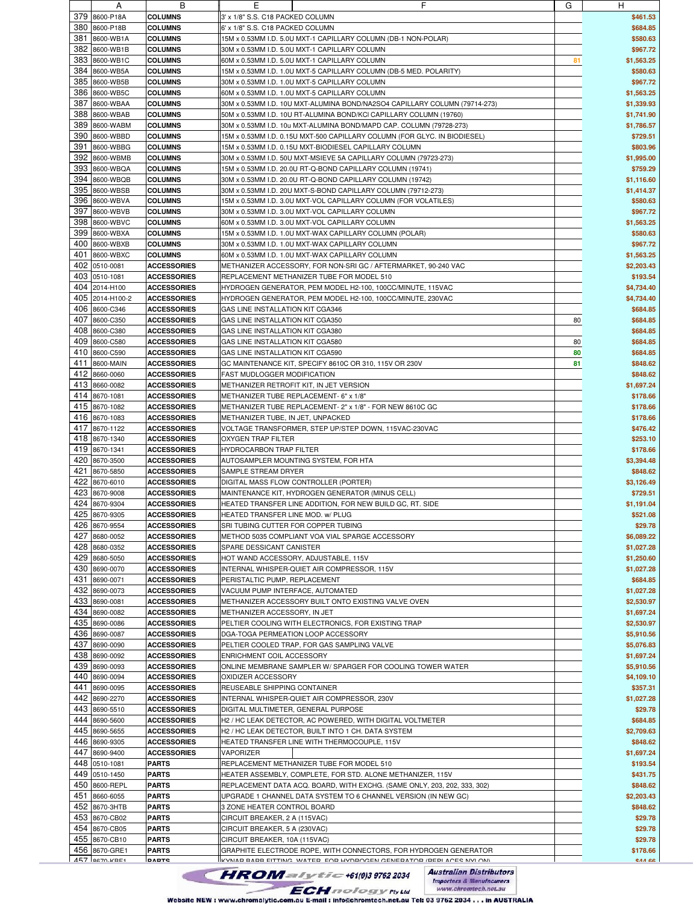|     | A               | в                  | ᄇ                                                                          | G  | н            |
|-----|-----------------|--------------------|----------------------------------------------------------------------------|----|--------------|
|     | 379 8600-P18A   | <b>COLUMNS</b>     | 3' x 1/8" S.S. C18 PACKED COLUMN                                           |    | \$461.53     |
| 380 |                 |                    |                                                                            |    | \$684.85     |
|     | 8600-P18B       | <b>COLUMNS</b>     | 6' x 1/8" S.S. C18 PACKED COLUMN                                           |    |              |
| 381 | 8600-WB1A       | <b>COLUMNS</b>     | 15M x 0.53MM I.D. 5.0U MXT-1 CAPILLARY COLUMN (DB-1 NON-POLAR)             |    | \$580.63     |
| 382 | 8600-WB1B       | <b>COLUMNS</b>     | 30M x 0.53MM I.D. 5.0U MXT-1 CAPILLARY COLUMN                              |    | \$967.72     |
| 383 | 8600-WB1C       | <b>COLUMNS</b>     | 60M x 0.53MM I.D. 5.0U MXT-1 CAPILLARY COLUMN                              | 81 | \$1,563.25   |
| 384 | 8600-WB5A       | <b>COLUMNS</b>     | 15M x 0.53MM I.D. 1.0U MXT-5 CAPILLARY COLUMN (DB-5 MED. POLARITY)         |    | \$580.63     |
|     |                 |                    |                                                                            |    |              |
| 385 | 8600-WB5B       | <b>COLUMNS</b>     | 30M x 0.53MM I.D. 1.0U MXT-5 CAPILLARY COLUMN                              |    | \$967.72     |
| 386 | 8600-WB5C       | <b>COLUMNS</b>     | 60M x 0.53MM I.D. 1.0U MXT-5 CAPILLARY COLUMN                              |    | \$1,563.25   |
| 387 | 8600-WBAA       | <b>COLUMNS</b>     | 30M x 0.53MM I.D. 10U MXT-ALUMINA BOND/NA2SO4 CAPILLARY COLUMN (79714-273) |    | \$1,339.93   |
| 388 | 8600-WBAB       | <b>COLUMNS</b>     | 50M x 0.53MM I.D. 10U RT-ALUMINA BOND/KCI CAPILLARY COLUMN (19760)         |    | \$1,741.90   |
|     |                 |                    |                                                                            |    |              |
| 389 | 8600-WABM       | <b>COLUMNS</b>     | 30M x 0.53MM I.D. 10u MXT-ALUMINA BOND/MAPD CAP. COLUMN (79728-273)        |    | \$1,786.57   |
| 390 | 8600-WBBD       | <b>COLUMNS</b>     | 15M x 0.53MM I.D. 0.15U MXT-500 CAPILLARY COLUMN (FOR GLYC. IN BIODIESEL)  |    | \$729.51     |
| 391 | 8600-WBBG       | <b>COLUMNS</b>     | 15M x 0.53MM I.D. 0.15U MXT-BIODIESEL CAPILLARY COLUMN                     |    | \$803.96     |
| 392 | 8600-WBMB       | <b>COLUMNS</b>     | 30M x 0.53MM I.D. 50U MXT-MSIEVE 5A CAPILLARY COLUMN (79723-273)           |    | \$1,995.00   |
|     |                 |                    |                                                                            |    |              |
| 393 | 8600-WBQA       | <b>COLUMNS</b>     | 15M x 0.53MM I.D. 20.0U RT-Q-BOND CAPILLARY COLUMN (19741)                 |    | \$759.29     |
| 394 | 8600-WBQB       | <b>COLUMNS</b>     | 30M x 0.53MM I.D. 20.0U RT-Q-BOND CAPILLARY COLUMN (19742)                 |    | \$1,116.60   |
| 395 | 8600-WBSB       | <b>COLUMNS</b>     | 30M x 0.53MM I.D. 20U MXT-S-BOND CAPILLARY COLUMN (79712-273)              |    | \$1,414.37   |
| 396 | 8600-WBVA       | <b>COLUMNS</b>     | 15M x 0.53MM I.D. 3.0U MXT-VOL CAPILLARY COLUMN (FOR VOLATILES)            |    | \$580.63     |
|     |                 |                    |                                                                            |    |              |
| 397 | 8600-WBVB       | <b>COLUMNS</b>     | 30M x 0.53MM I.D. 3.0U MXT-VOL CAPILLARY COLUMN                            |    | \$967.72     |
| 398 | 8600-WBVC       | <b>COLUMNS</b>     | 60M x 0.53MM I.D. 3.0U MXT-VOL CAPILLARY COLUMN                            |    | \$1,563.25   |
| 399 | 8600-WBXA       | <b>COLUMNS</b>     | 15M x 0.53MM I.D. 1.0U MXT-WAX CAPILLARY COLUMN (POLAR)                    |    | \$580.63     |
|     | 400 8600-WBXB   | <b>COLUMNS</b>     | 30M x 0.53MM I.D. 1.0U MXT-WAX CAPILLARY COLUMN                            |    | \$967.72     |
| 401 |                 |                    |                                                                            |    |              |
|     | 8600-WBXC       | <b>COLUMNS</b>     | 60M x 0.53MM I.D. 1.0U MXT-WAX CAPILLARY COLUMN                            |    | \$1,563.25   |
|     | 402 0510-0081   | <b>ACCESSORIES</b> | METHANIZER ACCESSORY, FOR NON-SRI GC / AFTERMARKET, 90-240 VAC             |    | \$2,203.43   |
|     | 403 0510-1081   | <b>ACCESSORIES</b> | REPLACEMENT METHANIZER TUBE FOR MODEL 510                                  |    | \$193.54     |
|     | 404 2014-H100   | <b>ACCESSORIES</b> | HYDROGEN GENERATOR, PEM MODEL H2-100, 100CC/MINUTE, 115VAC                 |    | \$4,734.40   |
|     | 405 2014-H100-2 |                    | HYDROGEN GENERATOR, PEM MODEL H2-100, 100CC/MINUTE, 230VAC                 |    | \$4,734.40   |
|     |                 | <b>ACCESSORIES</b> |                                                                            |    |              |
|     | 406 8600-C346   | <b>ACCESSORIES</b> | GAS LINE INSTALLATION KIT CGA346                                           |    | \$684.85     |
|     | 407 8600-C350   | <b>ACCESSORIES</b> | GAS LINE INSTALLATION KIT CGA350                                           | 80 | \$684.85     |
| 408 | 8600-C380       | <b>ACCESSORIES</b> | <b>GAS LINE INSTALLATION KIT CGA380</b>                                    |    | \$684.85     |
| 409 | 8600-C580       | <b>ACCESSORIES</b> | GAS LINE INSTALLATION KIT CGA580                                           | 80 | \$684.85     |
|     |                 |                    |                                                                            |    |              |
|     | 410 8600-C590   | <b>ACCESSORIES</b> | GAS LINE INSTALLATION KIT CGA590                                           | 80 | \$684.85     |
| 411 | 8600-MAIN       | <b>ACCESSORIES</b> | GC MAINTENANCE KIT, SPECIFY 8610C OR 310, 115V OR 230V                     | 81 | \$848.62     |
|     | 412 8660-0060   | <b>ACCESSORIES</b> | FAST MUDLOGGER MODIFICATION                                                |    | \$848.62     |
|     | 413 8660-0082   |                    |                                                                            |    |              |
|     |                 | <b>ACCESSORIES</b> | METHANIZER RETROFIT KIT, IN JET VERSION                                    |    | \$1,697.24   |
| 414 | 8670-1081       | <b>ACCESSORIES</b> | METHANIZER TUBE REPLACEMENT- 6" x 1/8"                                     |    | \$178.66     |
|     | 415 8670-1082   | <b>ACCESSORIES</b> | METHANIZER TUBE REPLACEMENT- 2" x 1/8" - FOR NEW 8610C GC                  |    | \$178.66     |
|     | 416 8670-1083   | <b>ACCESSORIES</b> | METHANIZER TUBE, IN JET, UNPACKED                                          |    | \$178.66     |
|     | 417 8670-1122   |                    |                                                                            |    | \$476.42     |
|     |                 | <b>ACCESSORIES</b> | VOLTAGE TRANSFORMER, STEP UP/STEP DOWN, 115VAC-230VAC                      |    |              |
|     | 418 8670-1340   | <b>ACCESSORIES</b> | OXYGEN TRAP FILTER                                                         |    | \$253.10     |
|     | 419 8670-1341   | <b>ACCESSORIES</b> | HYDROCARBON TRAP FILTER                                                    |    | \$178.66     |
| 420 | 8670-3500       | <b>ACCESSORIES</b> | AUTOSAMPLER MOUNTING SYSTEM, FOR HTA                                       |    | \$3,394.48   |
| 421 | 8670-5850       |                    |                                                                            |    | \$848.62     |
|     |                 | <b>ACCESSORIES</b> | SAMPLE STREAM DRYER                                                        |    |              |
| 422 | 8670-6010       | <b>ACCESSORIES</b> | DIGITAL MASS FLOW CONTROLLER (PORTER)                                      |    | \$3,126.49   |
| 423 | 8670-9008       | <b>ACCESSORIES</b> | MAINTENANCE KIT, HYDROGEN GENERATOR (MINUS CELL)                           |    | \$729.51     |
| 424 | 8670-9304       | <b>ACCESSORIES</b> | HEATED TRANSFER LINE ADDITION, FOR NEW BUILD GC, RT. SIDE                  |    | \$1,191.04   |
|     | 425 8670-9305   | <b>ACCESSORIES</b> | HEATED TRANSFER LINE MOD. w/ PLUG                                          |    | \$521.08     |
|     |                 |                    |                                                                            |    |              |
|     | 426 8670-9554   | <b>ACCESSORIES</b> | SRI TUBING CUTTER FOR COPPER TUBING                                        |    | \$29.78      |
|     | 427 8680-0052   | <b>ACCESSORIES</b> | METHOD 5035 COMPLIANT VOA VIAL SPARGE ACCESSORY                            |    | \$6,089.22   |
|     | 428 8680-0352   | <b>ACCESSORIES</b> | SPARE DESSICANT CANISTER                                                   |    | \$1,027.28   |
|     | 429 8680-5050   | <b>ACCESSORIES</b> | HOT WAND ACCESSORY, ADJUSTABLE, 115V                                       |    | \$1,250.60   |
|     |                 |                    |                                                                            |    |              |
|     | 430 8690-0070   | <b>ACCESSORIES</b> | INTERNAL WHISPER-QUIET AIR COMPRESSOR, 115V                                |    | \$1,027.28   |
|     | 431 8690-0071   | <b>ACCESSORIES</b> | PERISTALTIC PUMP, REPLACEMENT                                              |    | \$684.85     |
|     | 432 8690-0073   | <b>ACCESSORIES</b> | VACUUM PUMP INTERFACE, AUTOMATED                                           |    | \$1,027.28   |
|     | 433 8690-0081   | <b>ACCESSORIES</b> | METHANIZER ACCESSORY BUILT ONTO EXISTING VALVE OVEN                        |    | \$2,530.97   |
|     |                 |                    |                                                                            |    |              |
|     | 434 8690-0082   | <b>ACCESSORIES</b> | METHANIZER ACCESSORY, IN JET                                               |    | \$1,697.24   |
|     | 435 8690-0086   | <b>ACCESSORIES</b> | PELTIER COOLING WITH ELECTRONICS, FOR EXISTING TRAP                        |    | \$2,530.97   |
|     | 436 8690-0087   | <b>ACCESSORIES</b> | DGA-TOGA PERMEATION LOOP ACCESSORY                                         |    | \$5,910.56   |
| 437 | 8690-0090       | <b>ACCESSORIES</b> | PELTIER COOLED TRAP, FOR GAS SAMPLING VALVE                                |    | \$5,076.83   |
|     | 438 8690-0092   | <b>ACCESSORIES</b> | ENRICHMENT COIL ACCESSORY                                                  |    | \$1,697.24   |
|     |                 |                    |                                                                            |    |              |
|     | 439 8690-0093   | <b>ACCESSORIES</b> | ONLINE MEMBRANE SAMPLER W/ SPARGER FOR COOLING TOWER WATER                 |    | \$5,910.56   |
| 440 | 8690-0094       | <b>ACCESSORIES</b> | OXIDIZER ACCESSORY                                                         |    | \$4,109.10   |
|     | 441 8690-0095   | <b>ACCESSORIES</b> | REUSEABLE SHIPPING CONTAINER                                               |    | \$357.31     |
| 442 | 8690-2270       | <b>ACCESSORIES</b> | INTERNAL WHISPER-QUIET AIR COMPRESSOR, 230V                                |    | \$1,027.28   |
|     |                 |                    |                                                                            |    |              |
|     | 443 8690-5510   | <b>ACCESSORIES</b> | DIGITAL MULTIMETER, GENERAL PURPOSE                                        |    | \$29.78      |
|     | 444 8690-5600   | <b>ACCESSORIES</b> | H2 / HC LEAK DETECTOR, AC POWERED, WITH DIGITAL VOLTMETER                  |    | \$684.85     |
| 445 | 8690-5655       | <b>ACCESSORIES</b> | H2 / HC LEAK DETECTOR, BUILT INTO 1 CH. DATA SYSTEM                        |    | \$2,709.63   |
|     | 446 8690-9305   | <b>ACCESSORIES</b> | HEATED TRANSFER LINE WITH THERMOCOUPLE, 115V                               |    | \$848.62     |
|     |                 |                    |                                                                            |    |              |
| 447 | 8690-9400       | <b>ACCESSORIES</b> | VAPORIZER                                                                  |    | \$1,697.24   |
|     | 448 0510-1081   | <b>PARTS</b>       | REPLACEMENT METHANIZER TUBE FOR MODEL 510                                  |    | \$193.54     |
|     | 449 0510-1450   | <b>PARTS</b>       | HEATER ASSEMBLY, COMPLETE, FOR STD. ALONE METHANIZER, 115V                 |    | \$431.75     |
|     | 450 8600-REPL   | <b>PARTS</b>       | REPLACEMENT DATA ACQ. BOARD, WITH EXCHG. (SAME ONLY, 203, 202, 333, 302)   |    | \$848.62     |
|     | 451 8660-6055   |                    |                                                                            |    |              |
|     |                 | <b>PARTS</b>       | JPGRADE 1 CHANNEL DATA SYSTEM TO 6 CHANNEL VERSION (IN NEW GC)             |    | \$2,203.43   |
|     | 452 8670-3HTB   | <b>PARTS</b>       | 3 ZONE HEATER CONTROL BOARD                                                |    | \$848.62     |
|     | 453 8670-CB02   | PARTS              | CIRCUIT BREAKER, 2 A (115VAC)                                              |    | \$29.78      |
|     | 454 8670-CB05   | <b>PARTS</b>       | CIRCUIT BREAKER, 5 A (230VAC)                                              |    | \$29.78      |
|     | 455 8670-CB10   | <b>PARTS</b>       | CIRCUIT BREAKER, 10A (115VAC)                                              |    | \$29.78      |
|     |                 |                    |                                                                            |    |              |
|     | 456 8670-GRE1   | <b>PARTS</b>       | GRAPHITE ELECTRODE ROPE, WITH CONNECTORS, FOR HYDROGEN GENERATOR           |    | \$178.66     |
|     | $457$ 8670-KRF1 | <b>DARTS</b>       | KVNAR RARR FITTING WATER FOR HVDROGEN GENERATOR (REPLACES NVI ON)          |    | <b>AA 66</b> |
|     |                 |                    | <b>Australian Distributors</b><br>$HROM=I_YE=+61(0)397622034$              |    |              |
|     |                 |                    |                                                                            |    |              |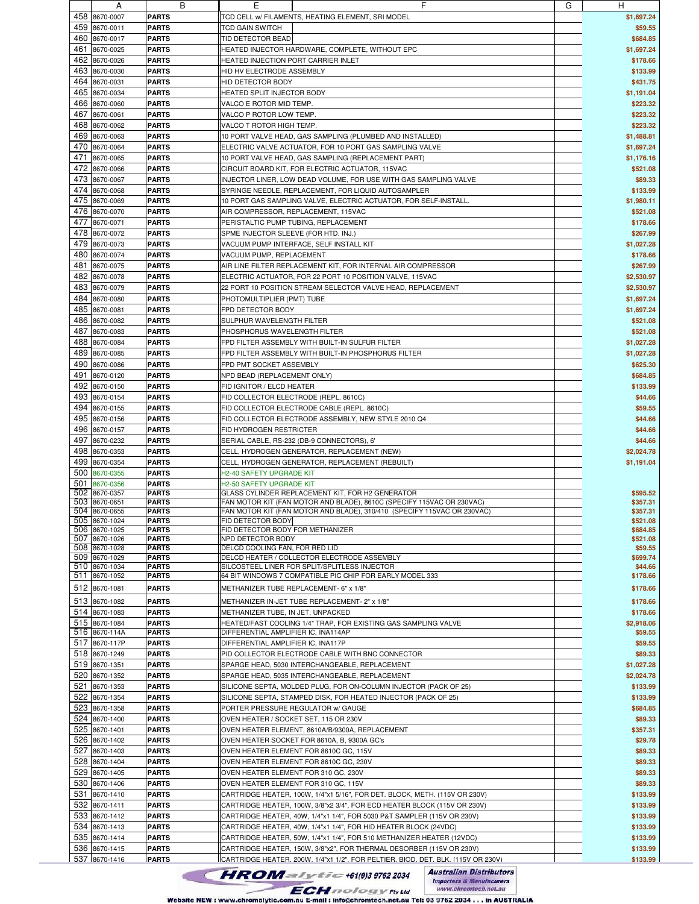| 459 |                                | в                            |                                                                            | G | H                    |
|-----|--------------------------------|------------------------------|----------------------------------------------------------------------------|---|----------------------|
|     | 458 8670-0007                  | <b>PARTS</b>                 | TCD CELL w/ FILAMENTS, HEATING ELEMENT, SRI MODEL                          |   | \$1,697.24           |
|     |                                |                              |                                                                            |   |                      |
|     | 8670-0011                      | <b>PARTS</b>                 | TCD GAIN SWITCH                                                            |   | \$59.55              |
| 460 | 8670-0017                      | <b>PARTS</b>                 | TID DETECTOR BEAD                                                          |   | \$684.85             |
| 461 | 8670-0025                      | <b>PARTS</b>                 | HEATED INJECTOR HARDWARE, COMPLETE, WITHOUT EPC                            |   | \$1,697.24           |
|     |                                |                              |                                                                            |   |                      |
|     | 462 8670-0026                  | <b>PARTS</b>                 | HEATED INJECTION PORT CARRIER INLET                                        |   | \$178.66             |
| 463 | 8670-0030                      | <b>PARTS</b>                 | HID HV ELECTRODE ASSEMBLY                                                  |   | \$133.99             |
| 464 | 8670-0031                      | <b>PARTS</b>                 | HID DETECTOR BODY                                                          |   | \$431.75             |
|     |                                |                              |                                                                            |   |                      |
| 465 | 8670-0034                      | <b>PARTS</b>                 | HEATED SPLIT INJECTOR BODY                                                 |   | \$1,191.04           |
| 466 | 8670-0060                      | <b>PARTS</b>                 | VALCO E ROTOR MID TEMP.                                                    |   | \$223.32             |
|     |                                |                              |                                                                            |   |                      |
| 467 | 8670-0061                      | <b>PARTS</b>                 | VALCO P ROTOR LOW TEMP.                                                    |   | \$223.32             |
| 468 | 8670-0062                      | <b>PARTS</b>                 | VALCO T ROTOR HIGH TEMP.                                                   |   | \$223.32             |
| 469 | 8670-0063                      | <b>PARTS</b>                 | 10 PORT VALVE HEAD, GAS SAMPLING (PLUMBED AND INSTALLED)                   |   | \$1,488.81           |
|     |                                |                              |                                                                            |   |                      |
| 470 | 8670-0064                      | <b>PARTS</b>                 | ELECTRIC VALVE ACTUATOR, FOR 10 PORT GAS SAMPLING VALVE                    |   | \$1,697.24           |
| 471 | 8670-0065                      | <b>PARTS</b>                 | 10 PORT VALVE HEAD, GAS SAMPLING (REPLACEMENT PART)                        |   | \$1,176.16           |
| 472 | 8670-0066                      | <b>PARTS</b>                 | CIRCUIT BOARD KIT, FOR ELECTRIC ACTUATOR, 115VAC                           |   | \$521.08             |
|     |                                |                              |                                                                            |   |                      |
| 473 | 8670-0067                      | <b>PARTS</b>                 | INJECTOR LINER, LOW DEAD VOLUME, FOR USE WITH GAS SAMPLING VALVE           |   | \$89.33              |
|     | 474 8670-0068                  | <b>PARTS</b>                 | SYRINGE NEEDLE, REPLACEMENT, FOR LIQUID AUTOSAMPLER                        |   | \$133.99             |
| 475 |                                |                              |                                                                            |   |                      |
|     | 8670-0069                      | <b>PARTS</b>                 | 10 PORT GAS SAMPLING VALVE, ELECTRIC ACTUATOR, FOR SELF-INSTALL.           |   | \$1,980.11           |
| 476 | 8670-0070                      | <b>PARTS</b>                 | AIR COMPRESSOR, REPLACEMENT, 115VAC                                        |   | \$521.08             |
| 477 | 8670-0071                      | <b>PARTS</b>                 | PERISTALTIC PUMP TUBING, REPLACEMENT                                       |   | \$178.66             |
|     |                                |                              |                                                                            |   |                      |
| 478 | 8670-0072                      | <b>PARTS</b>                 | SPME INJECTOR SLEEVE (FOR HTD. INJ.)                                       |   | \$267.99             |
| 479 | 8670-0073                      | <b>PARTS</b>                 | VACUUM PUMP INTERFACE, SELF INSTALL KIT                                    |   | \$1,027.28           |
| 480 | 8670-0074                      | <b>PARTS</b>                 | VACUUM PUMP, REPLACEMENT                                                   |   | \$178.66             |
|     |                                |                              |                                                                            |   |                      |
| 481 | 8670-0075                      | <b>PARTS</b>                 | AIR LINE FILTER REPLACEMENT KIT, FOR INTERNAL AIR COMPRESSOR               |   | \$267.99             |
| 482 | 8670-0078                      | <b>PARTS</b>                 | ELECTRIC ACTUATOR, FOR 22 PORT 10 POSITION VALVE, 115VAC                   |   | \$2,530.97           |
| 483 | 8670-0079                      | <b>PARTS</b>                 | 22 PORT 10 POSITION STREAM SELECTOR VALVE HEAD, REPLACEMENT                |   | \$2,530.97           |
|     |                                |                              |                                                                            |   |                      |
| 484 | 8670-0080                      | <b>PARTS</b>                 | PHOTOMULTIPLIER (PMT) TUBE                                                 |   | \$1,697.24           |
| 485 | 8670-0081                      | <b>PARTS</b>                 | FPD DETECTOR BODY                                                          |   | \$1,697.24           |
|     |                                |                              |                                                                            |   |                      |
| 486 | 8670-0082                      | <b>PARTS</b>                 | SULPHUR WAVELENGTH FILTER                                                  |   | \$521.08             |
| 487 | 8670-0083                      | <b>PARTS</b>                 | PHOSPHORUS WAVELENGTH FILTER                                               |   | \$521.08             |
| 488 | 8670-0084                      | <b>PARTS</b>                 | FPD FILTER ASSEMBLY WITH BUILT-IN SULFUR FILTER                            |   | \$1,027.28           |
|     |                                |                              |                                                                            |   |                      |
| 489 | 8670-0085                      | <b>PARTS</b>                 | FPD FILTER ASSEMBLY WITH BUILT-IN PHOSPHORUS FILTER                        |   | \$1,027.28           |
| 490 | 8670-0086                      | <b>PARTS</b>                 | FPD PMT SOCKET ASSEMBLY                                                    |   | \$625.30             |
|     |                                |                              |                                                                            |   |                      |
| 491 | 8670-0120                      | <b>PARTS</b>                 | NPD BEAD (REPLACEMENT ONLY)                                                |   | \$684.85             |
| 492 | 8670-0150                      | <b>PARTS</b>                 | FID IGNITOR / ELCD HEATER                                                  |   | \$133.99             |
| 493 | 8670-0154                      | <b>PARTS</b>                 | FID COLLECTOR ELECTRODE (REPL. 8610C)                                      |   | \$44.66              |
|     |                                |                              |                                                                            |   |                      |
| 494 | 8670-0155                      | <b>PARTS</b>                 | FID COLLECTOR ELECTRODE CABLE (REPL. 8610C)                                |   | \$59.55              |
| 495 | 8670-0156                      | <b>PARTS</b>                 | FID COLLECTOR ELECTRODE ASSEMBLY, NEW STYLE 2010 Q4                        |   | \$44.66              |
| 496 |                                |                              |                                                                            |   | \$44.66              |
|     | 8670-0157                      | <b>PARTS</b>                 | FID HYDROGEN RESTRICTER                                                    |   |                      |
| 497 | 8670-0232                      | <b>PARTS</b>                 | SERIAL CABLE, RS-232 (DB-9 CONNECTORS), 6'                                 |   | \$44.66              |
| 498 | 8670-0353                      | <b>PARTS</b>                 | CELL, HYDROGEN GENERATOR, REPLACEMENT (NEW)                                |   | \$2,024.78           |
|     |                                |                              |                                                                            |   |                      |
| 499 | 8670-0354                      | <b>PARTS</b>                 | CELL, HYDROGEN GENERATOR, REPLACEMENT (REBUILT)                            |   | \$1,191.04           |
| 500 | 8670-0355                      | <b>PARTS</b>                 | H2-40 SAFETY UPGRADE KIT                                                   |   |                      |
| 501 | 8670-0356                      |                              |                                                                            |   |                      |
| 502 |                                |                              |                                                                            |   |                      |
|     |                                | <b>PARTS</b>                 | H2-50 SAFETY UPGRADE KIT                                                   |   |                      |
|     | 8670-0357                      | <b>PARTS</b>                 | GLASS CYLINDER REPLACEMENT KIT, FOR H2 GENERATOR                           |   | \$595.52             |
| 503 | 8670-0651                      | <b>PARTS</b>                 | FAN MOTOR KIT (FAN MOTOR AND BLADE), 8610C (SPECIFY 115VAC OR 230VAC)      |   | \$357.31             |
|     | 504 8670-0655                  | <b>PARTS</b>                 | FAN MOTOR KIT (FAN MOTOR AND BLADE), 310/410 (SPECIFY 115VAC OR 230VAC)    |   | \$357.31             |
|     | 505 8670-1024                  | <b>PARTS</b>                 | FID DETECTOR BODY                                                          |   | \$521.08             |
|     | 506 8670-1025                  | <b>PARTS</b>                 | FID DETECTOR BODY FOR METHANIZER                                           |   | \$684.85             |
|     | 507 8670-1026                  | <b>PARTS</b>                 | NPD DETECTOR BODY                                                          |   | \$521.08             |
|     |                                |                              |                                                                            |   |                      |
|     | 508 8670-1028                  | <b>PARTS</b>                 | DELCD COOLING FAN, FOR RED LID                                             |   | \$59.55              |
|     | 509 8670-1029                  | <b>PARTS</b>                 | DELCD HEATER / COLLECTOR ELECTRODE ASSEMBLY                                |   | \$699.74             |
|     | 510 8670-1034                  | <b>PARTS</b>                 | SILCOSTEEL LINER FOR SPLIT/SPLITLESS INJECTOR                              |   | \$44.66              |
|     | 511 8670-1052                  | <b>PARTS</b>                 | 64 BIT WINDOWS 7 COMPATIBLE PIC CHIP FOR EARLY MODEL 333                   |   | \$178.66             |
|     |                                |                              |                                                                            |   |                      |
|     | 512 8670-1081                  | <b>PARTS</b>                 | METHANIZER TUBE REPLACEMENT- 6" x 1/8"                                     |   | \$178.66             |
|     | 513 8670-1082                  | <b>PARTS</b>                 | METHANIZER IN-JET TUBE REPLACEMENT- 2" x 1/8"                              |   | \$178.66             |
|     | 514 8670-1083                  | <b>PARTS</b>                 | METHANIZER TUBE, IN JET, UNPACKED                                          |   | \$178.66             |
|     |                                |                              |                                                                            |   |                      |
|     | 515 8670-1084                  | <b>PARTS</b>                 | HEATED/FAST COOLING 1/4" TRAP. FOR EXISTING GAS SAMPLING VALVE             |   | \$2,918.06           |
|     | 516 8670-114A                  | <b>PARTS</b>                 | DIFFERENTIAL AMPLIFIER IC. INA114AP                                        |   | \$59.55              |
|     | 517 8670-117P                  | <b>PARTS</b>                 | DIFFERENTIAL AMPLIFIER IC, INA117P                                         |   | \$59.55              |
|     | 518 8670-1249                  | <b>PARTS</b>                 |                                                                            |   | \$89.33              |
|     |                                |                              | PID COLLECTOR ELECTRODE CABLE WITH BNC CONNECTOR                           |   |                      |
|     | 519 8670-1351                  | <b>PARTS</b>                 | SPARGE HEAD, 5030 INTERCHANGEABLE, REPLACEMENT                             |   | \$1,027.28           |
|     | 520 8670-1352                  | <b>PARTS</b>                 | SPARGE HEAD, 5035 INTERCHANGEABLE, REPLACEMENT                             |   | \$2,024.78           |
|     |                                |                              |                                                                            |   |                      |
|     | 521 8670-1353                  | <b>PARTS</b>                 | SILICONE SEPTA, MOLDED PLUG, FOR ON-COLUMN INJECTOR (PACK OF 25)           |   | \$133.99             |
|     | 522 8670-1354                  | <b>PARTS</b>                 | SILICONE SEPTA, STAMPED DISK, FOR HEATED INJECTOR (PACK OF 25)             |   | \$133.99             |
| 523 | 8670-1358                      | <b>PARTS</b>                 | PORTER PRESSURE REGULATOR w/ GAUGE                                         |   | \$684.85             |
|     |                                |                              |                                                                            |   |                      |
|     | 524 8670-1400                  | <b>PARTS</b>                 | OVEN HEATER / SOCKET SET, 115 OR 230V                                      |   | \$89.33              |
|     | 525 8670-1401                  | <b>PARTS</b>                 | OVEN HEATER ELEMENT, 8610A/B/9300A, REPLACEMENT                            |   | \$357.31             |
|     | 526 8670-1402                  | <b>PARTS</b>                 | OVEN HEATER SOCKET FOR 8610A, B, 9300A GC's                                |   | \$29.78              |
|     |                                |                              |                                                                            |   |                      |
|     | 527 8670-1403                  | <b>PARTS</b>                 | OVEN HEATER ELEMENT FOR 8610C GC, 115V                                     |   | \$89.33              |
|     | 528 8670-1404                  | <b>PARTS</b>                 | OVEN HEATER ELEMENT FOR 8610C GC, 230V                                     |   | \$89.33              |
|     | 529 8670-1405                  | <b>PARTS</b>                 | OVEN HEATER ELEMENT FOR 310 GC, 230V                                       |   | \$89.33              |
|     |                                |                              |                                                                            |   |                      |
| 530 | 8670-1406                      | <b>PARTS</b>                 | OVEN HEATER ELEMENT FOR 310 GC, 115V                                       |   | \$89.33              |
|     | 531 8670-1410                  | <b>PARTS</b>                 | CARTRIDGE HEATER, 100W, 1/4"x1 5/16", FOR DET. BLOCK, METH. (115V OR 230V) |   | \$133.99             |
|     |                                |                              |                                                                            |   |                      |
|     | 532 8670-1411                  | <b>PARTS</b>                 | CARTRIDGE HEATER, 100W, 3/8"x2 3/4", FOR ECD HEATER BLOCK (115V OR 230V)   |   | \$133.99             |
|     | 533 8670-1412                  | <b>PARTS</b>                 | CARTRIDGE HEATER, 40W, 1/4"x1 1/4", FOR 5030 P&T SAMPLER (115V OR 230V)    |   | \$133.99             |
|     | 534 8670-1413                  | <b>PARTS</b>                 | CARTRIDGE HEATER, 40W, 1/4"x1 1/4", FOR HID HEATER BLOCK (24VDC)           |   | \$133.99             |
|     |                                |                              |                                                                            |   |                      |
|     | 535 8670-1414                  | <b>PARTS</b>                 | CARTRIDGE HEATER, 50W, 1/4"x1 1/4", FOR 510 METHANIZER HEATER (12VDC)      |   | \$133.99             |
|     | 536 8670-1415<br>537 8670-1416 | <b>PARTS</b><br><b>PARTS</b> | CARTRIDGE HEATER, 150W, 3/8"x2", FOR THERMAL DESORBER (115V OR 230V)       |   | \$133.99<br>\$133.99 |

**Australian Distributors**<br>Importers & Manufacurers<br>www.chromtech.net.au Website NEW : www.chromalytic.com.au E-mail : info@chromtech.net.au Tel: 03 9762 2034 . . . in AUSTRALIA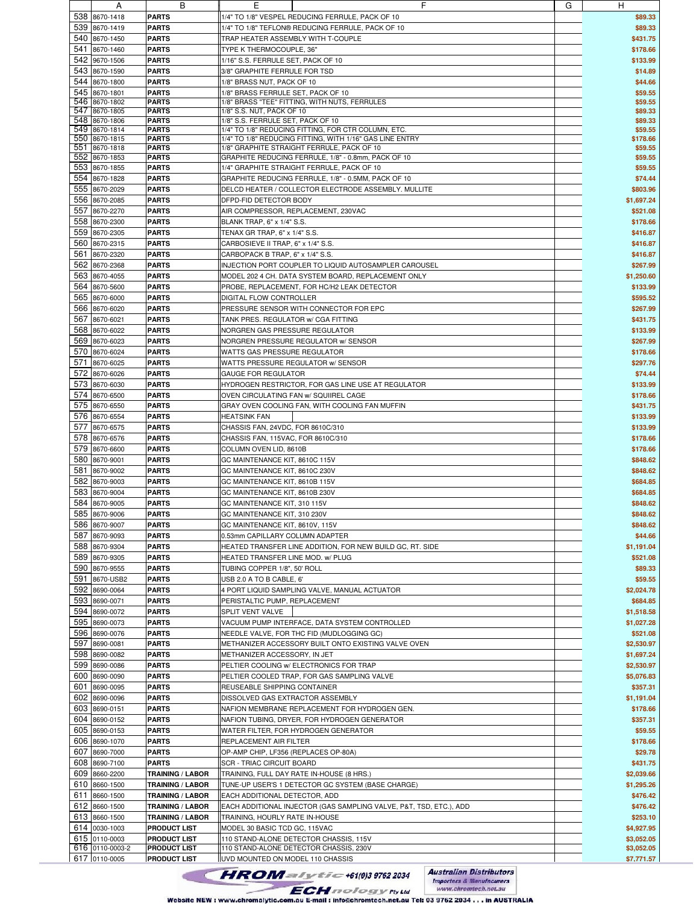|     | $\mathsf{A}$    | ь                       | ᄂ                                                                  | G | H          |
|-----|-----------------|-------------------------|--------------------------------------------------------------------|---|------------|
|     | 538 8670-1418   | <b>PARTS</b>            | 1/4" TO 1/8" VESPEL REDUCING FERRULE, PACK OF 10                   |   | \$89.33    |
|     |                 |                         |                                                                    |   |            |
| 539 | 8670-1419       | <b>PARTS</b>            | 1/4" TO 1/8" TEFLON® REDUCING FERRULE, PACK OF 10                  |   | \$89.33    |
|     | 540 8670-1450   | <b>PARTS</b>            | TRAP HEATER ASSEMBLY WITH T-COUPLE                                 |   | \$431.75   |
| 541 | 8670-1460       | <b>PARTS</b>            | TYPE K THERMOCOUPLE, 36"                                           |   | \$178.66   |
|     |                 |                         |                                                                    |   |            |
| 542 | 9670-1506       | <b>PARTS</b>            | 1/16" S.S. FERRULE SET, PACK OF 10                                 |   | \$133.99   |
| 543 | 8670-1590       | <b>PARTS</b>            | 3/8" GRAPHITE FERRULE FOR TSD                                      |   | \$14.89    |
| 544 | 8670-1800       |                         |                                                                    |   | \$44.66    |
|     |                 | <b>PARTS</b>            | 1/8" BRASS NUT, PACK OF 10                                         |   |            |
| 545 | 8670-1801       | <b>PARTS</b>            | 1/8" BRASS FERRULE SET, PACK OF 10                                 |   | \$59.55    |
|     | 546 8670-1802   | <b>PARTS</b>            | 1/8" BRASS "TEE" FITTING, WITH NUTS, FERRULES                      |   | \$59.55    |
| 547 | 8670-1805       | <b>PARTS</b>            | 1/8" S.S. NUT, PACK OF 10                                          |   | \$89.33    |
|     | 548 8670-1806   | <b>PARTS</b>            | 1/8" S.S. FERRULE SET, PACK OF 10                                  |   | \$89.33    |
|     |                 |                         |                                                                    |   |            |
|     | 549 8670-1814   | <b>PARTS</b>            | 1/4" TO 1/8" REDUCING FITTING, FOR CTR COLUMN, ETC.                |   | \$59.55    |
|     | 550 8670-1815   | <b>PARTS</b>            | 1/4" TO 1/8" REDUCING FITTING, WITH 1/16" GAS LINE ENTRY           |   | \$178.66   |
|     | 551 8670-1818   | <b>PARTS</b>            | 1/8" GRAPHITE STRAIGHT FERRULE, PACK OF 10                         |   | \$59.55    |
|     | 552 8670-1853   | <b>PARTS</b>            | GRAPHITE REDUCING FERRULE, 1/8" - 0.8mm, PACK OF 10                |   | \$59.55    |
|     |                 |                         |                                                                    |   |            |
|     | 553 8670-1855   | <b>PARTS</b>            | 1/4" GRAPHITE STRAIGHT FERRULE, PACK OF 10                         |   | \$59.55    |
| 554 | 8670-1828       | <b>PARTS</b>            | GRAPHITE REDUCING FERRULE, 1/8" - 0.5MM, PACK OF 10                |   | \$74.44    |
|     |                 |                         |                                                                    |   |            |
| 555 | 8670-2029       | <b>PARTS</b>            | DELCD HEATER / COLLECTOR ELECTRODE ASSEMBLY. MULLITE               |   | \$803.96   |
|     | 556 8670-2085   | <b>PARTS</b>            | DFPD-FID DETECTOR BODY                                             |   | \$1,697.24 |
| 557 | 8670-2270       | <b>PARTS</b>            | AIR COMPRESSOR, REPLACEMENT, 230VAC                                |   | \$521.08   |
|     |                 |                         |                                                                    |   |            |
| 558 | 8670-2300       | <b>PARTS</b>            | BLANK TRAP, 6" x 1/4" S.S.                                         |   | \$178.66   |
| 559 | 8670-2305       | <b>PARTS</b>            | TENAX GR TRAP, 6" x 1/4" S.S.                                      |   | \$416.87   |
|     |                 |                         |                                                                    |   |            |
| 560 | 8670-2315       | <b>PARTS</b>            | CARBOSIEVE II TRAP, 6" x 1/4" S.S.                                 |   | \$416.87   |
| 561 | 8670-2320       | <b>PARTS</b>            | CARBOPACK B TRAP, 6" x 1/4" S.S.                                   |   | \$416.87   |
| 562 | 8670-2368       | <b>PARTS</b>            | INJECTION PORT COUPLER TO LIQUID AUTOSAMPLER CAROUSEL              |   | \$267.99   |
|     |                 |                         |                                                                    |   |            |
| 563 | 8670-4055       | <b>PARTS</b>            | MODEL 202 4 CH. DATA SYSTEM BOARD, REPLACEMENT ONLY                |   | \$1,250.60 |
| 564 | 8670-5600       | <b>PARTS</b>            | PROBE, REPLACEMENT, FOR HC/H2 LEAK DETECTOR                        |   | \$133.99   |
|     |                 |                         |                                                                    |   |            |
| 565 | 8670-6000       | <b>PARTS</b>            | DIGITAL FLOW CONTROLLER                                            |   | \$595.52   |
| 566 | 8670-6020       | <b>PARTS</b>            | PRESSURE SENSOR WITH CONNECTOR FOR EPC                             |   | \$267.99   |
| 567 |                 |                         |                                                                    |   |            |
|     | 8670-6021       | <b>PARTS</b>            | TANK PRES. REGULATOR w/ CGA FITTING                                |   | \$431.75   |
| 568 | 8670-6022       | <b>PARTS</b>            | NORGREN GAS PRESSURE REGULATOR                                     |   | \$133.99   |
| 569 | 8670-6023       | <b>PARTS</b>            | NORGREN PRESSURE REGULATOR w/ SENSOR                               |   | \$267.99   |
|     |                 |                         |                                                                    |   |            |
| 570 | 8670-6024       | <b>PARTS</b>            | WATTS GAS PRESSURE REGULATOR                                       |   | \$178.66   |
| 571 | 8670-6025       | <b>PARTS</b>            | WATTS PRESSURE REGULATOR w/ SENSOR                                 |   | \$297.76   |
|     |                 |                         |                                                                    |   |            |
| 572 | 8670-6026       | <b>PARTS</b>            | <b>GAUGE FOR REGULATOR</b>                                         |   | \$74.44    |
|     | 573 8670-6030   | <b>PARTS</b>            | HYDROGEN RESTRICTOR, FOR GAS LINE USE AT REGULATOR                 |   | \$133.99   |
| 574 |                 |                         |                                                                    |   |            |
|     | 8670-6500       | <b>PARTS</b>            | OVEN CIRCULATING FAN w/ SQUIIREL CAGE                              |   | \$178.66   |
| 575 | 8670-6550       | <b>PARTS</b>            | GRAY OVEN COOLING FAN, WITH COOLING FAN MUFFIN                     |   | \$431.75   |
| 576 | 8670-6554       | <b>PARTS</b>            | <b>HEATSINK FAN</b>                                                |   | \$133.99   |
|     |                 |                         |                                                                    |   |            |
| 577 | 8670-6575       | <b>PARTS</b>            | CHASSIS FAN, 24VDC, FOR 8610C/310                                  |   | \$133.99   |
| 578 | 8670-6576       | <b>PARTS</b>            | CHASSIS FAN, 115VAC, FOR 8610C/310                                 |   | \$178.66   |
| 579 | 8670-6600       | <b>PARTS</b>            | COLUMN OVEN LID, 8610B                                             |   | \$178.66   |
|     |                 |                         |                                                                    |   |            |
| 580 | 8670-9001       | <b>PARTS</b>            | GC MAINTENANCE KIT, 8610C 115V                                     |   | \$848.62   |
| 581 | 8670-9002       | <b>PARTS</b>            | GC MAINTENANCE KIT, 8610C 230V                                     |   | \$848.62   |
|     |                 |                         |                                                                    |   |            |
| 582 | 8670-9003       | <b>PARTS</b>            | GC MAINTENANCE KIT, 8610B 115V                                     |   | \$684.85   |
| 583 | 8670-9004       | <b>PARTS</b>            | GC MAINTENANCE KIT, 8610B 230V                                     |   | \$684.85   |
|     | 8670-9005       |                         |                                                                    |   |            |
| 584 |                 | <b>PARTS</b>            | GC MAINTENANCE KIT, 310 115V                                       |   | \$848.62   |
|     | 585 8670-9006   | <b>PARTS</b>            | GC MAINTENANCE KIT, 310 230V                                       |   | \$848.62   |
|     | 586 8670-9007   | <b>PARTS</b>            | GC MAINTENANCE KIT, 8610V, 115V                                    |   | \$848.62   |
|     |                 |                         |                                                                    |   |            |
|     | 587 8670-9093   | <b>PARTS</b>            | 0.53mm CAPILLARY COLUMN ADAPTER                                    |   | \$44.66    |
|     | 588 8670-9304   | <b>PARTS</b>            | HEATED TRANSFER LINE ADDITION, FOR NEW BUILD GC, RT. SIDE          |   | \$1,191.04 |
|     | 589 8670-9305   |                         |                                                                    |   |            |
|     |                 | <b>PARTS</b>            | HEATED TRANSFER LINE MOD. w/ PLUG                                  |   | \$521.08   |
|     | 590 8670-9555   | <b>PARTS</b>            | TUBING COPPER 1/8", 50' ROLL                                       |   | \$89.33    |
|     | 591 8670-USB2   | <b>PARTS</b>            | USB 2.0 A TO B CABLE, 6'                                           |   | \$59.55    |
|     |                 |                         |                                                                    |   |            |
|     | 592 8690-0064   | <b>PARTS</b>            | 4 PORT LIQUID SAMPLING VALVE, MANUAL ACTUATOR                      |   | \$2,024.78 |
|     | 593 8690-0071   | <b>PARTS</b>            | PERISTALTIC PUMP, REPLACEMENT                                      |   | \$684.85   |
|     | 594 8690-0072   | <b>PARTS</b>            | SPLIT VENT VALVE                                                   |   | \$1,518.58 |
|     |                 |                         |                                                                    |   |            |
|     | 595 8690-0073   | <b>PARTS</b>            | VACUUM PUMP INTERFACE, DATA SYSTEM CONTROLLED                      |   | \$1,027.28 |
|     | 596 8690-0076   | <b>PARTS</b>            | NEEDLE VALVE, FOR THC FID (MUDLOGGING GC)                          |   | \$521.08   |
|     |                 |                         | METHANIZER ACCESSORY BUILT ONTO EXISTING VALVE OVEN                |   |            |
|     | 597 8690-0081   | <b>PARTS</b>            |                                                                    |   | \$2,530.97 |
|     | 598 8690-0082   | <b>PARTS</b>            | METHANIZER ACCESSORY, IN JET                                       |   | \$1,697.24 |
|     | 599 8690-0086   | <b>PARTS</b>            | PELTIER COOLING w/ ELECTRONICS FOR TRAP                            |   | \$2,530.97 |
|     |                 |                         |                                                                    |   |            |
|     | 600 8690-0090   | <b>PARTS</b>            | PELTIER COOLED TRAP, FOR GAS SAMPLING VALVE                        |   | \$5,076.83 |
| 601 | 8690-0095       | <b>PARTS</b>            | REUSEABLE SHIPPING CONTAINER                                       |   | \$357.31   |
|     | 602 8690-0096   |                         |                                                                    |   |            |
|     |                 | <b>PARTS</b>            | DISSOLVED GAS EXTRACTOR ASSEMBLY                                   |   | \$1,191.04 |
|     | 603 8690-0151   | <b>PARTS</b>            | NAFION MEMBRANE REPLACEMENT FOR HYDROGEN GEN.                      |   | \$178.66   |
|     | 604 8690-0152   | <b>PARTS</b>            | NAFION TUBING, DRYER, FOR HYDROGEN GENERATOR                       |   | \$357.31   |
|     |                 |                         |                                                                    |   |            |
|     | 605 8690-0153   | <b>PARTS</b>            | WATER FILTER, FOR HYDROGEN GENERATOR                               |   | \$59.55    |
|     | 606 8690-1070   | <b>PARTS</b>            | REPLACEMENT AIR FILTER                                             |   | \$178.66   |
|     |                 |                         |                                                                    |   |            |
|     | 607 8690-7000   | <b>PARTS</b>            | OP-AMP CHIP, LF356 (REPLACES OP-80A)                               |   | \$29.78    |
|     | 608 8690-7100   | <b>PARTS</b>            | <b>SCR - TRIAC CIRCUIT BOARD</b>                                   |   | \$431.75   |
|     | 609 8660-2200   | <b>TRAINING / LABOR</b> | TRAINING, FULL DAY RATE IN-HOUSE (8 HRS.)                          |   | \$2,039.66 |
|     |                 |                         |                                                                    |   |            |
|     | 610 8660-1500   | <b>TRAINING / LABOR</b> | TUNE-UP USER'S 1 DETECTOR GC SYSTEM (BASE CHARGE)                  |   | \$1,295.26 |
|     | 611 8660-1500   | <b>TRAINING / LABOR</b> | EACH ADDITIONAL DETECTOR, ADD                                      |   | \$476.42   |
|     |                 |                         |                                                                    |   |            |
|     | 612 8660-1500   | <b>TRAINING / LABOR</b> | EACH ADDITIONAL INJECTOR (GAS SAMPLING VALVE, P&T, TSD, ETC.), ADD |   | \$476.42   |
|     | 613 8660-1500   | <b>TRAINING / LABOR</b> | TRAINING, HOURLY RATE IN-HOUSE                                     |   | \$253.10   |
|     | 614 0030-1003   | <b>PRODUCT LIST</b>     | MODEL 30 BASIC TCD GC, 115VAC                                      |   | \$4,927.95 |
|     |                 |                         |                                                                    |   |            |
|     | 615 0110-0003   | <b>PRODUCT LIST</b>     | 110 STAND-ALONE DETECTOR CHASSIS, 115V                             |   | \$3,052.05 |
|     | 616 0110-0003-2 | <b>PRODUCT LIST</b>     | 110 STAND-ALONE DETECTOR CHASSIS, 230V                             |   | \$3,052.05 |
|     |                 |                         |                                                                    |   | \$7,771.57 |
|     | 617 0110-0005   | <b>PRODUCT LIST</b>     | UVD MOUNTED ON MODEL 110 CHASSIS                                   |   |            |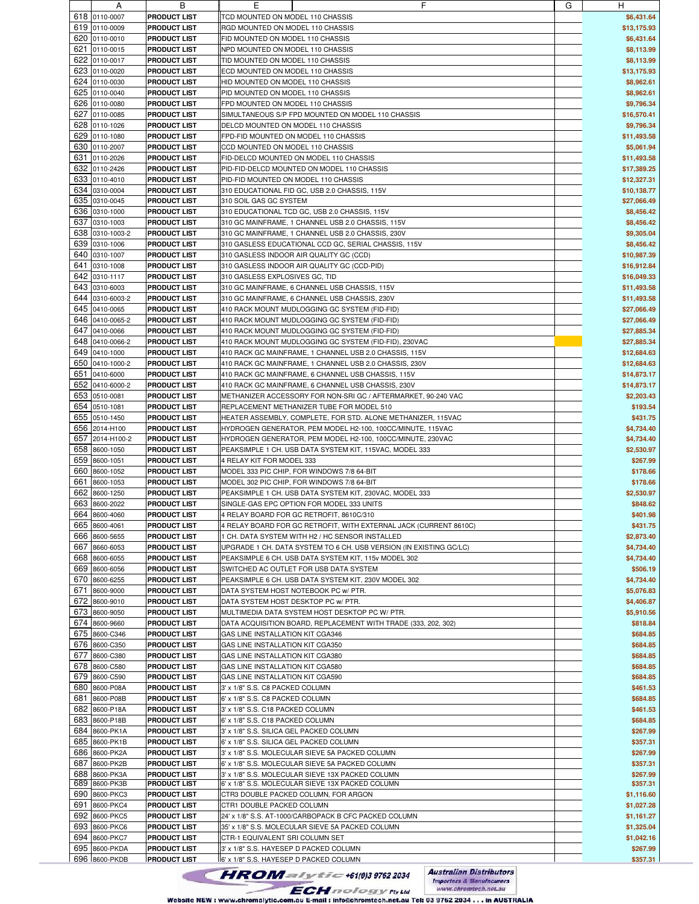|     | A               | ь                   | ᄇ                                                                  | G | н           |
|-----|-----------------|---------------------|--------------------------------------------------------------------|---|-------------|
|     | 618 0110-0007   | <b>PRODUCT LIST</b> | TCD MOUNTED ON MODEL 110 CHASSIS                                   |   | \$6,431.64  |
|     | 619 0110-0009   |                     |                                                                    |   |             |
|     |                 | <b>PRODUCT LIST</b> | RGD MOUNTED ON MODEL 110 CHASSIS                                   |   | \$13,175.93 |
|     | 620 0110-0010   | <b>PRODUCT LIST</b> | FID MOUNTED ON MODEL 110 CHASSIS                                   |   | \$6,431.64  |
| 621 | 0110-0015       | <b>PRODUCT LIST</b> | NPD MOUNTED ON MODEL 110 CHASSIS                                   |   | \$8,113.99  |
|     |                 |                     |                                                                    |   |             |
|     | 622 0110-0017   | <b>PRODUCT LIST</b> | TID MOUNTED ON MODEL 110 CHASSIS                                   |   | \$8,113.99  |
|     | 623 0110-0020   | <b>PRODUCT LIST</b> | ECD MOUNTED ON MODEL 110 CHASSIS                                   |   | \$13,175.93 |
|     |                 |                     |                                                                    |   |             |
|     | 624 0110-0030   | <b>PRODUCT LIST</b> | HID MOUNTED ON MODEL 110 CHASSIS                                   |   | \$8,962.61  |
|     | 625 0110-0040   | <b>PRODUCT LIST</b> | PID MOUNTED ON MODEL 110 CHASSIS                                   |   | \$8,962.61  |
|     | 626 0110-0080   | <b>PRODUCT LIST</b> | FPD MOUNTED ON MODEL 110 CHASSIS                                   |   | \$9,796.34  |
|     |                 |                     |                                                                    |   |             |
|     | 627 0110-0085   | <b>PRODUCT LIST</b> | SIMULTANEOUS S/P FPD MOUNTED ON MODEL 110 CHASSIS                  |   | \$16,570.41 |
|     | 628 0110-1026   | <b>PRODUCT LIST</b> | DELCD MOUNTED ON MODEL 110 CHASSIS                                 |   | \$9,796.34  |
|     |                 |                     |                                                                    |   |             |
|     | 629 0110-1080   | <b>PRODUCT LIST</b> | FPD-FID MOUNTED ON MODEL 110 CHASSIS                               |   | \$11,493.58 |
|     | 630 0110-2007   | <b>PRODUCT LIST</b> | CCD MOUNTED ON MODEL 110 CHASSIS                                   |   | \$5,061.94  |
|     |                 |                     |                                                                    |   |             |
| 631 | 0110-2026       | <b>PRODUCT LIST</b> | FID-DELCD MOUNTED ON MODEL 110 CHASSIS                             |   | \$11,493.58 |
|     | 632 0110-2426   | <b>PRODUCT LIST</b> | PID-FID-DELCD MOUNTED ON MODEL 110 CHASSIS                         |   | \$17,389.25 |
|     | 633 0110-4010   | <b>PRODUCT LIST</b> | PID-FID MOUNTED ON MODEL 110 CHASSIS                               |   | \$12,327.31 |
|     |                 |                     |                                                                    |   |             |
|     | 634 0310-0004   | <b>PRODUCT LIST</b> | 310 EDUCATIONAL FID GC, USB 2.0 CHASSIS, 115V                      |   | \$10,138.77 |
|     | 635 0310-0045   | <b>PRODUCT LIST</b> | 310 SOIL GAS GC SYSTEM                                             |   | \$27,066.49 |
|     |                 |                     |                                                                    |   |             |
|     | 636 0310-1000   | <b>PRODUCT LIST</b> | 310 EDUCATIONAL TCD GC, USB 2.0 CHASSIS, 115V                      |   | \$8,456.42  |
| 637 | 0310-1003       | <b>PRODUCT LIST</b> | 310 GC MAINFRAME, 1 CHANNEL USB 2.0 CHASSIS, 115V                  |   | \$8,456.42  |
|     |                 |                     |                                                                    |   |             |
|     | 638 0310-1003-2 | <b>PRODUCT LIST</b> | 310 GC MAINFRAME, 1 CHANNEL USB 2.0 CHASSIS, 230V                  |   | \$9,305.04  |
|     | 639 0310-1006   | <b>PRODUCT LIST</b> | 310 GASLESS EDUCATIONAL CCD GC, SERIAL CHASSIS, 115V               |   | \$8,456.42  |
|     | 640 0310-1007   | <b>PRODUCT LIST</b> | 310 GASLESS INDOOR AIR QUALITY GC (CCD)                            |   | \$10,987.39 |
|     |                 |                     |                                                                    |   |             |
|     | 641 0310-1008   | <b>PRODUCT LIST</b> | 310 GASLESS INDOOR AIR QUALITY GC (CCD-PID)                        |   | \$16,912.84 |
| 642 | 0310-1117       | <b>PRODUCT LIST</b> | 310 GASLESS EXPLOSIVES GC, TID                                     |   | \$16,049.33 |
|     |                 |                     |                                                                    |   |             |
|     | 643 0310-6003   | <b>PRODUCT LIST</b> | 310 GC MAINFRAME, 6 CHANNEL USB CHASSIS, 115V                      |   | \$11,493.58 |
| 644 | 0310-6003-2     | <b>PRODUCT LIST</b> | 310 GC MAINFRAME, 6 CHANNEL USB CHASSIS, 230V                      |   | \$11,493.58 |
|     |                 |                     |                                                                    |   |             |
|     | 645 0410-0065   | <b>PRODUCT LIST</b> | 410 RACK MOUNT MUDLOGGING GC SYSTEM (FID-FID)                      |   | \$27,066.49 |
|     | 646 0410-0065-2 | <b>PRODUCT LIST</b> | 410 RACK MOUNT MUDLOGGING GC SYSTEM (FID-FID)                      |   | \$27,066.49 |
| 647 | 0410-0066       | <b>PRODUCT LIST</b> | 410 RACK MOUNT MUDLOGGING GC SYSTEM (FID-FID)                      |   | \$27,885.34 |
|     |                 |                     |                                                                    |   |             |
|     | 648 0410-0066-2 | <b>PRODUCT LIST</b> | 410 RACK MOUNT MUDLOGGING GC SYSTEM (FID-FID), 230VAC              |   | \$27,885.34 |
|     | 649 0410-1000   | <b>PRODUCT LIST</b> | 410 RACK GC MAINFRAME, 1 CHANNEL USB 2.0 CHASSIS, 115V             |   | \$12,684.63 |
|     |                 |                     |                                                                    |   |             |
| 650 | 0410-1000-2     | <b>PRODUCT LIST</b> | 410 RACK GC MAINFRAME, 1 CHANNEL USB 2.0 CHASSIS, 230V             |   | \$12,684.63 |
|     | 651 0410-6000   | <b>PRODUCT LIST</b> | 410 RACK GC MAINFRAME, 6 CHANNEL USB CHASSIS, 115V                 |   | \$14,873.17 |
|     | 652 0410-6000-2 |                     |                                                                    |   |             |
|     |                 | <b>PRODUCT LIST</b> | 410 RACK GC MAINFRAME, 6 CHANNEL USB CHASSIS, 230V                 |   | \$14,873.17 |
|     | 653 0510-0081   | <b>PRODUCT LIST</b> | METHANIZER ACCESSORY FOR NON-SRI GC / AFTERMARKET, 90-240 VAC      |   | \$2,203.43  |
| 654 | 0510-1081       | <b>PRODUCT LIST</b> | REPLACEMENT METHANIZER TUBE FOR MODEL 510                          |   | \$193.54    |
|     |                 |                     |                                                                    |   |             |
|     | 655 0510-1450   | <b>PRODUCT LIST</b> | HEATER ASSEMBLY, COMPLETE, FOR STD. ALONE METHANIZER, 115VAC       |   | \$431.75    |
| 656 | 2014-H100       | <b>PRODUCT LIST</b> | HYDROGEN GENERATOR, PEM MODEL H2-100, 100CC/MINUTE, 115VAC         |   | \$4,734.40  |
|     |                 |                     |                                                                    |   |             |
| 657 | 2014-H100-2     | <b>PRODUCT LIST</b> | HYDROGEN GENERATOR, PEM MODEL H2-100, 100CC/MINUTE, 230VAC         |   | \$4,734.40  |
|     | 658 8600-1050   | <b>PRODUCT LIST</b> | PEAKSIMPLE 1 CH. USB DATA SYSTEM KIT, 115VAC, MODEL 333            |   | \$2,530.97  |
| 659 | 8600-1051       | <b>PRODUCT LIST</b> |                                                                    |   | \$267.99    |
|     |                 |                     | 4 RELAY KIT FOR MODEL 333                                          |   |             |
| 660 | 8600-1052       | <b>PRODUCT LIST</b> | MODEL 333 PIC CHIP, FOR WINDOWS 7/8 64-BIT                         |   | \$178.66    |
| 661 | 8600-1053       | <b>PRODUCT LIST</b> | MODEL 302 PIC CHIP, FOR WINDOWS 7/8 64-BIT                         |   | \$178.66    |
|     |                 |                     |                                                                    |   |             |
| 662 | 8600-1250       | <b>PRODUCT LIST</b> | PEAKSIMPLE 1 CH. USB DATA SYSTEM KIT, 230VAC, MODEL 333            |   | \$2,530.97  |
| 663 | 8600-2022       | <b>PRODUCT LIST</b> | SINGLE-GAS EPC OPTION FOR MODEL 333 UNITS                          |   | \$848.62    |
|     |                 |                     |                                                                    |   |             |
|     | 664 8600-4060   | <b>PRODUCT LIST</b> | 4 RELAY BOARD FOR GC RETROFIT, 8610C/310                           |   | \$401.98    |
|     | 665 8600-4061   | <b>PRODUCT LIST</b> | 4 RELAY BOARD FOR GC RETROFIT, WITH EXTERNAL JACK (CURRENT 8610C)  |   | \$431.75    |
|     | 666 8600-5655   |                     |                                                                    |   |             |
|     |                 | <b>PRODUCT LIST</b> | 1 CH. DATA SYSTEM WITH H2 / HC SENSOR INSTALLED                    |   | \$2,873.40  |
|     | 667 8660-6053   | <b>PRODUCT LIST</b> | UPGRADE 1 CH. DATA SYSTEM TO 6 CH. USB VERSION (IN EXISTING GC/LC) |   | \$4,734.40  |
|     | 668 8600-6055   | <b>PRODUCT LIST</b> | PEAKSIMPLE 6 CH. USB DATA SYSTEM KIT, 115v MODEL 302               |   | \$4,734.40  |
|     |                 |                     |                                                                    |   |             |
|     | 669 8600-6056   | <b>PRODUCT LIST</b> | SWITCHED AC OUTLET FOR USB DATA SYSTEM                             |   | \$506.19    |
|     | 670 8600-6255   | <b>PRODUCT LIST</b> | PEAKSIMPLE 6 CH. USB DATA SYSTEM KIT, 230V MODEL 302               |   | \$4,734.40  |
| 671 |                 |                     |                                                                    |   | \$5,076.83  |
|     | 8600-9000       | <b>PRODUCT LIST</b> | DATA SYSTEM HOST NOTEBOOK PC w/ PTR.                               |   |             |
|     | 672 8600-9010   | <b>PRODUCT LIST</b> | DATA SYSTEM HOST DESKTOP PC w/ PTR.                                |   | \$4,406.87  |
|     | 673 8600-9050   | <b>PRODUCT LIST</b> | MULTIMEDIA DATA SYSTEM HOST DESKTOP PC W/ PTR.                     |   | \$5,910.56  |
|     |                 |                     |                                                                    |   |             |
|     | 674 8600-9660   | <b>PRODUCT LIST</b> | DATA ACQUISITION BOARD, REPLACEMENT WITH TRADE (333, 202, 302)     |   | \$818.84    |
|     | 675 8600-C346   | <b>PRODUCT LIST</b> | GAS LINE INSTALLATION KIT CGA346                                   |   | \$684.85    |
|     | 676 8600-C350   | <b>PRODUCT LIST</b> | GAS LINE INSTALLATION KIT CGA350                                   |   | \$684.85    |
|     |                 |                     |                                                                    |   |             |
| 677 | 8600-C380       | <b>PRODUCT LIST</b> | GAS LINE INSTALLATION KIT CGA380                                   |   | \$684.85    |
|     | 678 8600-C580   | <b>PRODUCT LIST</b> | GAS LINE INSTALLATION KIT CGA580                                   |   | \$684.85    |
|     |                 |                     |                                                                    |   |             |
|     | 679 8600-C590   | <b>PRODUCT LIST</b> | GAS LINE INSTALLATION KIT CGA590                                   |   | \$684.85    |
|     | 680 8600-P08A   | <b>PRODUCT LIST</b> | 3' x 1/8" S.S. C8 PACKED COLUMN                                    |   | \$461.53    |
| 681 | 8600-P08B       | <b>PRODUCT LIST</b> | 6' x 1/8" S.S. C8 PACKED COLUMN                                    |   | \$684.85    |
|     |                 |                     |                                                                    |   |             |
|     | 682 8600-P18A   | <b>PRODUCT LIST</b> | 3' x 1/8" S.S. C18 PACKED COLUMN                                   |   | \$461.53    |
|     | 683 8600-P18B   | <b>PRODUCT LIST</b> | 6' x 1/8" S.S. C18 PACKED COLUMN                                   |   | \$684.85    |
|     |                 |                     |                                                                    |   |             |
|     | 684 8600-PK1A   | <b>PRODUCT LIST</b> | 3' x 1/8" S.S. SILICA GEL PACKED COLUMN                            |   | \$267.99    |
|     | 685 8600-PK1B   | <b>PRODUCT LIST</b> | 6' x 1/8" S.S. SILICA GEL PACKED COLUMN                            |   | \$357.31    |
|     | 686 8600-PK2A   |                     |                                                                    |   |             |
|     |                 | <b>PRODUCT LIST</b> | 3' x 1/8" S.S. MOLECULAR SIEVE 5A PACKED COLUMN                    |   | \$267.99    |
| 687 | 8600-PK2B       | <b>PRODUCT LIST</b> | 6' x 1/8" S.S. MOLECULAR SIEVE 5A PACKED COLUMN                    |   | \$357.31    |
|     | 688 8600-PK3A   | <b>PRODUCT LIST</b> | 3' x 1/8" S.S. MOLECULAR SIEVE 13X PACKED COLUMN                   |   | \$267.99    |
|     |                 |                     |                                                                    |   |             |
|     | 689 8600-PK3B   | <b>PRODUCT LIST</b> | 6' x 1/8" S.S. MOLECULAR SIEVE 13X PACKED COLUMN                   |   | \$357.31    |
|     | 690 8600-PKC3   | <b>PRODUCT LIST</b> | CTR3 DOUBLE PACKED COLUMN, FOR ARGON                               |   | \$1,116.60  |
|     | 691 8600-PKC4   | <b>PRODUCT LIST</b> | CTR1 DOUBLE PACKED COLUMN                                          |   | \$1,027.28  |
|     |                 |                     |                                                                    |   |             |
|     | 692 8600-PKC5   | <b>PRODUCT LIST</b> | 24' x 1/8" S.S. AT-1000/CARBOPACK B CFC PACKED COLUMN              |   | \$1,161.27  |
|     | 693 8600-PKC6   | <b>PRODUCT LIST</b> | 35' x 1/8" S.S. MOLECULAR SIEVE 5A PACKED COLUMN                   |   | \$1,325.04  |
|     |                 |                     |                                                                    |   |             |
|     | 694 8600-PKC7   | <b>PRODUCT LIST</b> | CTR-1 EQUIVALENT SRI COLUMN SET                                    |   | \$1,042.16  |
|     | 695 8600-PKDA   | <b>PRODUCT LIST</b> | 3' x 1/8" S.S. HAYESEP D PACKED COLUMN                             |   | \$267.99    |
|     | 696 8600-PKDB   | <b>PRODUCT LIST</b> | 6' x 1/8" S.S. HAYESEP D PACKED COLUMN                             |   | \$357.31    |
|     |                 |                     |                                                                    |   |             |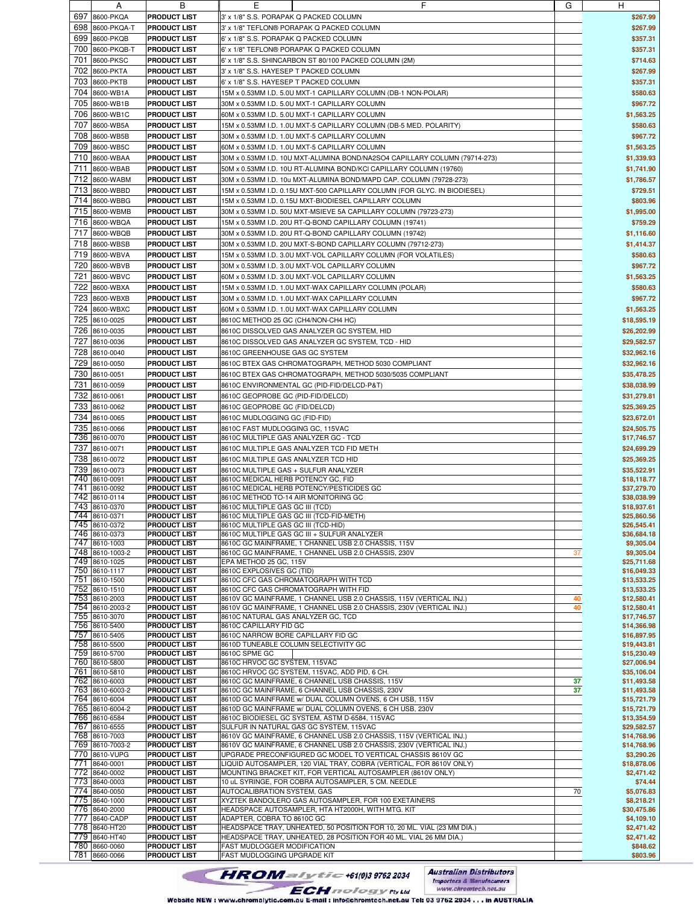|     | A               | в                   | ᄇ                                                                          | G  | H           |
|-----|-----------------|---------------------|----------------------------------------------------------------------------|----|-------------|
| 697 |                 |                     |                                                                            |    |             |
|     | 8600-PKQA       | <b>PRODUCT LIST</b> | 3' x 1/8" S.S. PORAPAK Q PACKED COLUMN                                     |    | \$267.99    |
| 698 | 8600-PKQA-T     | <b>PRODUCT LIST</b> | 3' x 1/8" TEFLON® PORAPAK Q PACKED COLUMN                                  |    | \$267.99    |
| 699 | 8600-PKQB       | <b>PRODUCT LIST</b> | 6' x 1/8" S.S. PORAPAK Q PACKED COLUMN                                     |    | \$357.31    |
|     |                 |                     |                                                                            |    |             |
| 700 | 8600-PKQB-T     | <b>PRODUCT LIST</b> | 6' x 1/8" TEFLON® PORAPAK Q PACKED COLUMN                                  |    | \$357.31    |
| 701 | 8600-PKSC       | <b>PRODUCT LIST</b> | 6' x 1/8" S.S. SHINCARBON ST 80/100 PACKED COLUMN (2M)                     |    | \$714.63    |
| 702 | 8600-PKTA       | <b>PRODUCT LIST</b> | 3' x 1/8" S.S. HAYESEP T PACKED COLUMN                                     |    | \$267.99    |
|     |                 |                     |                                                                            |    |             |
| 703 | 8600-PKTB       | <b>PRODUCT LIST</b> | 6' x 1/8" S.S. HAYESEP T PACKED COLUMN                                     |    | \$357.31    |
| 704 | 8600-WB1A       | <b>PRODUCT LIST</b> | 15M x 0.53MM I.D. 5.0U MXT-1 CAPILLARY COLUMN (DB-1 NON-POLAR)             |    | \$580.63    |
|     |                 |                     |                                                                            |    |             |
| 705 | 8600-WB1B       | <b>PRODUCT LIST</b> | 30M x 0.53MM I.D. 5.0U MXT-1 CAPILLARY COLUMN                              |    | \$967.72    |
| 706 | 8600-WB1C       | <b>PRODUCT LIST</b> | 60M x 0.53MM I.D. 5.0U MXT-1 CAPILLARY COLUMN                              |    | \$1,563.25  |
| 707 | 8600-WB5A       | <b>PRODUCT LIST</b> | 15M x 0.53MM I.D. 1.0U MXT-5 CAPILLARY COLUMN (DB-5 MED. POLARITY)         |    | \$580.63    |
|     |                 |                     |                                                                            |    |             |
| 708 | 8600-WB5B       | <b>PRODUCT LIST</b> | 30M x 0.53MM I.D. 1.0U MXT-5 CAPILLARY COLUMN                              |    | \$967.72    |
| 709 | 8600-WB5C       | <b>PRODUCT LIST</b> | 60M x 0.53MM I.D. 1.0U MXT-5 CAPILLARY COLUMN                              |    | \$1,563.25  |
|     |                 |                     |                                                                            |    |             |
| 710 | 8600-WBAA       | <b>PRODUCT LIST</b> | 30M x 0.53MM I.D. 10U MXT-ALUMINA BOND/NA2SO4 CAPILLARY COLUMN (79714-273) |    | \$1,339.93  |
| 711 | 8600-WBAB       | <b>PRODUCT LIST</b> | 50M x 0.53MM I.D. 10U RT-ALUMINA BOND/KCI CAPILLARY COLUMN (19760)         |    | \$1,741.90  |
| 712 | 8600-WABM       | <b>PRODUCT LIST</b> | 30M x 0.53MM I.D. 10u MXT-ALUMINA BOND/MAPD CAP. COLUMN (79728-273)        |    | \$1,786.57  |
|     |                 |                     |                                                                            |    |             |
| 713 | 8600-WBBD       | <b>PRODUCT LIST</b> | 15M x 0.53MM I.D. 0.15U MXT-500 CAPILLARY COLUMN (FOR GLYC. IN BIODIESEL)  |    | \$729.51    |
| 714 | 8600-WBBG       | <b>PRODUCT LIST</b> | 15M x 0.53MM I.D. 0.15U MXT-BIODIESEL CAPILLARY COLUMN                     |    | \$803.96    |
|     |                 |                     |                                                                            |    |             |
| 715 | 8600-WBMB       | <b>PRODUCT LIST</b> | 30M x 0.53MM I.D. 50U MXT-MSIEVE 5A CAPILLARY COLUMN (79723-273)           |    | \$1,995.00  |
| 716 | 8600-WBQA       | <b>PRODUCT LIST</b> | 15M x 0.53MM I.D. 20U RT-Q-BOND CAPILLARY COLUMN (19741)                   |    | \$759.29    |
| 717 | 8600-WBQB       | <b>PRODUCT LIST</b> | 30M x 0.53MM I.D. 20U RT-Q-BOND CAPILLARY COLUMN (19742)                   |    |             |
|     |                 |                     |                                                                            |    | \$1,116.60  |
| 718 | 8600-WBSB       | <b>PRODUCT LIST</b> | 30M x 0.53MM I.D. 20U MXT-S-BOND CAPILLARY COLUMN (79712-273)              |    | \$1,414.37  |
| 719 | 8600-WBVA       | <b>PRODUCT LIST</b> | 15M x 0.53MM I.D. 3.0U MXT-VOL CAPILLARY COLUMN (FOR VOLATILES)            |    | \$580.63    |
|     |                 |                     |                                                                            |    |             |
| 720 | 8600-WBVB       | <b>PRODUCT LIST</b> | 30M x 0.53MM I.D. 3.0U MXT-VOL CAPILLARY COLUMN                            |    | \$967.72    |
| 721 | 8600-WBVC       | <b>PRODUCT LIST</b> | 60M x 0.53MM I.D. 3.0U MXT-VOL CAPILLARY COLUMN                            |    | \$1,563.25  |
| 722 | 8600-WBXA       | <b>PRODUCT LIST</b> | 15M x 0.53MM I.D. 1.0U MXT-WAX CAPILLARY COLUMN (POLAR)                    |    | \$580.63    |
|     |                 |                     |                                                                            |    |             |
| 723 | 8600-WBXB       | <b>PRODUCT LIST</b> | 30M x 0.53MM I.D. 1.0U MXT-WAX CAPILLARY COLUMN                            |    | \$967.72    |
| 724 | 8600-WBXC       | <b>PRODUCT LIST</b> | 60M x 0.53MM I.D. 1.0U MXT-WAX CAPILLARY COLUMN                            |    | \$1,563.25  |
|     |                 |                     |                                                                            |    |             |
| 725 | 8610-0025       | <b>PRODUCT LIST</b> | 8610C METHOD 25 GC (CH4/NON-CH4 HC)                                        |    | \$18,595.19 |
| 726 | 8610-0035       | <b>PRODUCT LIST</b> | 8610C DISSOLVED GAS ANALYZER GC SYSTEM, HID                                |    | \$26,202.99 |
| 727 | 8610-0036       | <b>PRODUCT LIST</b> |                                                                            |    | \$29,582.57 |
|     |                 |                     | 8610C DISSOLVED GAS ANALYZER GC SYSTEM, TCD - HID                          |    |             |
| 728 | 8610-0040       | <b>PRODUCT LIST</b> | 8610C GREENHOUSE GAS GC SYSTEM                                             |    | \$32,962.16 |
| 729 | 8610-0050       | <b>PRODUCT LIST</b> | 8610C BTEX GAS CHROMATOGRAPH, METHOD 5030 COMPLIANT                        |    | \$32,962.16 |
|     |                 |                     |                                                                            |    |             |
| 730 | 8610-0051       | <b>PRODUCT LIST</b> | 8610C BTEX GAS CHROMATOGRAPH, METHOD 5030/5035 COMPLIANT                   |    | \$35,478.25 |
| 731 | 8610-0059       | <b>PRODUCT LIST</b> | 8610C ENVIRONMENTAL GC (PID-FID/DELCD-P&T)                                 |    | \$38,038.99 |
|     |                 |                     |                                                                            |    |             |
| 732 | 8610-0061       | <b>PRODUCT LIST</b> | 8610C GEOPROBE GC (PID-FID/DELCD)                                          |    | \$31,279.81 |
| 733 | 8610-0062       | <b>PRODUCT LIST</b> | 8610C GEOPROBE GC (FID/DELCD)                                              |    | \$25,369.25 |
| 734 | 8610-0065       | <b>PRODUCT LIST</b> | 8610C MUDLOGGING GC (FID-FID)                                              |    | \$23,672.01 |
|     |                 |                     |                                                                            |    |             |
| 735 | 8610-0066       | <b>PRODUCT LIST</b> | 8610C FAST MUDLOGGING GC, 115VAC                                           |    | \$24,505.75 |
|     | 736 8610-0070   | <b>PRODUCT LIST</b> | 8610C MULTIPLE GAS ANALYZER GC - TCD                                       |    | \$17,746.57 |
|     | 737 8610-0071   | <b>PRODUCT LIST</b> | 8610C MULTIPLE GAS ANALYZER TCD FID METH                                   |    | \$24,699.29 |
|     |                 |                     |                                                                            |    |             |
| 738 | 8610-0072       | <b>PRODUCT LIST</b> | 8610C MULTIPLE GAS ANALYZER TCD HID                                        |    | \$25,369.25 |
| 739 | 8610-0073       | <b>PRODUCT LIST</b> | 8610C MULTIPLE GAS + SULFUR ANALYZER                                       |    | \$35.522.91 |
|     | 740 8610-0091   | <b>PRODUCT LIST</b> | 8610C MEDICAL HERB POTENCY GC, FID                                         |    | \$18,118.77 |
|     |                 |                     |                                                                            |    |             |
|     | 741 8610-0092   | <b>PRODUCT LIST</b> | 8610C MEDICAL HERB POTENCY/PESTICIDES GC                                   |    | \$37,279.70 |
|     | 742 8610-0114   | <b>PRODUCT LIST</b> | 8610C METHOD TO-14 AIR MONITORING GC                                       |    | \$38,038.99 |
|     | 743 8610-0370   | <b>PRODUCT LIST</b> | 8610C MULTIPLE GAS GC III (TCD)                                            |    | \$18,937.61 |
|     | 744 8610-0371   | <b>PRODUCT LIST</b> | 8610C MULTIPLE GAS GC III (TCD-FID-METH)                                   |    | \$25,860.56 |
|     | 745 8610-0372   | <b>PRODUCT LIST</b> | 8610C MULTIPLE GAS GC III (TCD-HID)                                        |    | \$26,545.41 |
|     |                 |                     | 8610C MULTIPLE GAS GC III + SULFUR ANALYZER                                |    |             |
|     | 746 8610-0373   | <b>PRODUCT LIST</b> |                                                                            |    | \$36,684.18 |
|     | 747 8610-1003   | <b>PRODUCT LIST</b> | 8610C GC MAINFRAME, 1 CHANNEL USB 2.0 CHASSIS, 115V                        |    | \$9,305.04  |
|     | 748 8610-1003-2 | <b>PRODUCT LIST</b> | 8610C GC MAINFRAME, 1 CHANNEL USB 2.0 CHASSIS, 230V                        | 37 | \$9,305.04  |
|     | 749 8610-1025   | <b>PRODUCT LIST</b> | EPA METHOD 25 GC, 115V                                                     |    | \$25,711.68 |
|     | 750 8610-1117   | <b>PRODUCT LIST</b> | 8610C EXPLOSIVES GC (TID)                                                  |    | \$16,049.33 |
|     | 751 8610-1500   | <b>PRODUCT LIST</b> | 8610C CFC GAS CHROMATOGRAPH WITH TCD                                       |    | \$13,533.25 |
|     |                 |                     |                                                                            |    |             |
|     | 752 8610-1510   | <b>PRODUCT LIST</b> | 8610C CFC GAS CHROMATOGRAPH WITH FID                                       |    | \$13,533.25 |
|     | 753 8610-2003   | <b>PRODUCT LIST</b> | 8610V GC MAINFRAME, 1 CHANNEL USB 2.0 CHASSIS, 115V (VERTICAL INJ.)        | 40 | \$12,580.41 |
|     | 754 8610-2003-2 | <b>PRODUCT LIST</b> | 8610V GC MAINFRAME, 1 CHANNEL USB 2.0 CHASSIS, 230V (VERTICAL INJ.)        | 40 | \$12,580.41 |
|     | 755 8610-3070   | <b>PRODUCT LIST</b> | 8610C NATURAL GAS ANALYZER GC, TCD                                         |    | \$17,746.57 |
|     | 756 8610-5400   | <b>PRODUCT LIST</b> | 8610C CAPILLARY FID GC                                                     |    | \$14,366.98 |
|     | 757 8610-5405   | <b>PRODUCT LIST</b> | 8610C NARROW BORE CAPILLARY FID GC                                         |    | \$16,897.95 |
|     |                 |                     |                                                                            |    | \$19,443.81 |
|     | 758 8610-5500   | <b>PRODUCT LIST</b> | 8610D TUNEABLE COLUMN SELECTIVITY GC                                       |    |             |
|     | 759 8610-5700   | <b>PRODUCT LIST</b> | 8610C SPME GC                                                              |    | \$15,230.49 |
|     | 760 8610-5800   | <b>PRODUCT LIST</b> | 8610C HRVOC GC SYSTEM, 115VAC                                              |    | \$27,006.94 |
|     | 761 8610-5810   | <b>PRODUCT LIST</b> | 8610C HRVOC GC SYSTEM, 115VAC, ADD PID, 6 CH.                              |    | \$35,106.04 |
|     | 762 8610-6003   | <b>PRODUCT LIST</b> | 8610C GC MAINFRAME, 6 CHANNEL USB CHASSIS, 115V                            | 37 | \$11,493.58 |
|     | 763 8610-6003-2 | <b>PRODUCT LIST</b> | 8610C GC MAINFRAME, 6 CHANNEL USB CHASSIS, 230V                            |    | \$11,493.58 |
|     |                 |                     |                                                                            | 37 |             |
|     | 764 8610-6004   | <b>PRODUCT LIST</b> | 8610D GC MAINFRAME w/ DUAL COLUMN OVENS, 6 CH USB, 115V                    |    | \$15,721.79 |
|     | 765 8610-6004-2 | <b>PRODUCT LIST</b> | 8610D GC MAINFRAME w/ DUAL COLUMN OVENS, 6 CH USB, 230V                    |    | \$15,721.79 |
|     | 766 8610-6584   | <b>PRODUCT LIST</b> | 8610C BIODIESEL GC SYSTEM, ASTM D-6584, 115VAC                             |    | \$13,354.59 |
|     | 767 8610-6555   | <b>PRODUCT LIST</b> | SULFUR IN NATURAL GAS GC SYSTEM, 115VAC                                    |    | \$29,582.57 |
|     | 768 8610-7003   | <b>PRODUCT LIST</b> | 8610V GC MAINFRAME, 6 CHANNEL USB 2.0 CHASSIS, 115V (VERTICAL INJ.)        |    | \$14,768.96 |
|     |                 |                     |                                                                            |    |             |
|     | 769 8610-7003-2 | <b>PRODUCT LIST</b> | 8610V GC MAINFRAME, 6 CHANNEL USB 2.0 CHASSIS, 230V (VERTICAL INJ.)        |    | \$14,768.96 |
|     | 770 8610-VUPG   | <b>PRODUCT LIST</b> | UPGRADE PRECONFIGURED GC MODEL TO VERTICAL CHASSIS 8610V GC                |    | \$3,290.26  |
|     | 771 8640-0001   | <b>PRODUCT LIST</b> | LIQUID AUTOSAMPLER, 120 VIAL TRAY, COBRA (VERTICAL, FOR 8610V ONLY)        |    | \$18,878.06 |
|     | 772 8640-0002   | <b>PRODUCT LIST</b> | MOUNTING BRACKET KIT, FOR VERTICAL AUTOSAMPLER (8610V ONLY)                |    | \$2,471.42  |
|     | 773 8640-0003   | <b>PRODUCT LIST</b> | 10 uL SYRINGE, FOR COBRA AUTOSAMPLER, 5 CM. NEEDLE                         |    | \$74.44     |
|     |                 |                     |                                                                            |    |             |
|     | 774 8640-0050   | <b>PRODUCT LIST</b> | AUTOCALIBRATION SYSTEM, GAS                                                | 70 | \$5,076.83  |
|     | 775 8640-1000   | <b>PRODUCT LIST</b> | XYZTEK BANDOLERO GAS AUTOSAMPLER, FOR 100 EXETAINERS                       |    | \$8,218.21  |
|     | 776 8640-2000   | <b>PRODUCT LIST</b> | HEADSPACE AUTOSAMPLER, HTA HT2000H, WITH MTG. KIT                          |    | \$30,475.86 |
|     | 777 8640-CADP   | <b>PRODUCT LIST</b> | ADAPTER, COBRA TO 8610C GC                                                 |    | \$4,109.10  |
|     | 778 8640-HT20   | <b>PRODUCT LIST</b> | HEADSPACE TRAY, UNHEATED, 50 POSITION FOR 10, 20 ML. VIAL (23 MM DIA.)     |    | \$2,471.42  |
|     |                 |                     |                                                                            |    |             |
|     | 779 8640-HT40   | <b>PRODUCT LIST</b> | HEADSPACE TRAY, UNHEATED, 28 POSITION FOR 40 ML. VIAL 26 MM DIA.)          |    | \$2,471.42  |
|     | 780 8660-0060   | <b>PRODUCT LIST</b> | FAST MUDLOGGER MODIFICATION                                                |    | \$848.62    |
|     | 781 8660-0066   | <b>PRODUCT LIST</b> | FAST MUDLOGGING UPGRADE KIT                                                |    | \$803.96    |

**Australian Distributors**<br>Importers & Manufacurers<br>www.chromtech.net.au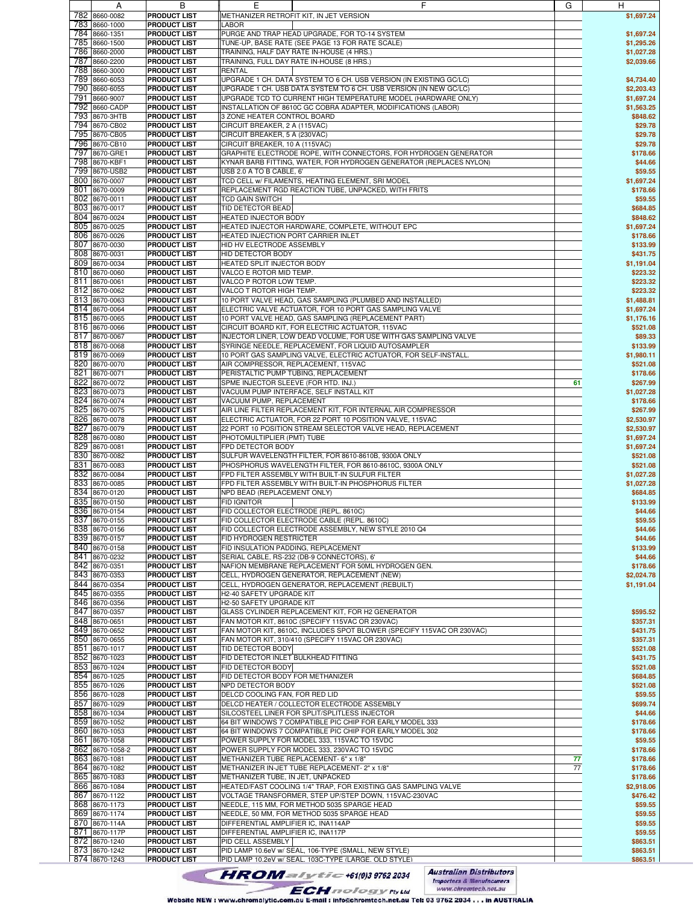|               | $\mathsf{A}$                   | D                                          | ᇅ                                                                                                             | п                    |
|---------------|--------------------------------|--------------------------------------------|---------------------------------------------------------------------------------------------------------------|----------------------|
|               | 782 8660-0082                  | <b>PRODUCT LIST</b>                        | METHANIZER RETROFIT KIT, IN JET VERSION                                                                       | \$1,697.24           |
|               | 783 8660-1000                  | <b>PRODUCT LIST</b>                        | LABOR                                                                                                         |                      |
|               | 784 8660-1351                  | <b>PRODUCT LIST</b>                        | PURGE AND TRAP HEAD UPGRADE, FOR TO-14 SYSTEM                                                                 | \$1,697.24           |
|               |                                |                                            |                                                                                                               |                      |
|               | 785 8660-1500                  | <b>PRODUCT LIST</b>                        | TUNE-UP, BASE RATE (SEE PAGE 13 FOR RATE SCALE)                                                               | \$1,295.26           |
|               | 786 8660-2000                  | <b>PRODUCT LIST</b>                        | TRAINING, HALF DAY RATE IN-HOUSE (4 HRS.)                                                                     | \$1,027.28           |
|               | 787 8660-2200                  | <b>PRODUCT LIST</b>                        | TRAINING, FULL DAY RATE IN-HOUSE (8 HRS.)                                                                     | \$2,039.66           |
|               | 788 8660-3000                  | <b>PRODUCT LIST</b>                        | <b>RENTAL</b>                                                                                                 |                      |
|               | 789 8660-6053                  | <b>PRODUCT LIST</b>                        | UPGRADE 1 CH. DATA SYSTEM TO 6 CH. USB VERSION (IN EXISTING GC/LC)                                            | \$4,734.40           |
|               | 790 8660-6055                  | <b>PRODUCT LIST</b>                        | UPGRADE 1 CH. USB DATA SYSTEM TO 6 CH. USB VERSION (IN NEW GC/LC)                                             | \$2,203.43           |
|               | 791 8660-9007                  | <b>PRODUCT LIST</b>                        | UPGRADE TCD TO CURRENT HIGH TEMPERATURE MODEL (HARDWARE ONLY)                                                 | \$1,697.24           |
|               |                                |                                            |                                                                                                               |                      |
|               | 792 8660-CADP                  | <b>PRODUCT LIST</b>                        | INSTALLATION OF 8610C GC COBRA ADAPTER, MODIFICATIONS (LABOR)                                                 | \$1,563.25           |
|               | 793 8670-3HTB                  | <b>PRODUCT LIST</b>                        | 3 ZONE HEATER CONTROL BOARD                                                                                   | \$848.62             |
|               | 794 8670-CB02                  | <b>PRODUCT LIST</b>                        | CIRCUIT BREAKER, 2 A (115VAC)                                                                                 | \$29.78              |
|               | 795 8670-CB05                  | <b>PRODUCT LIST</b>                        | CIRCUIT BREAKER, 5 A (230VAC)                                                                                 | \$29.78              |
|               | 796 8670-CB10                  | <b>PRODUCT LIST</b>                        | CIRCUIT BREAKER, 10 A (115VAC)                                                                                | \$29.78              |
|               | 797 8670-GRE1                  | <b>PRODUCT LIST</b>                        | GRAPHITE ELECTRODE ROPE, WITH CONNECTORS, FOR HYDROGEN GENERATOR                                              | \$178.66             |
|               |                                |                                            |                                                                                                               |                      |
|               | 798 8670-KBF1                  | <b>PRODUCT LIST</b>                        | KYNAR BARB FITTING, WATER, FOR HYDROGEN GENERATOR (REPLACES NYLON)                                            | \$44.66              |
|               | 799 8670-USB2                  | <b>PRODUCT LIST</b>                        | USB 2.0 A TO B CABLE, 6'                                                                                      | \$59.55              |
|               | 800 8670-0007                  | <b>PRODUCT LIST</b>                        | TCD CELL w/ FILAMENTS, HEATING ELEMENT, SRI MODEL                                                             | \$1,697.24           |
|               | 801 8670-0009                  | <b>PRODUCT LIST</b>                        | REPLACEMENT RGD REACTION TUBE, UNPACKED, WITH FRITS                                                           | \$178.66             |
|               | 802 8670-0011                  | <b>PRODUCT LIST</b>                        | TCD GAIN SWITCH                                                                                               | \$59.55              |
|               | 803 8670-0017                  | <b>PRODUCT LIST</b>                        | TID DETECTOR BEAD                                                                                             | \$684.85             |
|               |                                |                                            |                                                                                                               |                      |
|               | 804 8670-0024                  | <b>PRODUCT LIST</b>                        | HEATED INJECTOR BODY                                                                                          | \$848.62             |
|               | 805 8670-0025                  | <b>PRODUCT LIST</b>                        | HEATED INJECTOR HARDWARE, COMPLETE, WITHOUT EPC                                                               | \$1,697.24           |
|               | 806 8670-0026                  | <b>PRODUCT LIST</b>                        | HEATED INJECTION PORT CARRIER INLET                                                                           | \$178.66             |
|               | 807 8670-0030                  | <b>PRODUCT LIST</b>                        | HID HV ELECTRODE ASSEMBLY                                                                                     | \$133.99             |
|               | 808 8670-0031                  | <b>PRODUCT LIST</b>                        | HID DETECTOR BODY                                                                                             | \$431.75             |
|               | 809 8670-0034                  | <b>PRODUCT LIST</b>                        | HEATED SPLIT INJECTOR BODY                                                                                    | \$1,191.04           |
|               |                                |                                            |                                                                                                               |                      |
|               | 810 8670-0060                  | <b>PRODUCT LIST</b>                        | VALCO E ROTOR MID TEMP.                                                                                       | \$223.32             |
|               | 811 8670-0061                  | <b>PRODUCT LIST</b>                        | VALCO P ROTOR LOW TEMP.                                                                                       | \$223.32             |
|               | 812 8670-0062                  | <b>PRODUCT LIST</b>                        | VALCO T ROTOR HIGH TEMP.                                                                                      | \$223.32             |
|               | 813 8670-0063                  | <b>PRODUCT LIST</b>                        | 10 PORT VALVE HEAD, GAS SAMPLING (PLUMBED AND INSTALLED)                                                      | \$1,488.81           |
|               | 814 8670-0064                  | <b>PRODUCT LIST</b>                        | ELECTRIC VALVE ACTUATOR, FOR 10 PORT GAS SAMPLING VALVE                                                       | \$1,697.24           |
|               |                                |                                            | 10 PORT VALVE HEAD, GAS SAMPLING (REPLACEMENT PART)                                                           |                      |
|               | 815 8670-0065                  | <b>PRODUCT LIST</b>                        |                                                                                                               | \$1,176.16           |
|               | 816 8670-0066                  | <b>PRODUCT LIST</b>                        | CIRCUIT BOARD KIT, FOR ELECTRIC ACTUATOR, 115VAC                                                              | \$521.08             |
|               | 817 8670-0067                  | <b>PRODUCT LIST</b>                        | INJECTOR LINER, LOW DEAD VOLUME, FOR USE WITH GAS SAMPLING VALVE                                              | \$89.33              |
|               | 818 8670-0068                  | <b>PRODUCT LIST</b>                        | SYRINGE NEEDLE, REPLACEMENT, FOR LIQUID AUTOSAMPLER                                                           | \$133.99             |
|               | 819 8670-0069                  | <b>PRODUCT LIST</b>                        | 10 PORT GAS SAMPLING VALVE, ELECTRIC ACTUATOR, FOR SELF-INSTALL.                                              | \$1,980.11           |
|               | 820 8670-0070                  | <b>PRODUCT LIST</b>                        | AIR COMPRESSOR, REPLACEMENT, 115VAC                                                                           | \$521.08             |
|               | 821 8670-0071                  |                                            |                                                                                                               |                      |
|               |                                | <b>PRODUCT LIST</b>                        | PERISTALTIC PUMP TUBING, REPLACEMENT                                                                          | \$178.66             |
|               | 822 8670-0072                  | <b>PRODUCT LIST</b>                        | SPME INJECTOR SLEEVE (FOR HTD. INJ.)<br>61                                                                    | \$267.99             |
|               | 823 8670-0073                  | <b>PRODUCT LIST</b>                        | VACUUM PUMP INTERFACE, SELF INSTALL KIT                                                                       | \$1,027.28           |
|               | 824 8670-0074                  | <b>PRODUCT LIST</b>                        | VACUUM PUMP, REPLACEMENT                                                                                      | \$178.66             |
|               | 825 8670-0075                  | <b>PRODUCT LIST</b>                        | AIR LINE FILTER REPLACEMENT KIT, FOR INTERNAL AIR COMPRESSOR                                                  | \$267.99             |
|               | 826 8670-0078                  | <b>PRODUCT LIST</b>                        | ELECTRIC ACTUATOR, FOR 22 PORT 10 POSITION VALVE, 115VAC                                                      | \$2,530.97           |
|               |                                |                                            |                                                                                                               |                      |
|               | 827 8670-0079                  | <b>PRODUCT LIST</b>                        | 22 PORT 10 POSITION STREAM SELECTOR VALVE HEAD, REPLACEMENT                                                   | \$2,530.97           |
|               | 828 8670-0080                  | <b>PRODUCT LIST</b>                        | PHOTOMULTIPLIER (PMT) TUBE                                                                                    | \$1,697.24           |
|               | 829 8670-0081                  | <b>PRODUCT LIST</b>                        | FPD DETECTOR BODY                                                                                             | \$1,697.24           |
|               | 830 8670-0082                  | <b>PRODUCT LIST</b>                        | SULFUR WAVELENGTH FILTER, FOR 8610-8610B, 9300A ONLY                                                          | \$521.08             |
|               | 831 8670-0083                  | <b>PRODUCT LIST</b>                        | PHOSPHORUS WAVELENGTH FILTER, FOR 8610-8610C, 9300A ONLY                                                      | \$521.08             |
|               | 832 8670-0084                  | <b>PRODUCT LIST</b>                        | FPD FILTER ASSEMBLY WITH BUILT-IN SULFUR FILTER                                                               | \$1,027.28           |
|               |                                |                                            |                                                                                                               |                      |
|               | 833 8670-0085                  | <b>PRODUCT LIST</b>                        | FPD FILTER ASSEMBLY WITH BUILT-IN PHOSPHORUS FILTER                                                           | \$1,027.28           |
|               | 834 8670-0120                  | <b>PRODUCT LIST</b>                        | NPD BEAD (REPLACEMENT ONLY)                                                                                   | \$684.85             |
|               | 835 8670-0150                  | <b>PRODUCT LIST</b>                        | <b>FID IGNITOR</b>                                                                                            | \$133.99             |
|               | 836 8670-0154                  | <b>PRODUCT LIST</b>                        | FID COLLECTOR ELECTRODE (REPL. 8610C)                                                                         | \$44.66              |
|               | 837 8670-0155                  | <b>PRODUCT LIST</b>                        | FID COLLECTOR ELECTRODE CABLE (REPL. 8610C)                                                                   | \$59.55              |
|               |                                | <b>PRODUCT LIST</b>                        | FID COLLECTOR ELECTRODE ASSEMBLY, NEW STYLE 2010 Q4                                                           |                      |
|               | 838 8670-0156                  |                                            |                                                                                                               | \$44.66              |
|               | 839 8670-0157                  | <b>PRODUCT LIST</b>                        | FID HYDROGEN RESTRICTER                                                                                       | \$44.66              |
|               | 840 8670-0158                  | <b>PRODUCT LIST</b>                        | FID INSULATION PADDING, REPLACEMENT                                                                           | \$133.99             |
|               | 841 8670-0232                  | <b>PRODUCT LIST</b>                        | SERIAL CABLE, RS-232 (DB-9 CONNECTORS), 6'                                                                    | \$44.66              |
|               | 842 8670-0351                  | <b>PRODUCT LIST</b>                        | NAFION MEMBRANE REPLACEMENT FOR 50ML HYDROGEN GEN.                                                            | \$178.66             |
|               | 843 8670-0353                  | <b>PRODUCT LIST</b>                        | CELL, HYDROGEN GENERATOR, REPLACEMENT (NEW)                                                                   | \$2,024.78           |
|               |                                |                                            |                                                                                                               |                      |
|               | 844 8670-0354                  | <b>PRODUCT LIST</b>                        | CELL, HYDROGEN GENERATOR, REPLACEMENT (REBUILT)                                                               | \$1,191.04           |
|               | 845 8670-0355                  | <b>PRODUCT LIST</b>                        | H2-40 SAFETY UPGRADE KIT                                                                                      |                      |
|               | 846 8670-0356                  | <b>PRODUCT LIST</b>                        | H2-50 SAFETY UPGRADE KIT                                                                                      |                      |
|               | 847 8670-0357                  | <b>PRODUCT LIST</b>                        | GLASS CYLINDER REPLACEMENT KIT, FOR H2 GENERATOR                                                              | \$595.52             |
|               | 848 8670-0651                  | <b>PRODUCT LIST</b>                        | FAN MOTOR KIT, 8610C (SPECIFY 115VAC OR 230VAC)                                                               | \$357.31             |
|               | 849 8670-0652                  | <b>PRODUCT LIST</b>                        | FAN MOTOR KIT, 8610C, INCLUDES SPOT BLOWER (SPECIFY 115VAC OR 230VAC)                                         | \$431.75             |
|               | 850 8670-0655                  | <b>PRODUCT LIST</b>                        | FAN MOTOR KIT, 310/410 (SPECIFY 115VAC OR 230VAC)                                                             | \$357.31             |
|               |                                |                                            | TID DETECTOR BODY                                                                                             |                      |
|               | 851 8670-1017                  | <b>PRODUCT LIST</b>                        |                                                                                                               | \$521.08             |
|               | 852 8670-1023                  | <b>PRODUCT LIST</b>                        | FID DETECTOR INLET BULKHEAD FITTING                                                                           | \$431.75             |
|               | 853 8670-1024                  | <b>PRODUCT LIST</b>                        | FID DETECTOR BODY                                                                                             | \$521.08             |
|               | 854 8670-1025                  | <b>PRODUCT LIST</b>                        | FID DETECTOR BODY FOR METHANIZER                                                                              | \$684.85             |
|               | 855 8670-1026                  | <b>PRODUCT LIST</b>                        | NPD DETECTOR BODY                                                                                             | \$521.08             |
|               | 856 8670-1028                  | <b>PRODUCT LIST</b>                        | DELCD COOLING FAN, FOR RED LID                                                                                | \$59.55              |
|               |                                |                                            |                                                                                                               |                      |
|               | 857 8670-1029                  | <b>PRODUCT LIST</b>                        | DELCD HEATER / COLLECTOR ELECTRODE ASSEMBLY                                                                   | \$699.74             |
|               | 858 8670-1034                  | <b>PRODUCT LIST</b>                        | SILCOSTEEL LINER FOR SPLIT/SPLITLESS INJECTOR                                                                 | \$44.66              |
|               | 859 8670-1052                  | <b>PRODUCT LIST</b>                        | 64 BIT WINDOWS 7 COMPATIBLE PIC CHIP FOR EARLY MODEL 333                                                      | \$178.66             |
|               | 860 8670-1053                  | <b>PRODUCT LIST</b>                        | 64 BIT WINDOWS 7 COMPATIBLE PIC CHIP FOR EARLY MODEL 302                                                      | \$178.66             |
|               | 861 8670-1058                  | <b>PRODUCT LIST</b>                        | POWER SUPPLY FOR MODEL 333, 115VAC TO 15VDC                                                                   | \$59.55              |
|               | 862 8670-1058-2                | <b>PRODUCT LIST</b>                        | POWER SUPPLY FOR MODEL 333, 230VAC TO 15VDC                                                                   | \$178.66             |
|               |                                |                                            |                                                                                                               |                      |
|               | 863 8670-1081                  | <b>PRODUCT LIST</b>                        | METHANIZER TUBE REPLACEMENT- 6" x 1/8"<br>77                                                                  | \$178.66             |
|               | 864 8670-1082                  | <b>PRODUCT LIST</b>                        | METHANIZER IN-JET TUBE REPLACEMENT- 2" x 1/8"<br>77                                                           | \$178.66             |
|               | 865 8670-1083                  | <b>PRODUCT LIST</b>                        | METHANIZER TUBE, IN JET, UNPACKED                                                                             | \$178.66             |
|               | 866 8670-1084                  | <b>PRODUCT LIST</b>                        | HEATED/FAST COOLING 1/4" TRAP, FOR EXISTING GAS SAMPLING VALVE                                                | \$2,918.06           |
|               | 867 8670-1122                  | <b>PRODUCT LIST</b>                        | VOLTAGE TRANSFORMER, STEP UP/STEP DOWN, 115VAC-230VAC                                                         | \$476.42             |
|               |                                |                                            |                                                                                                               |                      |
|               | 868 8670-1173                  | <b>PRODUCT LIST</b>                        | NEEDLE, 115 MM, FOR METHOD 5035 SPARGE HEAD                                                                   | \$59.55              |
|               | 869 8670-1174                  | <b>PRODUCT LIST</b>                        | NEEDLE, 50 MM, FOR METHOD 5035 SPARGE HEAD                                                                    | \$59.55              |
|               | 870 8670-114A                  | <b>PRODUCT LIST</b>                        | DIFFERENTIAL AMPLIFIER IC, INA114AP                                                                           | \$59.55              |
|               |                                | <b>PRODUCT LIST</b>                        | DIFFERENTIAL AMPLIFIER IC, INA117P                                                                            | \$59.55              |
| 871 8670-117P |                                |                                            | PID CELL ASSEMBLY                                                                                             | \$863.51             |
|               |                                | <b>PRODUCT LIST</b>                        |                                                                                                               |                      |
|               | 872 8670-1240                  |                                            |                                                                                                               |                      |
|               | 873 8670-1242<br>874 8670-1243 | <b>PRODUCT LIST</b><br><b>PRODUCT LIST</b> | PID LAMP 10.6eV w/ SEAL, 106-TYPE (SMALL, NEW STYLE)<br>PID LAMP 10.2eV w/ SEAL. 103C-TYPE (LARGE. OLD STYLE) | \$863.51<br>\$863.51 |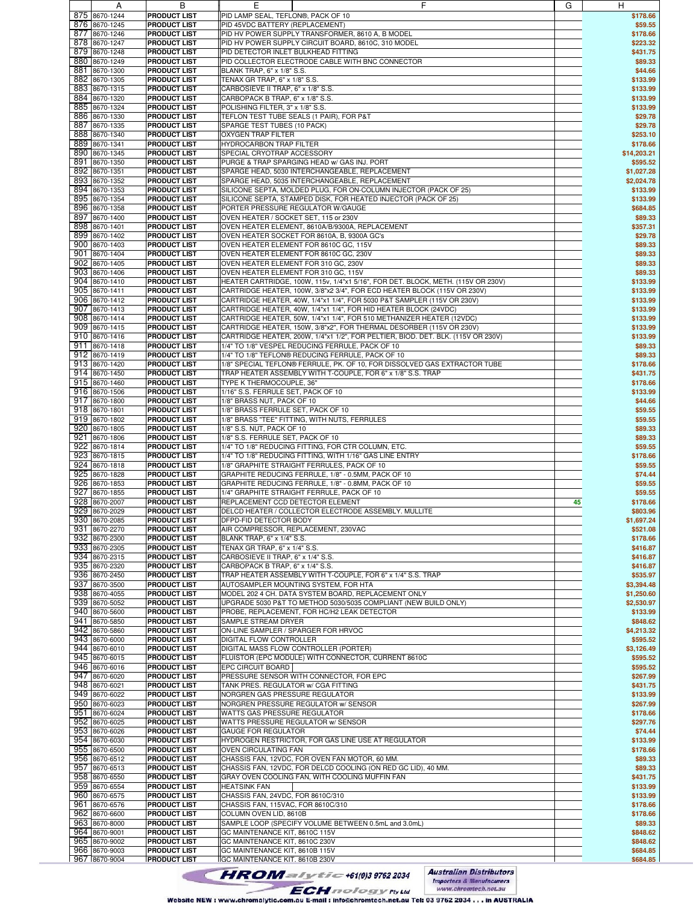|     |               | ь                   | ᆮ                                                                                | u  | H.          |
|-----|---------------|---------------------|----------------------------------------------------------------------------------|----|-------------|
|     | 875 8670-1244 | <b>PRODUCT LIST</b> | PID LAMP SEAL, TEFLON®, PACK OF 10                                               |    | \$178.66    |
|     | 876 8670-1245 | <b>PRODUCT LIST</b> | PID 45VDC BATTERY (REPLACEMENT)                                                  |    | \$59.55     |
|     |               |                     |                                                                                  |    |             |
|     | 877 8670-1246 | <b>PRODUCT LIST</b> | PID HV POWER SUPPLY TRANSFORMER, 8610 A, B MODEL                                 |    | \$178.66    |
|     | 878 8670-1247 | <b>PRODUCT LIST</b> | PID HV POWER SUPPLY CIRCUIT BOARD, 8610C, 310 MODEL                              |    | \$223.32    |
|     | 879 8670-1248 | <b>PRODUCT LIST</b> | PID DETECTOR INLET BULKHEAD FITTING                                              |    | \$431.75    |
|     |               |                     |                                                                                  |    |             |
|     | 880 8670-1249 | <b>PRODUCT LIST</b> | PID COLLECTOR ELECTRODE CABLE WITH BNC CONNECTOR                                 |    | \$89.33     |
| 881 | 8670-1300     | <b>PRODUCT LIST</b> | BLANK TRAP, 6" x 1/8" S.S.                                                       |    | \$44.66     |
|     | 882 8670-1305 | <b>PRODUCT LIST</b> | TENAX GR TRAP, 6" x 1/8" S.S.                                                    |    | \$133.99    |
|     |               |                     |                                                                                  |    |             |
|     | 883 8670-1315 | <b>PRODUCT LIST</b> | CARBOSIEVE II TRAP, 6" x 1/8" S.S.                                               |    | \$133.99    |
|     | 884 8670-1320 | <b>PRODUCT LIST</b> | CARBOPACK B TRAP, 6" x 1/8" S.S.                                                 |    | \$133.99    |
|     | 885 8670-1324 | <b>PRODUCT LIST</b> | POLISHING FILTER, 3" x 1/8" S.S.                                                 |    | \$133.99    |
|     |               |                     |                                                                                  |    |             |
|     | 886 8670-1330 | <b>PRODUCT LIST</b> | <b>TEFLON TEST TUBE SEALS (1 PAIR), FOR P&amp;T</b>                              |    | \$29.78     |
| 887 | 8670-1335     | <b>PRODUCT LIST</b> | SPARGE TEST TUBES (10 PACK)                                                      |    | \$29.78     |
|     |               |                     |                                                                                  |    |             |
|     | 888 8670-1340 | <b>PRODUCT LIST</b> | OXYGEN TRAP FILTER                                                               |    | \$253.10    |
|     | 889 8670-1341 | <b>PRODUCT LIST</b> | HYDROCARBON TRAP FILTER                                                          |    | \$178.66    |
|     | 890 8670-1345 | <b>PRODUCT LIST</b> | SPECIAL CRYOTRAP ACCESSORY                                                       |    | \$14,203.21 |
|     |               |                     |                                                                                  |    |             |
|     | 891 8670-1350 | <b>PRODUCT LIST</b> | PURGE & TRAP SPARGING HEAD w/ GAS INJ. PORT                                      |    | \$595.52    |
|     | 892 8670-1351 | <b>PRODUCT LIST</b> | SPARGE HEAD, 5030 INTERCHANGEABLE, REPLACEMENT                                   |    | \$1,027.28  |
|     | 893 8670-1352 | <b>PRODUCT LIST</b> | SPARGE HEAD, 5035 INTERCHANGEABLE, REPLACEMENT                                   |    | \$2,024.78  |
|     |               |                     |                                                                                  |    |             |
|     | 894 8670-1353 | <b>PRODUCT LIST</b> | SILICONE SEPTA, MOLDED PLUG, FOR ON-COLUMN INJECTOR (PACK OF 25)                 |    | \$133.99    |
|     | 895 8670-1354 | <b>PRODUCT LIST</b> | SILICONE SEPTA, STAMPED DISK, FOR HEATED INJECTOR (PACK OF 25)                   |    | \$133.99    |
|     | 896 8670-1358 | <b>PRODUCT LIST</b> | PORTER PRESSURE REGULATOR W/GAUGE                                                |    | \$684.85    |
|     |               |                     |                                                                                  |    |             |
|     | 897 8670-1400 | <b>PRODUCT LIST</b> | OVEN HEATER / SOCKET SET, 115 or 230V                                            |    | \$89.33     |
|     | 898 8670-1401 | <b>PRODUCT LIST</b> | OVEN HEATER ELEMENT, 8610A/B/9300A, REPLACEMENT                                  |    | \$357.31    |
|     |               |                     |                                                                                  |    |             |
|     | 899 8670-1402 | <b>PRODUCT LIST</b> | OVEN HEATER SOCKET FOR 8610A, B, 9300A GC's                                      |    | \$29.78     |
|     | 900 8670-1403 | <b>PRODUCT LIST</b> | OVEN HEATER ELEMENT FOR 8610C GC, 115V                                           |    | \$89.33     |
|     | 901 8670-1404 | <b>PRODUCT LIST</b> | OVEN HEATER ELEMENT FOR 8610C GC, 230V                                           |    | \$89.33     |
|     |               |                     |                                                                                  |    |             |
|     | 902 8670-1405 | <b>PRODUCT LIST</b> | OVEN HEATER ELEMENT FOR 310 GC, 230V                                             |    | \$89.33     |
|     | 903 8670-1406 | <b>PRODUCT LIST</b> | OVEN HEATER ELEMENT FOR 310 GC, 115V                                             |    | \$89.33     |
|     | 904 8670-1410 | <b>PRODUCT LIST</b> | HEATER CARTRIDGE, 100W, 115v, 1/4"x1 5/16", FOR DET. BLOCK, METH. (115V OR 230V) |    | \$133.99    |
|     |               |                     |                                                                                  |    |             |
|     | 905 8670-1411 | <b>PRODUCT LIST</b> | CARTRIDGE HEATER, 100W, 3/8"x2 3/4", FOR ECD HEATER BLOCK (115V OR 230V)         |    | \$133.99    |
|     | 906 8670-1412 | <b>PRODUCT LIST</b> | CARTRIDGE HEATER, 40W, 1/4"x1 1/4", FOR 5030 P&T SAMPLER (115V OR 230V)          |    | \$133.99    |
|     | 907 8670-1413 | <b>PRODUCT LIST</b> | CARTRIDGE HEATER, 40W, 1/4"x1 1/4", FOR HID HEATER BLOCK (24VDC)                 |    | \$133.99    |
|     |               |                     |                                                                                  |    |             |
|     | 908 8670-1414 | <b>PRODUCT LIST</b> | CARTRIDGE HEATER, 50W, 1/4"x1 1/4", FOR 510 METHANIZER HEATER (12VDC)            |    | \$133.99    |
|     | 909 8670-1415 | <b>PRODUCT LIST</b> | CARTRIDGE HEATER, 150W, 3/8"x2", FOR THERMAL DESORBER (115V OR 230V)             |    | \$133.99    |
|     | 910 8670-1416 | <b>PRODUCT LIST</b> | CARTRIDGE HEATER, 200W, 1/4"x1 1/2", FOR PELTIER, BIOD. DET. BLK. (115V OR 230V) |    | \$133.99    |
|     |               |                     |                                                                                  |    |             |
|     | 911 8670-1418 | <b>PRODUCT LIST</b> | 1/4" TO 1/8" VESPEL REDUCING FERRULE, PACK OF 10                                 |    | \$89.33     |
|     | 912 8670-1419 | <b>PRODUCT LIST</b> | 1/4" TO 1/8" TEFLON® REDUCING FERRULE, PACK OF 10                                |    | \$89.33     |
|     | 913 8670-1420 |                     |                                                                                  |    |             |
|     |               | <b>PRODUCT LIST</b> | 1/8" SPECIAL TEFLON® FERRULE, PK. OF 10, FOR DISSOLVED GAS EXTRACTOR TUBE        |    | \$178.66    |
|     | 914 8670-1450 | <b>PRODUCT LIST</b> | TRAP HEATER ASSEMBLY WITH T-COUPLE, FOR 6" x 1/8" S.S. TRAP                      |    | \$431.75    |
|     | 915 8670-1460 | <b>PRODUCT LIST</b> | TYPE K THERMOCOUPLE, 36"                                                         |    | \$178.66    |
|     |               |                     |                                                                                  |    |             |
|     | 916 8670-1506 | <b>PRODUCT LIST</b> | 1/16" S.S. FERRULE SET, PACK OF 10                                               |    | \$133.99    |
|     | 917 8670-1800 | <b>PRODUCT LIST</b> | 1/8" BRASS NUT, PACK OF 10                                                       |    | \$44.66     |
|     | 918 8670-1801 | <b>PRODUCT LIST</b> | 1/8" BRASS FERRULE SET, PACK OF 10                                               |    | \$59.55     |
|     |               |                     |                                                                                  |    |             |
|     | 919 8670-1802 | <b>PRODUCT LIST</b> | 1/8" BRASS "TEE" FITTING, WITH NUTS, FERRULES                                    |    | \$59.55     |
|     | 920 8670-1805 | <b>PRODUCT LIST</b> | 1/8" S.S. NUT, PACK OF 10                                                        |    | \$89.33     |
|     | 921 8670-1806 | <b>PRODUCT LIST</b> | 1/8" S.S. FERRULE SET, PACK OF 10                                                |    | \$89.33     |
|     |               |                     |                                                                                  |    |             |
|     | 922 8670-1814 | <b>PRODUCT LIST</b> | 1/4" TO 1/8" REDUCING FITTING, FOR CTR COLUMN, ETC.                              |    | \$59.55     |
|     | 923 8670-1815 | <b>PRODUCT LIST</b> | 1/4" TO 1/8" REDUCING FITTING, WITH 1/16" GAS LINE ENTRY                         |    | \$178.66    |
|     | 924 8670-1818 | <b>PRODUCT LIST</b> | 1/8" GRAPHITE STRAIGHT FERRULES, PACK OF 10                                      |    |             |
|     |               |                     |                                                                                  |    | \$59.55     |
|     | 925 8670-1828 | <b>PRODUCT LIST</b> | GRAPHITE REDUCING FERRULE, 1/8" - 0.5MM, PACK OF 10                              |    | \$74.44     |
|     | 926 8670-1853 | <b>PRODUCT LIST</b> | GRAPHITE REDUCING FERRULE, 1/8" - 0.8MM, PACK OF 10                              |    | \$59.55     |
| 927 |               |                     |                                                                                  |    |             |
|     | 8670-1855     | <b>PRODUCT LIST</b> | 1/4" GRAPHITE STRAIGHT FERRULE, PACK OF 10                                       |    | \$59.55     |
|     | 928 8670-2007 | <b>PRODUCT LIST</b> | REPLACEMENT CCD DETECTOR ELEMENT                                                 | 45 | \$178.66    |
|     | 929 8670-2029 | <b>PRODUCT LIST</b> | DELCD HEATER / COLLECTOR ELECTRODE ASSEMBLY. MULLITE                             |    | \$803.96    |
|     |               |                     |                                                                                  |    |             |
|     | 930 8670-2085 | <b>PRODUCT LIST</b> | DFPD-FID DETECTOR BODY                                                           |    | \$1,697.24  |
|     | 931 8670-2270 | <b>PRODUCT LIST</b> | AIR COMPRESSOR, REPLACEMENT, 230VAC                                              |    | \$521.08    |
|     | 932 8670-2300 | <b>PRODUCT LIST</b> | BLANK TRAP, 6" x 1/4" S.S.                                                       |    | \$178.66    |
|     |               |                     |                                                                                  |    |             |
|     | 933 8670-2305 | <b>PRODUCT LIST</b> | TENAX GR TRAP, 6" x 1/4" S.S.                                                    |    | \$416.87    |
|     | 934 8670-2315 | <b>PRODUCT LIST</b> | CARBOSIEVE II TRAP, 6" x 1/4" S.S.                                               |    | \$416.87    |
|     | 935 8670-2320 | <b>PRODUCT LIST</b> | CARBOPACK B TRAP, 6" x 1/4" S.S.                                                 |    | \$416.87    |
|     |               |                     |                                                                                  |    |             |
|     | 936 8670-2450 | <b>PRODUCT LIST</b> | TRAP HEATER ASSEMBLY WITH T-COUPLE, FOR 6" x 1/4" S.S. TRAP                      |    | \$535.97    |
|     | 937 8670-3500 | <b>PRODUCT LIST</b> | AUTOSAMPLER MOUNTING SYSTEM, FOR HTA                                             |    | \$3,394.48  |
|     | 938 8670-4055 | <b>PRODUCT LIST</b> | MODEL 202 4 CH. DATA SYSTEM BOARD, REPLACEMENT ONLY                              |    | \$1,250.60  |
|     | 939 8670-5052 |                     | UPGRADE 5030 P&T TO METHOD 5030/5035 COMPLIANT (NEW BUILD ONLY)                  |    | \$2,530.97  |
|     |               | <b>PRODUCT LIST</b> |                                                                                  |    |             |
|     | 940 8670-5600 | <b>PRODUCT LIST</b> | PROBE, REPLACEMENT, FOR HC/H2 LEAK DETECTOR                                      |    | \$133.99    |
|     | 941 8670-5850 | <b>PRODUCT LIST</b> | SAMPLE STREAM DRYER                                                              |    | \$848.62    |
|     |               | <b>PRODUCT LIST</b> |                                                                                  |    |             |
|     | 942 8670-5860 |                     | ON-LINE SAMPLER / SPARGER FOR HRVOC                                              |    | \$4,213.32  |
|     | 943 8670-6000 | <b>PRODUCT LIST</b> | DIGITAL FLOW CONTROLLER                                                          |    | \$595.52    |
|     | 944 8670-6010 | <b>PRODUCT LIST</b> | DIGITAL MASS FLOW CONTROLLER (PORTER)                                            |    | \$3,126.49  |
|     |               |                     |                                                                                  |    |             |
|     | 945 8670-6015 | <b>PRODUCT LIST</b> | FLUISTOR (EPC MODULE) WITH CONNECTOR, CURRENT 8610C                              |    | \$595.52    |
|     | 946 8670-6016 | <b>PRODUCT LIST</b> | EPC CIRCUIT BOARD                                                                |    | \$595.52    |
|     | 947 8670-6020 | <b>PRODUCT LIST</b> | PRESSURE SENSOR WITH CONNECTOR, FOR EPC                                          |    | \$267.99    |
|     |               |                     |                                                                                  |    |             |
|     | 948 8670-6021 | <b>PRODUCT LIST</b> | TANK PRES. REGULATOR w/ CGA FITTING                                              |    | \$431.75    |
|     | 949 8670-6022 | <b>PRODUCT LIST</b> | NORGREN GAS PRESSURE REGULATOR                                                   |    | \$133.99    |
|     | 950 8670-6023 | <b>PRODUCT LIST</b> | NORGREN PRESSURE REGULATOR w/ SENSOR                                             |    | \$267.99    |
|     |               |                     |                                                                                  |    |             |
|     | 951 8670-6024 | <b>PRODUCT LIST</b> | WATTS GAS PRESSURE REGULATOR                                                     |    | \$178.66    |
|     | 952 8670-6025 | <b>PRODUCT LIST</b> | WATTS PRESSURE REGULATOR w/ SENSOR                                               |    | \$297.76    |
|     | 953 8670-6026 | <b>PRODUCT LIST</b> | GAUGE FOR REGULATOR                                                              |    | \$74.44     |
|     |               |                     |                                                                                  |    |             |
|     | 954 8670-6030 | <b>PRODUCT LIST</b> | HYDROGEN RESTRICTOR, FOR GAS LINE USE AT REGULATOR                               |    | \$133.99    |
|     | 955 8670-6500 | <b>PRODUCT LIST</b> | OVEN CIRCULATING FAN                                                             |    | \$178.66    |
|     |               |                     |                                                                                  |    |             |
|     | 956 8670-6512 | <b>PRODUCT LIST</b> | CHASSIS FAN, 12VDC, FOR OVEN FAN MOTOR, 60 MM.                                   |    | \$89.33     |
|     | 957 8670-6513 | <b>PRODUCT LIST</b> | CHASSIS FAN, 12VDC, FOR DELCD COOLING (ON RED GC LID), 40 MM.                    |    | \$89.33     |
|     | 958 8670-6550 | <b>PRODUCT LIST</b> | GRAY OVEN COOLING FAN, WITH COOLING MUFFIN FAN                                   |    | \$431.75    |
|     |               |                     |                                                                                  |    |             |
|     | 959 8670-6554 | <b>PRODUCT LIST</b> | <b>HEATSINK FAN</b>                                                              |    | \$133.99    |
|     | 960 8670-6575 | <b>PRODUCT LIST</b> | CHASSIS FAN, 24VDC, FOR 8610C/310                                                |    | \$133.99    |
|     | 961 8670-6576 | <b>PRODUCT LIST</b> | CHASSIS FAN, 115VAC, FOR 8610C/310                                               |    | \$178.66    |
|     |               |                     |                                                                                  |    |             |
|     | 962 8670-6600 | <b>PRODUCT LIST</b> | COLUMN OVEN LID, 8610B                                                           |    | \$178.66    |
|     | 963 8670-8000 | <b>PRODUCT LIST</b> | SAMPLE LOOP (SPECIFY VOLUME BETWEEN 0.5mL and 3.0mL)                             |    | \$89.33     |
|     | 964 8670-9001 | <b>PRODUCT LIST</b> | GC MAINTENANCE KIT, 8610C 115V                                                   |    | \$848.62    |
|     |               |                     |                                                                                  |    |             |
|     | 965 8670-9002 | <b>PRODUCT LIST</b> | GC MAINTENANCE KIT, 8610C 230V                                                   |    | \$848.62    |
|     | 966 8670-9003 | <b>PRODUCT LIST</b> | GC MAINTENANCE KIT, 8610B 115V                                                   |    | \$684.85    |
|     | 967 8670-9004 | <b>PRODUCT LIST</b> | GC MAINTENANCE KIT. 8610B 230V                                                   |    | \$684.85    |
|     |               |                     |                                                                                  |    |             |

**Australian Distributors**<br>Importers & Manufacurers<br>www.chromtech.net.au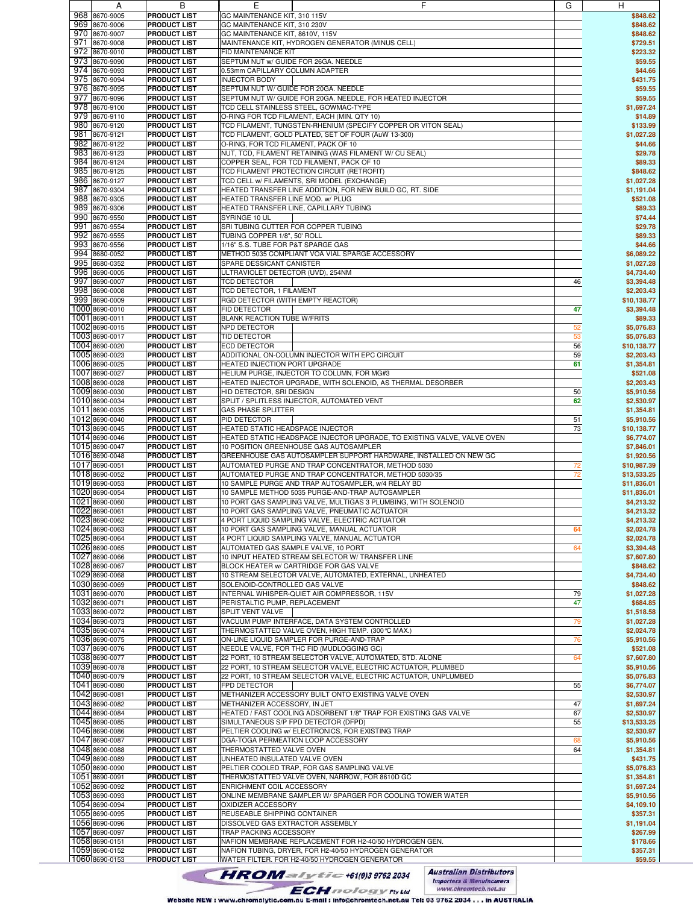| A              | В                   | Ε                                    | F                                                                       | G  | H           |
|----------------|---------------------|--------------------------------------|-------------------------------------------------------------------------|----|-------------|
| 968 8670-9005  | <b>PRODUCT LIST</b> | GC MAINTENANCE KIT, 310 115V         |                                                                         |    | \$848.62    |
| 969 8670-9006  | <b>PRODUCT LIST</b> | GC MAINTENANCE KIT, 310 230V         |                                                                         |    | \$848.62    |
|                | <b>PRODUCT LIST</b> |                                      |                                                                         |    | \$848.62    |
| 970 8670-9007  |                     | GC MAINTENANCE KIT, 8610V, 115V      |                                                                         |    |             |
| 971 8670-9008  | <b>PRODUCT LIST</b> |                                      | MAINTENANCE KIT, HYDROGEN GENERATOR (MINUS CELL)                        |    | \$729.51    |
| 972 8670-9010  | <b>PRODUCT LIST</b> | FID MAINTENANCE KIT                  |                                                                         |    | \$223.32    |
| 973 8670-9090  | <b>PRODUCT LIST</b> | SEPTUM NUT w/ GUIDE FOR 26GA. NEEDLE |                                                                         |    | \$59.55     |
| 974 8670-9093  | <b>PRODUCT LIST</b> | 0.53mm CAPILLARY COLUMN ADAPTER      |                                                                         |    | \$44.66     |
| 975 8670-9094  | <b>PRODUCT LIST</b> | <b>INJECTOR BODY</b>                 |                                                                         |    | \$431.75    |
| 976 8670-9095  | <b>PRODUCT LIST</b> | SEPTUM NUT W/ GUIDE FOR 20GA. NEEDLE |                                                                         |    | \$59.55     |
| 977 8670-9096  | <b>PRODUCT LIST</b> |                                      | SEPTUM NUT W/ GUIDE FOR 20GA. NEEDLE, FOR HEATED INJECTOR               |    | \$59.55     |
| 978 8670-9100  | <b>PRODUCT LIST</b> |                                      | TCD CELL STAINLESS STEEL, GOWMAC-TYPE                                   |    | \$1,697.24  |
|                |                     |                                      |                                                                         |    |             |
| 979 8670-9110  | <b>PRODUCT LIST</b> |                                      | O-RING FOR TCD FILAMENT, EACH (MIN. QTY 10)                             |    | \$14.89     |
| 980 8670-9120  | <b>PRODUCT LIST</b> |                                      | TCD FILAMENT, TUNGSTEN-RHENIUM (SPECIFY COPPER OR VITON SEAL)           |    | \$133.99    |
| 981 8670-9121  | <b>PRODUCT LIST</b> |                                      | TCD FILAMENT, GOLD PLATED, SET OF FOUR (AuW 13-300)                     |    | \$1.027.28  |
| 982 8670-9122  | <b>PRODUCT LIST</b> | O-RING, FOR TCD FILAMENT, PACK OF 10 |                                                                         |    | \$44.66     |
| 983 8670-9123  | <b>PRODUCT LIST</b> |                                      | NUT, TCD, FILAMENT RETAINING (WAS FILAMENT W/ CU SEAL)                  |    | \$29.78     |
| 984 8670-9124  | <b>PRODUCT LIST</b> |                                      | COPPER SEAL, FOR TCD FILAMENT, PACK OF 10                               |    | \$89.33     |
| 985 8670-9125  | <b>PRODUCT LIST</b> |                                      | TCD FILAMENT PROTECTION CIRCUIT (RETROFIT)                              |    | \$848.62    |
| 986 8670-9127  | <b>PRODUCT LIST</b> |                                      | TCD CELL w/ FILAMENTS, SRI MODEL (EXCHANGE)                             |    | \$1,027.28  |
| 987 8670-9304  |                     |                                      |                                                                         |    |             |
|                | <b>PRODUCT LIST</b> |                                      | HEATED TRANSFER LINE ADDITION, FOR NEW BUILD GC, RT. SIDE               |    | \$1,191.04  |
| 988 8670-9305  | <b>PRODUCT LIST</b> | HEATED TRANSFER LINE MOD. w/ PLUG    |                                                                         |    | \$521.08    |
| 989 8670-9306  | <b>PRODUCT LIST</b> |                                      | HEATED TRANSFER LINE, CAPILLARY TUBING                                  |    | \$89.33     |
| 990 8670-9550  | <b>PRODUCT LIST</b> | SYRINGE 10 UL                        |                                                                         |    | \$74.44     |
| 991 8670-9554  | <b>PRODUCT LIST</b> | SRI TUBING CUTTER FOR COPPER TUBING  |                                                                         |    | \$29.78     |
| 992 8670-9555  | <b>PRODUCT LIST</b> | TUBING COPPER 1/8", 50' ROLL         |                                                                         |    | \$89.33     |
| 993 8670-9556  | <b>PRODUCT LIST</b> | 1/16" S.S. TUBE FOR P&T SPARGE GAS   |                                                                         |    | \$44.66     |
| 994 8680-0052  | <b>PRODUCT LIST</b> |                                      | METHOD 5035 COMPLIANT VOA VIAL SPARGE ACCESSORY                         |    | \$6.089.22  |
| 995 8680-0352  | <b>PRODUCT LIST</b> | SPARE DESSICANT CANISTER             |                                                                         |    | \$1,027.28  |
| 996 8690-0005  | <b>PRODUCT LIST</b> | ULTRAVIOLET DETECTOR (UVD), 254NM    |                                                                         |    | \$4,734.40  |
| 997 8690-0007  | <b>PRODUCT LIST</b> | <b>TCD DETECTOR</b>                  |                                                                         |    | \$3,394.48  |
|                |                     |                                      |                                                                         | 46 |             |
| 998 8690-0008  | <b>PRODUCT LIST</b> | TCD DETECTOR, 1 FILAMENT             |                                                                         |    | \$2,203.43  |
| 999 8690-0009  | <b>PRODUCT LIST</b> | RGD DETECTOR (WITH EMPTY REACTOR)    |                                                                         |    | \$10,138.77 |
| 1000 8690-0010 | <b>PRODUCT LIST</b> | FID DETECTOR                         |                                                                         | 47 | \$3,394.48  |
| 1001 8690-0011 | <b>PRODUCT LIST</b> | <b>BLANK REACTION TUBE W/FRITS</b>   |                                                                         |    | \$89.33     |
| 1002 8690-0015 | <b>PRODUCT LIST</b> | NPD DETECTOR                         |                                                                         | 52 | \$5,076.83  |
| 1003 8690-0017 | <b>PRODUCT LIST</b> | TID DETECTOR                         |                                                                         | 53 | \$5,076.83  |
| 1004 8690-0020 | <b>PRODUCT LIST</b> | <b>ECD DETECTOR</b>                  |                                                                         | 56 | \$10,138.77 |
| 1005 8690-0023 | <b>PRODUCT LIST</b> |                                      | ADDITIONAL ON-COLUMN INJECTOR WITH EPC CIRCUIT                          | 59 | \$2,203.43  |
|                |                     |                                      |                                                                         |    |             |
| 1006 8690-0025 | <b>PRODUCT LIST</b> | <b>HEATED INJECTION PORT UPGRADE</b> |                                                                         | 61 | \$1,354.81  |
| 1007 8690-0027 | <b>PRODUCT LIST</b> |                                      | HELIUM PURGE, INJECTOR TO COLUMN, FOR MG#3                              |    | \$521.08    |
| 1008 8690-0028 | <b>PRODUCT LIST</b> |                                      | HEATED INJECTOR UPGRADE, WITH SOLENOID, AS THERMAL DESORBER             |    | \$2,203.43  |
| 1009 8690-0030 | <b>PRODUCT LIST</b> | HID DETECTOR, SRI DESIGN             |                                                                         | 50 | \$5,910.56  |
| 1010 8690-0034 | <b>PRODUCT LIST</b> |                                      | SPLIT / SPLITLESS INJECTOR, AUTOMATED VENT                              | 62 | \$2,530.97  |
| 1011 8690-0035 | <b>PRODUCT LIST</b> | GAS PHASE SPLITTER                   |                                                                         |    | \$1,354.81  |
| 1012 8690-0040 | <b>PRODUCT LIST</b> | PID DETECTOR                         |                                                                         | 51 | \$5,910.56  |
| 1013 8690-0045 | <b>PRODUCT LIST</b> | HEATED STATIC HEADSPACE INJECTOR     |                                                                         | 73 | \$10,138.77 |
| 1014 8690-0046 | <b>PRODUCT LIST</b> |                                      | HEATED STATIC HEADSPACE INJECTOR UPGRADE, TO EXISTING VALVE, VALVE OVEN |    |             |
|                |                     |                                      |                                                                         |    | \$6,774.07  |
| 1015 8690-0047 | <b>PRODUCT LIST</b> |                                      | 10 POSITION GREENHOUSE GAS AUTOSAMPLER                                  |    | \$7,846.01  |
| 1016 8690-0048 | <b>PRODUCT LIST</b> |                                      | GREENHOUSE GAS AUTOSAMPLER SUPPORT HARDWARE, INSTALLED ON NEW GC        |    | \$1,920.56  |
| 1017 8690-0051 | <b>PRODUCT LIST</b> |                                      | AUTOMATED PURGE AND TRAP CONCENTRATOR, METHOD 5030                      | 72 | \$10,987.39 |
| 1018 8690-0052 | <b>PRODUCT LIST</b> |                                      | AUTOMATED PURGE AND TRAP CONCENTRATOR, METHOD 5030/35                   | 72 | \$13,533.25 |
| 1019 8690-0053 | <b>PRODUCT LIST</b> |                                      | 10 SAMPLE PURGE AND TRAP AUTOSAMPLER, w/4 RELAY BD                      |    | \$11,836.01 |
| 1020 8690-0054 | <b>PRODUCT LIST</b> |                                      | 10 SAMPLE METHOD 5035 PURGE-AND-TRAP AUTOSAMPLER                        |    | \$11,836.01 |
| 1021 8690-0060 | <b>PRODUCT LIST</b> |                                      | 10 PORT GAS SAMPLING VALVE, MULTIGAS 3 PLUMBING, WITH SOLENOID          |    | \$4,213.32  |
| 1022 8690-0061 | <b>PRODUCT LIST</b> |                                      | 10 PORT GAS SAMPLING VALVE, PNEUMATIC ACTUATOR                          |    | \$4,213.32  |
| 1023 8690-0062 | <b>PRODUCT LIST</b> |                                      | 4 PORT LIQUID SAMPLING VALVE, ELECTRIC ACTUATOR                         |    |             |
| 1024 8690-0063 |                     |                                      |                                                                         |    | \$4,213.32  |
|                | <b>PRODUCT LIST</b> |                                      | 10 PORT GAS SAMPLING VALVE, MANUAL ACTUATOR                             | 64 | \$2,024.78  |
| 1025 8690-0064 | <b>PRODUCT LIST</b> |                                      | 4 PORT LIQUID SAMPLING VALVE, MANUAL ACTUATOR                           |    | \$2,024.78  |
| 1026 8690-0065 | <b>PRODUCT LIST</b> | AUTOMATED GAS SAMPLE VALVE, 10 PORT  |                                                                         | 64 | \$3,394.48  |
| 1027 8690-0066 | <b>PRODUCT LIST</b> |                                      | 10 INPUT HEATED STREAM SELECTOR W/ TRANSFER LINE                        |    | \$7,607.80  |
| 1028 8690-0067 | <b>PRODUCT LIST</b> |                                      | BLOCK HEATER w/ CARTRIDGE FOR GAS VALVE                                 |    | \$848.62    |
| 1029 8690-0068 | <b>PRODUCT LIST</b> |                                      | 10 STREAM SELECTOR VALVE, AUTOMATED, EXTERNAL, UNHEATED                 |    | \$4,734.40  |
| 1030 8690-0069 | <b>PRODUCT LIST</b> | SOLENOID-CONTROLLED GAS VALVE        |                                                                         |    | \$848.62    |
| 1031 8690-0070 | <b>PRODUCT LIST</b> |                                      | INTERNAL WHISPER-QUIET AIR COMPRESSOR, 115V                             | 79 | \$1,027.28  |
| 1032 8690-0071 | <b>PRODUCT LIST</b> | PERISTALTIC PUMP, REPLACEMENT        |                                                                         | 47 | \$684.85    |
| 1033 8690-0072 | <b>PRODUCT LIST</b> | SPLIT VENT VALVE                     |                                                                         |    | \$1,518.58  |
| 1034 8690-0073 | <b>PRODUCT LIST</b> |                                      | VACUUM PUMP INTERFACE, DATA SYSTEM CONTROLLED                           | 79 | \$1,027.28  |
| 1035 8690-0074 |                     |                                      |                                                                         |    |             |
|                | <b>PRODUCT LIST</b> |                                      | THERMOSTATTED VALVE OVEN, HIGH TEMP. (300℃ MAX.)                        |    | \$2,024.78  |
| 1036 8690-0075 | <b>PRODUCT LIST</b> |                                      | ON-LINE LIQUID SAMPLER FOR PURGE-AND-TRAP                               | 76 | \$5,910.56  |
| 1037 8690-0076 | <b>PRODUCT LIST</b> |                                      | NEEDLE VALVE, FOR THC FID (MUDLOGGING GC)                               |    | \$521.08    |
| 1038 8690-0077 | <b>PRODUCT LIST</b> |                                      | 22 PORT, 10 STREAM SELECTOR VALVE, AUTOMATED, STD. ALONE                | 64 | \$7,607.80  |
| 1039 8690-0078 | <b>PRODUCT LIST</b> |                                      | 22 PORT, 10 STREAM SELECTOR VALVE, ELECTRIC ACTUATOR, PLUMBED           |    | \$5,910.56  |
| 1040 8690-0079 | <b>PRODUCT LIST</b> |                                      | 22 PORT, 10 STREAM SELECTOR VALVE, ELECTRIC ACTUATOR, UNPLUMBED         |    | \$5,076.83  |
| 1041 8690-0080 | <b>PRODUCT LIST</b> | FPD DETECTOR                         |                                                                         | 55 | \$6,774.07  |
| 1042 8690-0081 | <b>PRODUCT LIST</b> |                                      | METHANIZER ACCESSORY BUILT ONTO EXISTING VALVE OVEN                     |    | \$2,530.97  |
| 1043 8690-0082 | <b>PRODUCT LIST</b> | METHANIZER ACCESSORY, IN JET         |                                                                         | 47 | \$1,697.24  |
| 1044 8690-0084 | <b>PRODUCT LIST</b> |                                      | HEATED / FAST COOLING ADSORBENT 1/8" TRAP FOR EXISTING GAS VALVE        | 67 | \$2,530.97  |
| 1045 8690-0085 | <b>PRODUCT LIST</b> |                                      | SIMULTANEOUS S/P FPD DETECTOR (DFPD)                                    | 55 | \$13,533.25 |
|                |                     |                                      |                                                                         |    |             |
| 1046 8690-0086 | <b>PRODUCT LIST</b> |                                      | PELTIER COOLING w/ ELECTRONICS, FOR EXISTING TRAP                       |    | \$2,530.97  |
| 1047 8690-0087 | <b>PRODUCT LIST</b> |                                      | DGA-TOGA PERMEATION LOOP ACCESSORY                                      | 68 | \$5,910.56  |
| 1048 8690-0088 | <b>PRODUCT LIST</b> | THERMOSTATTED VALVE OVEN             |                                                                         | 64 | \$1,354.81  |
| 1049 8690-0089 | <b>PRODUCT LIST</b> | UNHEATED INSULATED VALVE OVEN        |                                                                         |    | \$431.75    |
| 1050 8690-0090 | <b>PRODUCT LIST</b> |                                      | PELTIER COOLED TRAP, FOR GAS SAMPLING VALVE                             |    | \$5,076.83  |
| 1051 8690-0091 | <b>PRODUCT LIST</b> |                                      | THERMOSTATTED VALVE OVEN, NARROW, FOR 8610D GC                          |    | \$1,354.81  |
| 1052 8690-0092 | <b>PRODUCT LIST</b> | ENRICHMENT COIL ACCESSORY            |                                                                         |    | \$1,697.24  |
| 1053 8690-0093 | <b>PRODUCT LIST</b> |                                      | ONLINE MEMBRANE SAMPLER W/ SPARGER FOR COOLING TOWER WATER              |    | \$5,910.56  |
| 1054 8690-0094 | <b>PRODUCT LIST</b> | OXIDIZER ACCESSORY                   |                                                                         |    | \$4,109.10  |
| 1055 8690-0095 | <b>PRODUCT LIST</b> | REUSEABLE SHIPPING CONTAINER         |                                                                         |    | \$357.31    |
| 1056 8690-0096 | <b>PRODUCT LIST</b> | DISSOLVED GAS EXTRACTOR ASSEMBLY     |                                                                         |    | \$1,191.04  |
| 1057 8690-0097 |                     |                                      |                                                                         |    |             |
|                | <b>PRODUCT LIST</b> | TRAP PACKING ACCESSORY               |                                                                         |    | \$267.99    |
| 1058 8690-0151 | <b>PRODUCT LIST</b> |                                      | NAFION MEMBRANE REPLACEMENT FOR H2-40/50 HYDROGEN GEN.                  |    | \$178.66    |
| 1059 8690-0152 | <b>PRODUCT LIST</b> |                                      | NAFION TUBING, DRYER, FOR H2-40/50 HYDROGEN GENERATOR                   |    | \$357.31    |
| 1060 8690-0153 | <b>PRODUCT LIST</b> |                                      | WATER FILTER. FOR H2-40/50 HYDROGEN GENERATOR                           |    | \$59.55     |
|                |                     |                                      | <b>Australian Distributors</b>                                          |    |             |
|                |                     |                                      | $HROM = I \times 1 = +61(0)397622034$                                   |    |             |